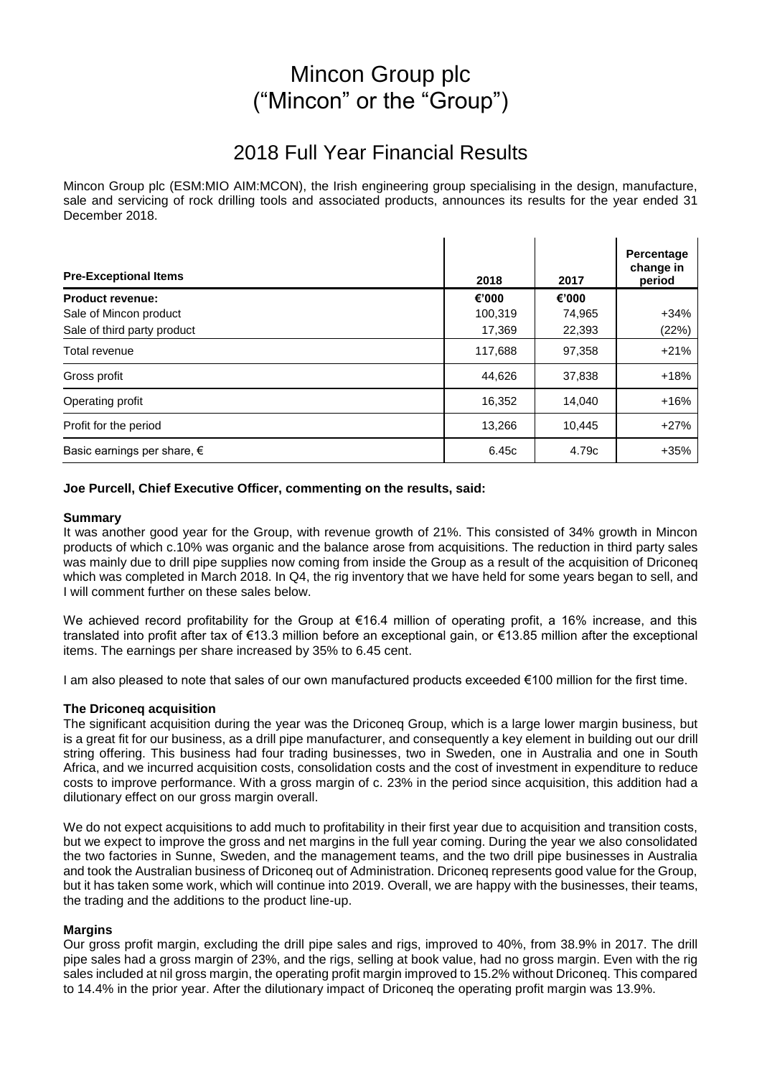# Mincon Group plc ("Mincon" or the "Group")

# 2018 Full Year Financial Results

Mincon Group plc (ESM:MIO AIM:MCON), the Irish engineering group specialising in the design, manufacture, sale and servicing of rock drilling tools and associated products, announces its results for the year ended 31 December 2018.

| <b>Pre-Exceptional Items</b>         | 2018    | 2017   | Percentage<br>change in<br>period |
|--------------------------------------|---------|--------|-----------------------------------|
| <b>Product revenue:</b>              | €'000   | €'000  |                                   |
| Sale of Mincon product               | 100,319 | 74,965 | $+34%$                            |
| Sale of third party product          | 17,369  | 22,393 | (22%)                             |
| Total revenue                        | 117,688 | 97,358 | $+21%$                            |
| Gross profit                         | 44,626  | 37,838 | $+18%$                            |
| Operating profit                     | 16,352  | 14.040 | $+16%$                            |
| Profit for the period                | 13,266  | 10,445 | $+27%$                            |
| Basic earnings per share, $\epsilon$ | 6.45c   | 4.79c  | $+35%$                            |

### **Joe Purcell, Chief Executive Officer, commenting on the results, said:**

#### **Summary**

It was another good year for the Group, with revenue growth of 21%. This consisted of 34% growth in Mincon products of which c.10% was organic and the balance arose from acquisitions. The reduction in third party sales was mainly due to drill pipe supplies now coming from inside the Group as a result of the acquisition of Driconeq which was completed in March 2018. In Q4, the rig inventory that we have held for some years began to sell, and I will comment further on these sales below.

We achieved record profitability for the Group at €16.4 million of operating profit, a 16% increase, and this translated into profit after tax of €13.3 million before an exceptional gain, or €13.85 million after the exceptional items. The earnings per share increased by 35% to 6.45 cent.

I am also pleased to note that sales of our own manufactured products exceeded €100 million for the first time.

#### **The Driconeq acquisition**

The significant acquisition during the year was the Driconeq Group, which is a large lower margin business, but is a great fit for our business, as a drill pipe manufacturer, and consequently a key element in building out our drill string offering. This business had four trading businesses, two in Sweden, one in Australia and one in South Africa, and we incurred acquisition costs, consolidation costs and the cost of investment in expenditure to reduce costs to improve performance. With a gross margin of c. 23% in the period since acquisition, this addition had a dilutionary effect on our gross margin overall.

We do not expect acquisitions to add much to profitability in their first year due to acquisition and transition costs, but we expect to improve the gross and net margins in the full year coming. During the year we also consolidated the two factories in Sunne, Sweden, and the management teams, and the two drill pipe businesses in Australia and took the Australian business of Driconeq out of Administration. Driconeq represents good value for the Group, but it has taken some work, which will continue into 2019. Overall, we are happy with the businesses, their teams, the trading and the additions to the product line-up.

#### **Margins**

Our gross profit margin, excluding the drill pipe sales and rigs, improved to 40%, from 38.9% in 2017. The drill pipe sales had a gross margin of 23%, and the rigs, selling at book value, had no gross margin. Even with the rig sales included at nil gross margin, the operating profit margin improved to 15.2% without Driconeq. This compared to 14.4% in the prior year. After the dilutionary impact of Driconeq the operating profit margin was 13.9%.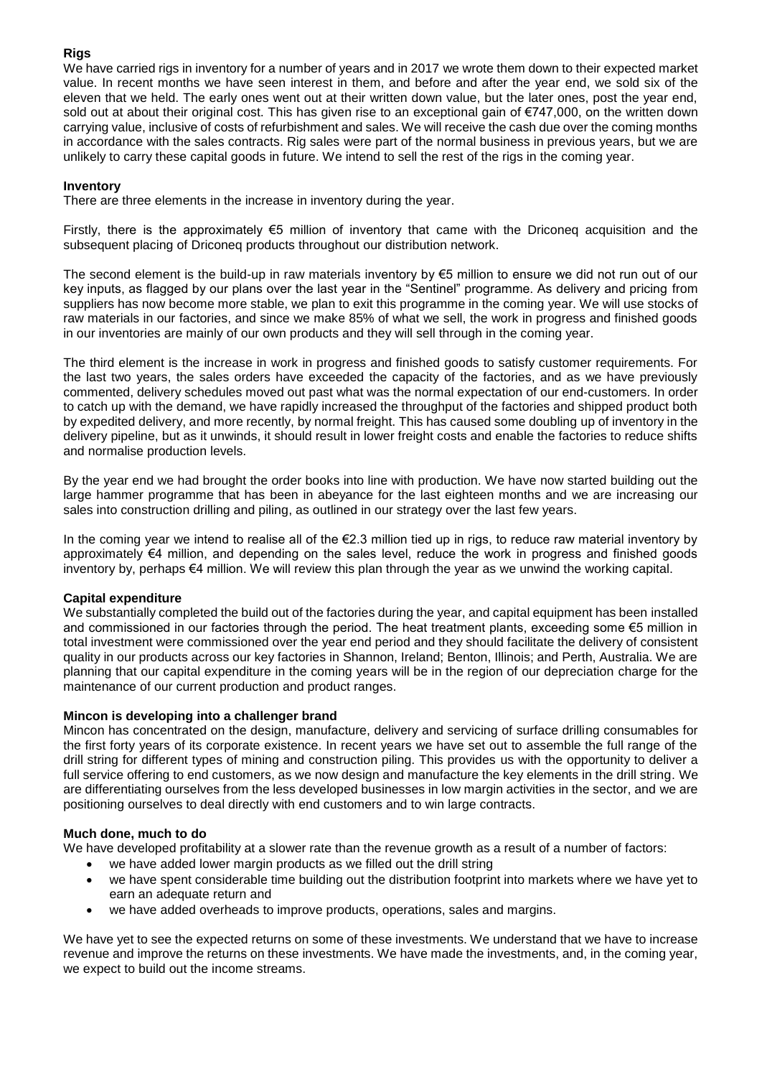## **Rigs**

We have carried rigs in inventory for a number of years and in 2017 we wrote them down to their expected market value. In recent months we have seen interest in them, and before and after the year end, we sold six of the eleven that we held. The early ones went out at their written down value, but the later ones, post the year end, sold out at about their original cost. This has given rise to an exceptional gain of €747,000, on the written down carrying value, inclusive of costs of refurbishment and sales. We will receive the cash due over the coming months in accordance with the sales contracts. Rig sales were part of the normal business in previous years, but we are unlikely to carry these capital goods in future. We intend to sell the rest of the rigs in the coming year.

## **Inventory**

There are three elements in the increase in inventory during the year.

Firstly, there is the approximately  $\epsilon$ 5 million of inventory that came with the Driconeq acquisition and the subsequent placing of Driconeq products throughout our distribution network.

The second element is the build-up in raw materials inventory by €5 million to ensure we did not run out of our key inputs, as flagged by our plans over the last year in the "Sentinel" programme. As delivery and pricing from suppliers has now become more stable, we plan to exit this programme in the coming year. We will use stocks of raw materials in our factories, and since we make 85% of what we sell, the work in progress and finished goods in our inventories are mainly of our own products and they will sell through in the coming year.

The third element is the increase in work in progress and finished goods to satisfy customer requirements. For the last two years, the sales orders have exceeded the capacity of the factories, and as we have previously commented, delivery schedules moved out past what was the normal expectation of our end-customers. In order to catch up with the demand, we have rapidly increased the throughput of the factories and shipped product both by expedited delivery, and more recently, by normal freight. This has caused some doubling up of inventory in the delivery pipeline, but as it unwinds, it should result in lower freight costs and enable the factories to reduce shifts and normalise production levels.

By the year end we had brought the order books into line with production. We have now started building out the large hammer programme that has been in abeyance for the last eighteen months and we are increasing our sales into construction drilling and piling, as outlined in our strategy over the last few years.

In the coming year we intend to realise all of the €2.3 million tied up in rigs, to reduce raw material inventory by approximately €4 million, and depending on the sales level, reduce the work in progress and finished goods inventory by, perhaps €4 million. We will review this plan through the year as we unwind the working capital.

## **Capital expenditure**

We substantially completed the build out of the factories during the year, and capital equipment has been installed and commissioned in our factories through the period. The heat treatment plants, exceeding some €5 million in total investment were commissioned over the year end period and they should facilitate the delivery of consistent quality in our products across our key factories in Shannon, Ireland; Benton, Illinois; and Perth, Australia. We are planning that our capital expenditure in the coming years will be in the region of our depreciation charge for the maintenance of our current production and product ranges.

## **Mincon is developing into a challenger brand**

Mincon has concentrated on the design, manufacture, delivery and servicing of surface drilling consumables for the first forty years of its corporate existence. In recent years we have set out to assemble the full range of the drill string for different types of mining and construction piling. This provides us with the opportunity to deliver a full service offering to end customers, as we now design and manufacture the key elements in the drill string. We are differentiating ourselves from the less developed businesses in low margin activities in the sector, and we are positioning ourselves to deal directly with end customers and to win large contracts.

## **Much done, much to do**

We have developed profitability at a slower rate than the revenue growth as a result of a number of factors:

- we have added lower margin products as we filled out the drill string
- we have spent considerable time building out the distribution footprint into markets where we have yet to earn an adequate return and
- we have added overheads to improve products, operations, sales and margins.

We have yet to see the expected returns on some of these investments. We understand that we have to increase revenue and improve the returns on these investments. We have made the investments, and, in the coming year, we expect to build out the income streams.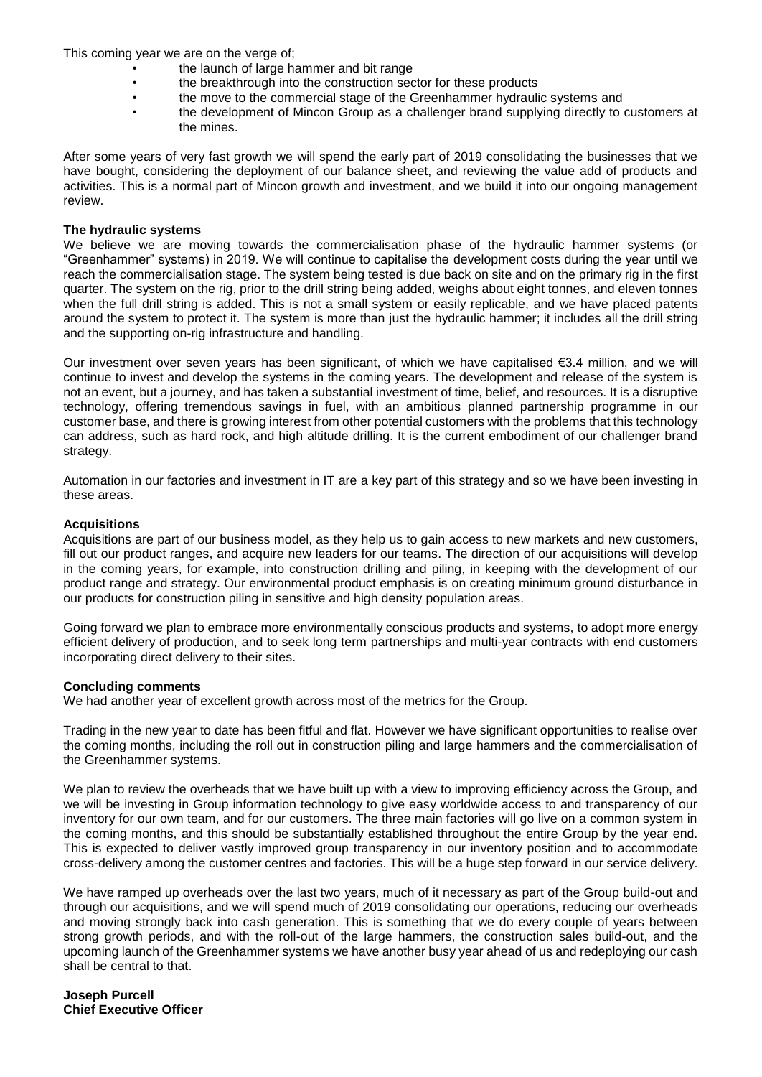This coming year we are on the verge of;

- the launch of large hammer and bit range
- the breakthrough into the construction sector for these products
- the move to the commercial stage of the Greenhammer hydraulic systems and
- the development of Mincon Group as a challenger brand supplying directly to customers at the mines.

After some years of very fast growth we will spend the early part of 2019 consolidating the businesses that we have bought, considering the deployment of our balance sheet, and reviewing the value add of products and activities. This is a normal part of Mincon growth and investment, and we build it into our ongoing management review.

### **The hydraulic systems**

We believe we are moving towards the commercialisation phase of the hydraulic hammer systems (or "Greenhammer" systems) in 2019. We will continue to capitalise the development costs during the year until we reach the commercialisation stage. The system being tested is due back on site and on the primary rig in the first quarter. The system on the rig, prior to the drill string being added, weighs about eight tonnes, and eleven tonnes when the full drill string is added. This is not a small system or easily replicable, and we have placed patents around the system to protect it. The system is more than just the hydraulic hammer; it includes all the drill string and the supporting on-rig infrastructure and handling.

Our investment over seven years has been significant, of which we have capitalised €3.4 million, and we will continue to invest and develop the systems in the coming years. The development and release of the system is not an event, but a journey, and has taken a substantial investment of time, belief, and resources. It is a disruptive technology, offering tremendous savings in fuel, with an ambitious planned partnership programme in our customer base, and there is growing interest from other potential customers with the problems that this technology can address, such as hard rock, and high altitude drilling. It is the current embodiment of our challenger brand strategy.

Automation in our factories and investment in IT are a key part of this strategy and so we have been investing in these areas.

### **Acquisitions**

Acquisitions are part of our business model, as they help us to gain access to new markets and new customers, fill out our product ranges, and acquire new leaders for our teams. The direction of our acquisitions will develop in the coming years, for example, into construction drilling and piling, in keeping with the development of our product range and strategy. Our environmental product emphasis is on creating minimum ground disturbance in our products for construction piling in sensitive and high density population areas.

Going forward we plan to embrace more environmentally conscious products and systems, to adopt more energy efficient delivery of production, and to seek long term partnerships and multi-year contracts with end customers incorporating direct delivery to their sites.

#### **Concluding comments**

We had another year of excellent growth across most of the metrics for the Group.

Trading in the new year to date has been fitful and flat. However we have significant opportunities to realise over the coming months, including the roll out in construction piling and large hammers and the commercialisation of the Greenhammer systems.

We plan to review the overheads that we have built up with a view to improving efficiency across the Group, and we will be investing in Group information technology to give easy worldwide access to and transparency of our inventory for our own team, and for our customers. The three main factories will go live on a common system in the coming months, and this should be substantially established throughout the entire Group by the year end. This is expected to deliver vastly improved group transparency in our inventory position and to accommodate cross-delivery among the customer centres and factories. This will be a huge step forward in our service delivery.

We have ramped up overheads over the last two years, much of it necessary as part of the Group build-out and through our acquisitions, and we will spend much of 2019 consolidating our operations, reducing our overheads and moving strongly back into cash generation. This is something that we do every couple of years between strong growth periods, and with the roll-out of the large hammers, the construction sales build-out, and the upcoming launch of the Greenhammer systems we have another busy year ahead of us and redeploying our cash shall be central to that.

**Joseph Purcell Chief Executive Officer**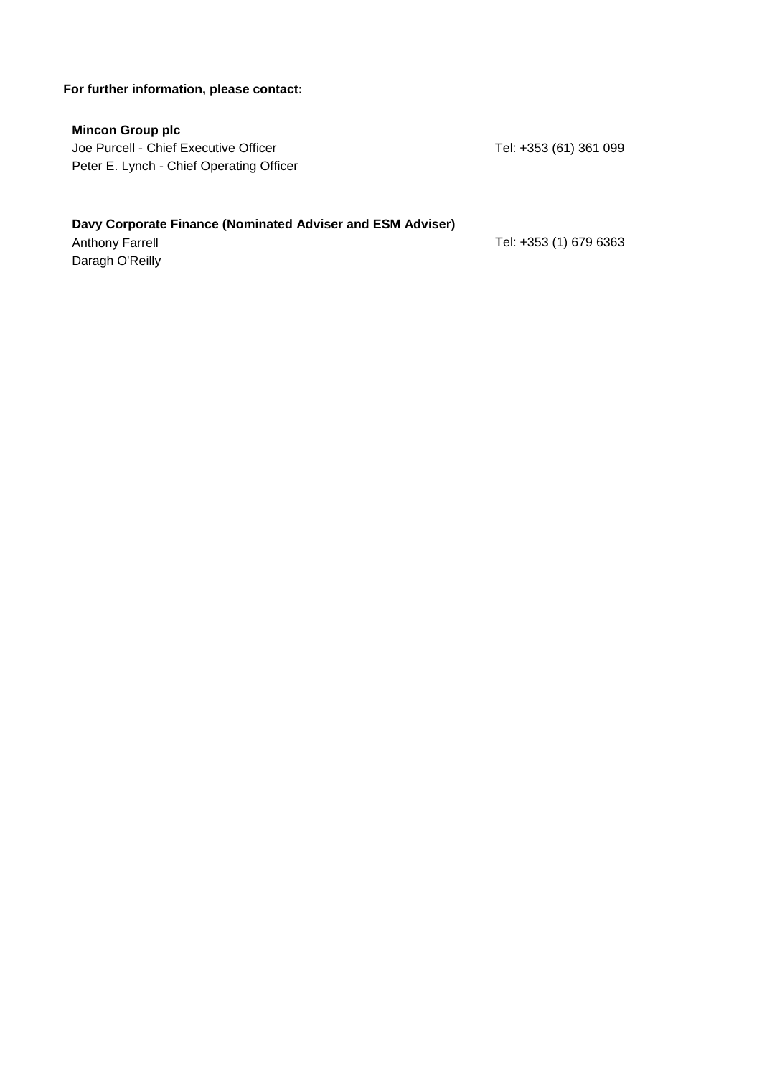## **For further information, please contact:**

## **Mincon Group plc**

Joe Purcell - Chief Executive Officer Tel: +353 (61) 361 099 Peter E. Lynch - Chief Operating Officer

## **Davy Corporate Finance (Nominated Adviser and ESM Adviser)**

Daragh O'Reilly

Anthony Farrell **Anthony Farrell** 2004 12:353 (1) 679 6363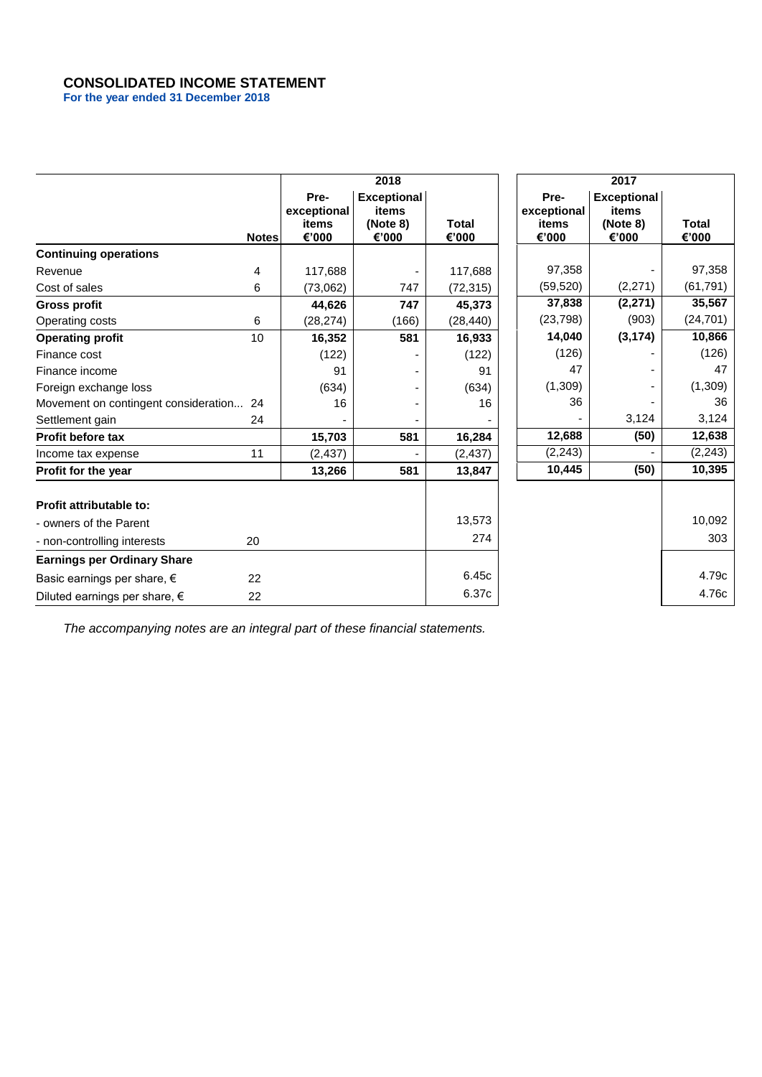## **CONSOLIDATED INCOME STATEMENT**

**For the year ended 31 December 2018**

|                                         |              |                                       | 2018                                             |                |                                       | 2017                                             |                |
|-----------------------------------------|--------------|---------------------------------------|--------------------------------------------------|----------------|---------------------------------------|--------------------------------------------------|----------------|
|                                         | <b>Notes</b> | Pre-<br>exceptional<br>items<br>€'000 | <b>Exceptional</b><br>items<br>(Note 8)<br>€'000 | Total<br>€'000 | Pre-<br>exceptional<br>items<br>€'000 | <b>Exceptional</b><br>items<br>(Note 8)<br>€'000 | Total<br>€'000 |
| <b>Continuing operations</b>            |              |                                       |                                                  |                |                                       |                                                  |                |
| Revenue                                 | 4            | 117,688                               |                                                  | 117,688        | 97,358                                |                                                  | 97,358         |
| Cost of sales                           | 6            | (73,062)                              | 747                                              | (72, 315)      | (59, 520)                             | (2, 271)                                         | (61, 791)      |
| <b>Gross profit</b>                     |              | 44,626                                | 747                                              | 45,373         | 37,838                                | (2,271)                                          | 35,567         |
| Operating costs                         | 6            | (28, 274)                             | (166)                                            | (28, 440)      | (23, 798)                             | (903)                                            | (24, 701)      |
| <b>Operating profit</b>                 | 10           | 16,352                                | 581                                              | 16,933         | 14,040                                | (3, 174)                                         | 10,866         |
| Finance cost                            |              | (122)                                 |                                                  | (122)          | (126)                                 |                                                  | (126)          |
| Finance income                          |              | 91                                    |                                                  | 91             | 47                                    |                                                  | 47             |
| Foreign exchange loss                   |              | (634)                                 |                                                  | (634)          | (1,309)                               |                                                  | (1, 309)       |
| Movement on contingent consideration 24 |              | 16                                    |                                                  | 16             | 36                                    |                                                  | 36             |
| Settlement gain                         | 24           |                                       |                                                  |                |                                       | 3,124                                            | 3,124          |
| <b>Profit before tax</b>                |              | 15,703                                | 581                                              | 16,284         | 12,688                                | (50)                                             | 12,638         |
| Income tax expense                      | 11           | (2, 437)                              |                                                  | (2, 437)       | (2, 243)                              |                                                  | (2, 243)       |
| Profit for the year                     |              | 13,266                                | 581                                              | 13,847         | 10,445                                | (50)                                             | 10,395         |
| Profit attributable to:                 |              |                                       |                                                  |                |                                       |                                                  |                |
| - owners of the Parent                  |              |                                       |                                                  | 13,573         |                                       |                                                  | 10,092         |
| - non-controlling interests             | 20           |                                       |                                                  | 274            |                                       |                                                  | 303            |
| <b>Earnings per Ordinary Share</b>      |              |                                       |                                                  |                |                                       |                                                  |                |
| Basic earnings per share, €             | 22           |                                       |                                                  | 6.45c          |                                       |                                                  | 4.79c          |
| Diluted earnings per share, $\epsilon$  | 22           |                                       |                                                  | 6.37c          |                                       |                                                  | 4.76c          |

*The accompanying notes are an integral part of these financial statements.*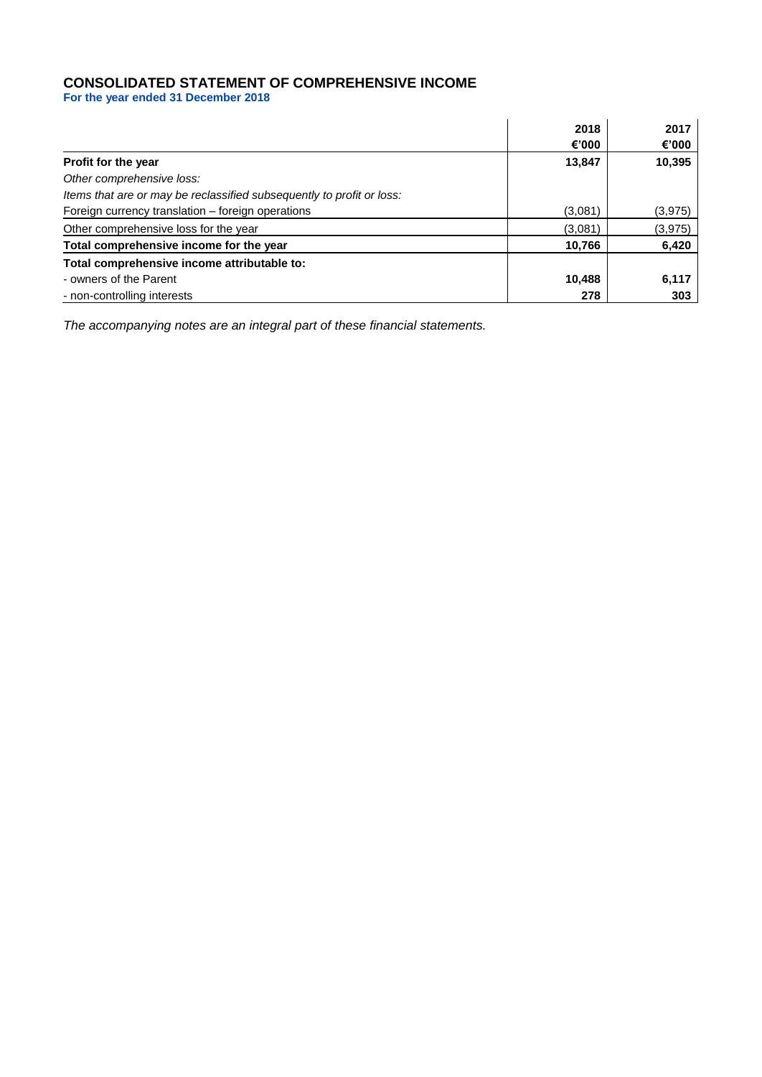## **CONSOLIDATED STATEMENT OF COMPREHENSIVE INCOME**

**For the year ended 31 December 2018**

|                                                                       | 2018    | 2017     |
|-----------------------------------------------------------------------|---------|----------|
|                                                                       | €'000   | €'000    |
| <b>Profit for the year</b>                                            | 13,847  | 10,395   |
| Other comprehensive loss:                                             |         |          |
| Items that are or may be reclassified subsequently to profit or loss: |         |          |
| Foreign currency translation - foreign operations                     | (3,081) | (3,975)  |
| Other comprehensive loss for the year                                 | (3,081) | (3, 975) |
| Total comprehensive income for the year                               | 10,766  | 6,420    |
| Total comprehensive income attributable to:                           |         |          |
| - owners of the Parent                                                | 10,488  | 6,117    |
| - non-controlling interests                                           | 278     | 303      |

*The accompanying notes are an integral part of these financial statements.*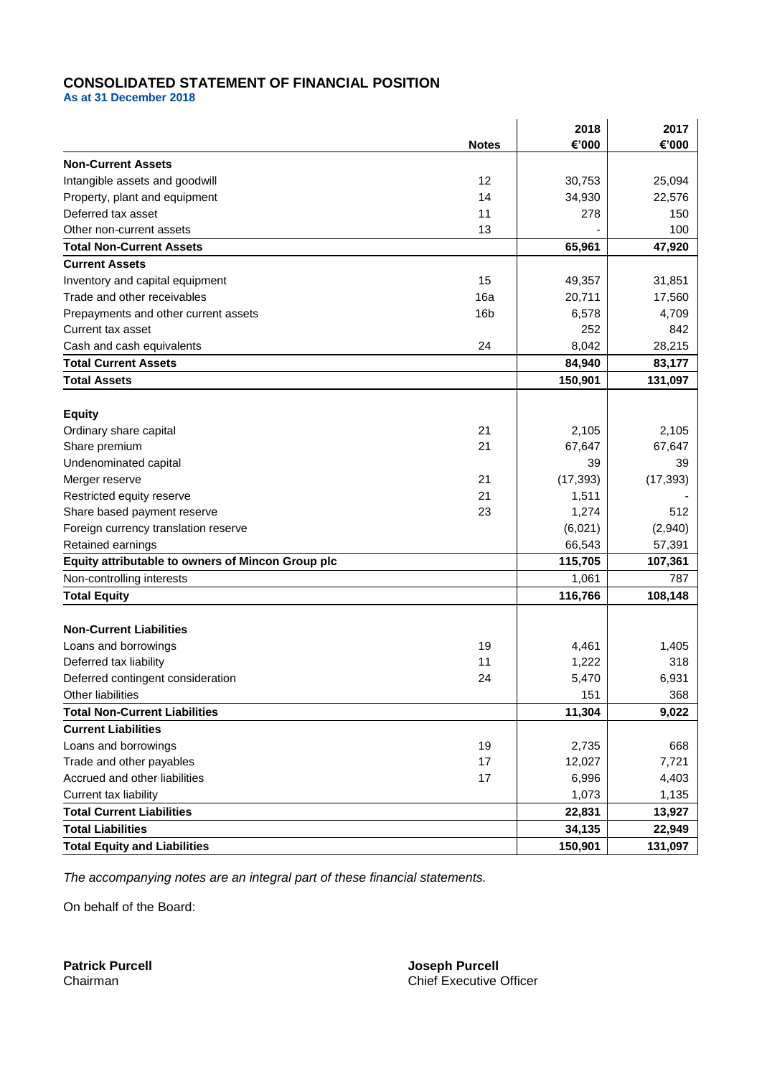## **CONSOLIDATED STATEMENT OF FINANCIAL POSITION**

**As at 31 December 2018**

|                                                   |                 | 2018      | 2017      |
|---------------------------------------------------|-----------------|-----------|-----------|
|                                                   | <b>Notes</b>    | €'000     | €'000     |
| <b>Non-Current Assets</b>                         |                 |           |           |
| Intangible assets and goodwill                    | 12              | 30,753    | 25,094    |
| Property, plant and equipment                     | 14              | 34,930    | 22,576    |
| Deferred tax asset                                | 11              | 278       | 150       |
| Other non-current assets                          | 13              |           | 100       |
| <b>Total Non-Current Assets</b>                   |                 | 65,961    | 47,920    |
| <b>Current Assets</b>                             |                 |           |           |
| Inventory and capital equipment                   | 15              | 49,357    | 31,851    |
| Trade and other receivables                       | 16a             | 20,711    | 17,560    |
| Prepayments and other current assets              | 16 <sub>b</sub> | 6,578     | 4,709     |
| Current tax asset                                 |                 | 252       | 842       |
| Cash and cash equivalents                         | 24              | 8,042     | 28,215    |
| <b>Total Current Assets</b>                       |                 | 84,940    | 83,177    |
| <b>Total Assets</b>                               |                 | 150,901   | 131,097   |
|                                                   |                 |           |           |
| <b>Equity</b>                                     |                 |           |           |
| Ordinary share capital                            | 21              | 2,105     | 2,105     |
| Share premium                                     | 21              | 67,647    | 67,647    |
| Undenominated capital                             |                 | 39        | 39        |
| Merger reserve                                    | 21              | (17, 393) | (17, 393) |
| Restricted equity reserve                         | 21              | 1,511     |           |
| Share based payment reserve                       | 23              | 1,274     | 512       |
| Foreign currency translation reserve              |                 | (6,021)   | (2,940)   |
| Retained earnings                                 |                 | 66,543    | 57,391    |
| Equity attributable to owners of Mincon Group plc |                 | 115,705   | 107,361   |
| Non-controlling interests                         |                 | 1,061     | 787       |
| <b>Total Equity</b>                               |                 | 116,766   | 108,148   |
|                                                   |                 |           |           |
| <b>Non-Current Liabilities</b>                    |                 |           |           |
| Loans and borrowings                              | 19              | 4,461     | 1,405     |
| Deferred tax liability                            | 11              | 1,222     | 318       |
| Deferred contingent consideration                 | 24              | 5,470     | 6,931     |
| Other liabilities                                 |                 | 151       | 368       |
| <b>Total Non-Current Liabilities</b>              |                 | 11,304    | 9,022     |
| <b>Current Liabilities</b>                        |                 |           |           |
| Loans and borrowings                              | 19              | 2,735     | 668       |
| Trade and other payables                          | 17              | 12,027    | 7,721     |
| Accrued and other liabilities                     | 17              | 6,996     | 4,403     |
| Current tax liability                             |                 | 1,073     | 1,135     |
| <b>Total Current Liabilities</b>                  |                 | 22,831    | 13,927    |
| <b>Total Liabilities</b>                          |                 | 34,135    | 22,949    |
| <b>Total Equity and Liabilities</b>               |                 | 150,901   | 131,097   |

*The accompanying notes are an integral part of these financial statements.*

On behalf of the Board:

**Patrick Purcell Joseph Purcell** Chairman Chief Executive Officer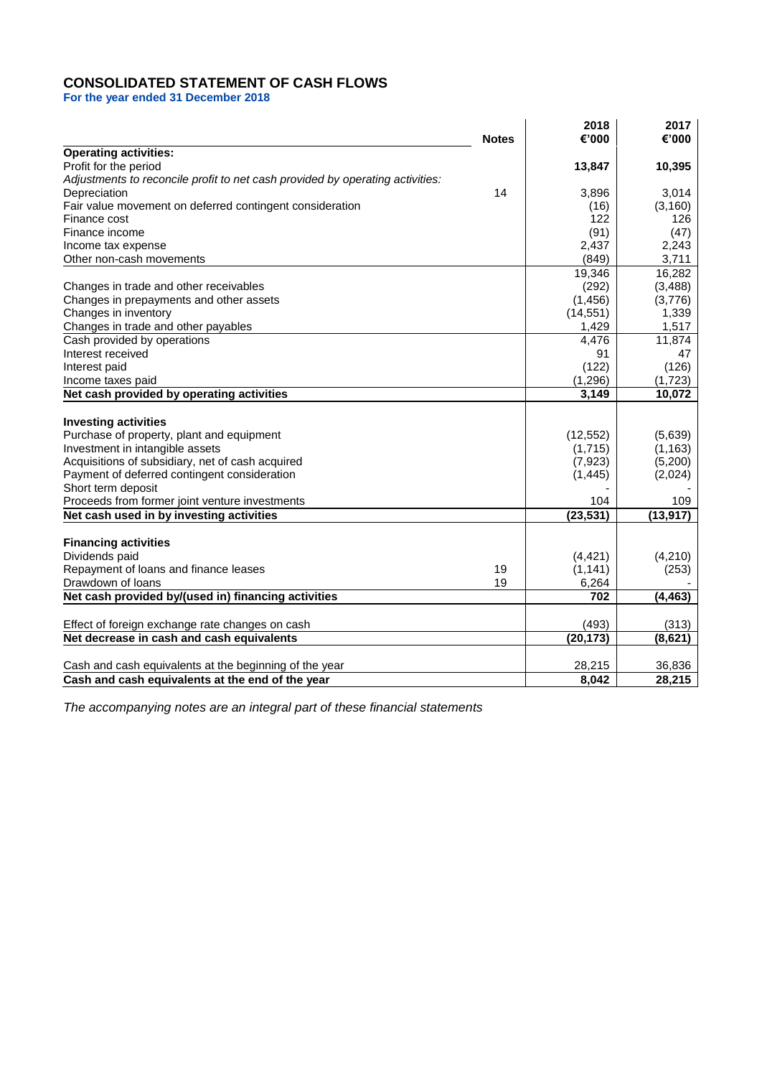## **CONSOLIDATED STATEMENT OF CASH FLOWS**

**For the year ended 31 December 2018**

|                                                                               | <b>Notes</b> | 2018<br>€'000 | 2017<br>€'000 |
|-------------------------------------------------------------------------------|--------------|---------------|---------------|
| <b>Operating activities:</b>                                                  |              |               |               |
| Profit for the period                                                         |              | 13,847        | 10,395        |
| Adjustments to reconcile profit to net cash provided by operating activities: |              |               |               |
| Depreciation                                                                  | 14           | 3,896         | 3,014         |
| Fair value movement on deferred contingent consideration                      |              | (16)          | (3, 160)      |
| Finance cost                                                                  |              | 122           | 126           |
| Finance income                                                                |              | (91)          | (47)          |
| Income tax expense                                                            |              | 2,437         | 2,243         |
| Other non-cash movements                                                      |              | (849)         | 3,711         |
|                                                                               |              | 19,346        | 16,282        |
| Changes in trade and other receivables                                        |              | (292)         | (3, 488)      |
| Changes in prepayments and other assets                                       |              | (1, 456)      | (3,776)       |
| Changes in inventory                                                          |              | (14, 551)     | 1,339         |
| Changes in trade and other payables                                           |              | 1,429         | 1,517         |
| Cash provided by operations                                                   |              | 4,476         | 11,874        |
| Interest received                                                             |              | 91            | 47            |
| Interest paid                                                                 |              | (122)         | (126)         |
| Income taxes paid                                                             |              | (1, 296)      | (1,723)       |
| Net cash provided by operating activities                                     |              | 3,149         | 10,072        |
|                                                                               |              |               |               |
| <b>Investing activities</b>                                                   |              |               |               |
| Purchase of property, plant and equipment                                     |              | (12, 552)     | (5,639)       |
| Investment in intangible assets                                               |              | (1,715)       | (1, 163)      |
| Acquisitions of subsidiary, net of cash acquired                              |              | (7, 923)      | (5,200)       |
| Payment of deferred contingent consideration                                  |              | (1, 445)      | (2,024)       |
| Short term deposit                                                            |              |               |               |
| Proceeds from former joint venture investments                                |              | 104           | 109           |
| Net cash used in by investing activities                                      |              | (23, 531)     | (13, 917)     |
| <b>Financing activities</b>                                                   |              |               |               |
| Dividends paid                                                                |              | (4, 421)      | (4,210)       |
| Repayment of loans and finance leases                                         | 19           | (1, 141)      | (253)         |
| Drawdown of loans                                                             | 19           | 6,264         |               |
| Net cash provided by/(used in) financing activities                           |              | 702           | (4, 463)      |
|                                                                               |              |               |               |
| Effect of foreign exchange rate changes on cash                               |              | (493)         | (313)         |
| Net decrease in cash and cash equivalents                                     |              | (20, 173)     | (8,621)       |
|                                                                               |              |               |               |
| Cash and cash equivalents at the beginning of the year                        |              | 28,215        | 36,836        |
| Cash and cash equivalents at the end of the year                              |              | 8,042         | 28,215        |

*The accompanying notes are an integral part of these financial statements*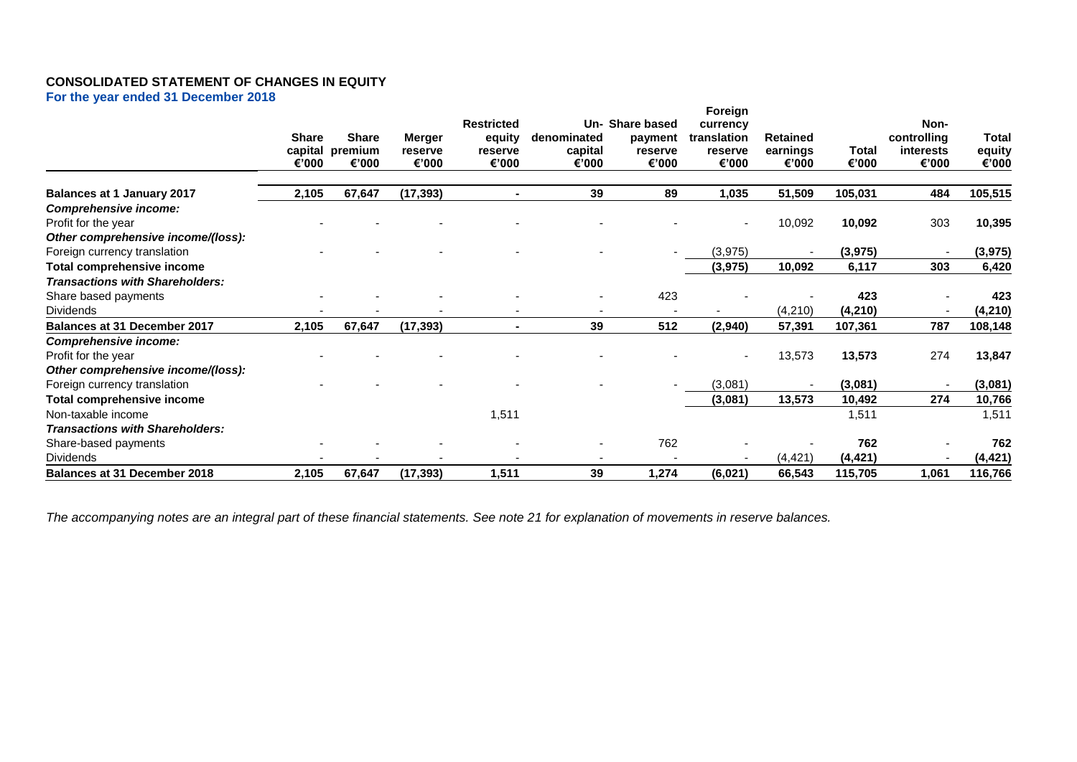## **CONSOLIDATED STATEMENT OF CHANGES IN EQUITY**

**For the year ended 31 December 2018**

|                                        | <b>Share</b><br>€'000 | <b>Share</b><br>capital premium<br>€'000 | Merger<br>reserve<br>€'000 | <b>Restricted</b><br>equity<br>reserve<br>€'000 | denominated<br>capital<br>€'000 | Un- Share based<br>payment<br>reserve<br>€'000 | Foreign<br>currency<br>translation<br>reserve<br>€'000 | <b>Retained</b><br>earnings<br>€'000 | <b>Total</b><br>€'000 | Non-<br>controlling<br>interests<br>€'000 | <b>Total</b><br>equity<br>€'000 |
|----------------------------------------|-----------------------|------------------------------------------|----------------------------|-------------------------------------------------|---------------------------------|------------------------------------------------|--------------------------------------------------------|--------------------------------------|-----------------------|-------------------------------------------|---------------------------------|
| <b>Balances at 1 January 2017</b>      | 2,105                 | 67,647                                   | (17, 393)                  |                                                 | 39                              | 89                                             | 1,035                                                  | 51,509                               | 105,031               | 484                                       | 105,515                         |
| <b>Comprehensive income:</b>           |                       |                                          |                            |                                                 |                                 |                                                |                                                        |                                      |                       |                                           |                                 |
| Profit for the year                    |                       |                                          |                            |                                                 |                                 |                                                |                                                        | 10,092                               | 10,092                | 303                                       | 10,395                          |
| Other comprehensive income/(loss):     |                       |                                          |                            |                                                 |                                 |                                                |                                                        |                                      |                       |                                           |                                 |
| Foreign currency translation           |                       |                                          |                            |                                                 |                                 |                                                | (3, 975)                                               |                                      | (3, 975)              |                                           | (3, 975)                        |
| Total comprehensive income             |                       |                                          |                            |                                                 |                                 |                                                | (3, 975)                                               | 10,092                               | 6,117                 | 303                                       | 6,420                           |
| <b>Transactions with Shareholders:</b> |                       |                                          |                            |                                                 |                                 |                                                |                                                        |                                      |                       |                                           |                                 |
| Share based payments                   |                       |                                          |                            |                                                 |                                 | 423                                            |                                                        |                                      | 423                   |                                           | 423                             |
| <b>Dividends</b>                       |                       |                                          |                            |                                                 |                                 |                                                |                                                        | (4,210)                              | (4,210)               |                                           | (4, 210)                        |
| Balances at 31 December 2017           | 2,105                 | 67,647                                   | (17, 393)                  |                                                 | 39                              | 512                                            | (2,940)                                                | 57,391                               | 107,361               | 787                                       | 108,148                         |
| Comprehensive income:                  |                       |                                          |                            |                                                 |                                 |                                                |                                                        |                                      |                       |                                           |                                 |
| Profit for the year                    |                       |                                          |                            |                                                 |                                 |                                                |                                                        | 13,573                               | 13,573                | 274                                       | 13,847                          |
| Other comprehensive income/(loss):     |                       |                                          |                            |                                                 |                                 |                                                |                                                        |                                      |                       |                                           |                                 |
| Foreign currency translation           |                       |                                          |                            |                                                 |                                 |                                                | (3,081)                                                |                                      | (3,081)               |                                           | (3,081)                         |
| Total comprehensive income             |                       |                                          |                            |                                                 |                                 |                                                | (3,081)                                                | 13,573                               | 10,492                | 274                                       | 10,766                          |
| Non-taxable income                     |                       |                                          |                            | 1,511                                           |                                 |                                                |                                                        |                                      | 1,511                 |                                           | 1,511                           |
| <b>Transactions with Shareholders:</b> |                       |                                          |                            |                                                 |                                 |                                                |                                                        |                                      |                       |                                           |                                 |
| Share-based payments                   |                       |                                          |                            |                                                 |                                 | 762                                            |                                                        |                                      | 762                   |                                           | 762                             |
| <b>Dividends</b>                       |                       |                                          |                            |                                                 |                                 |                                                |                                                        | (4, 421)                             | (4, 421)              |                                           | (4, 421)                        |
| <b>Balances at 31 December 2018</b>    | 2,105                 | 67,647                                   | (17, 393)                  | 1,511                                           | 39                              | 1,274                                          | (6,021)                                                | 66,543                               | 115,705               | 1,061                                     | 116,766                         |

*The accompanying notes are an integral part of these financial statements. See note 21 for explanation of movements in reserve balances.*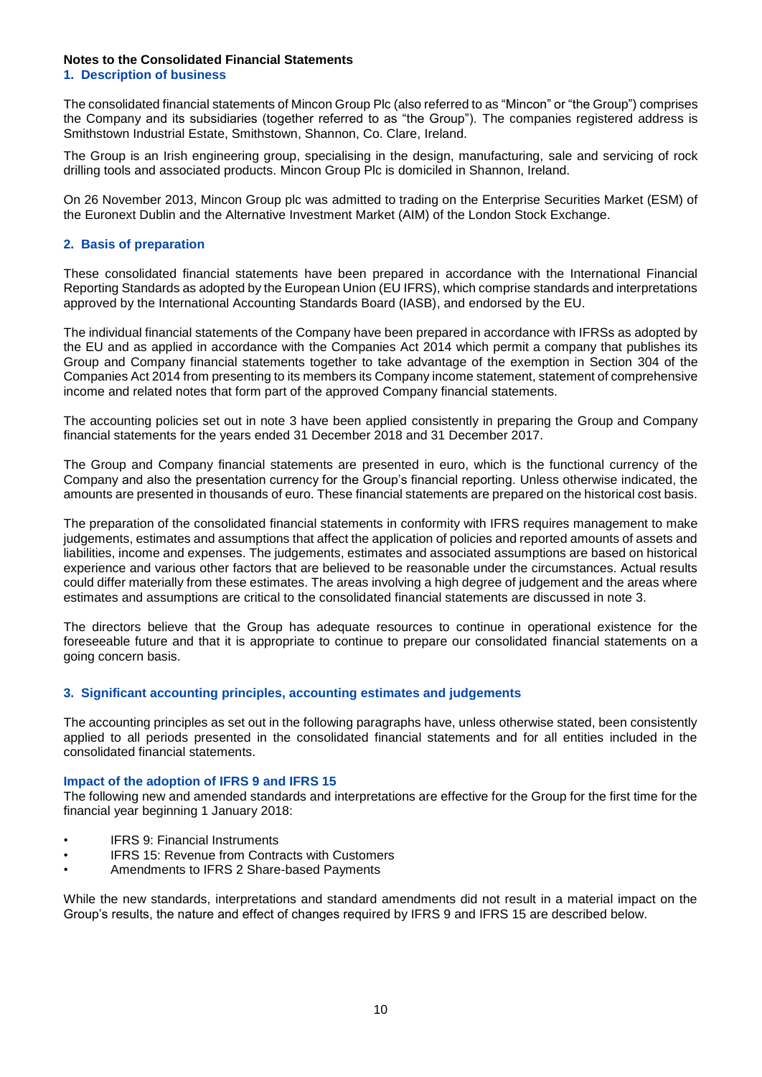## **Notes to the Consolidated Financial Statements**

**1. Description of business**

The consolidated financial statements of Mincon Group Plc (also referred to as "Mincon" or "the Group") comprises the Company and its subsidiaries (together referred to as "the Group"). The companies registered address is Smithstown Industrial Estate, Smithstown, Shannon, Co. Clare, Ireland.

The Group is an Irish engineering group, specialising in the design, manufacturing, sale and servicing of rock drilling tools and associated products. Mincon Group Plc is domiciled in Shannon, Ireland.

On 26 November 2013, Mincon Group plc was admitted to trading on the Enterprise Securities Market (ESM) of the Euronext Dublin and the Alternative Investment Market (AIM) of the London Stock Exchange.

## **2. Basis of preparation**

These consolidated financial statements have been prepared in accordance with the International Financial Reporting Standards as adopted by the European Union (EU IFRS), which comprise standards and interpretations approved by the International Accounting Standards Board (IASB), and endorsed by the EU.

The individual financial statements of the Company have been prepared in accordance with IFRSs as adopted by the EU and as applied in accordance with the Companies Act 2014 which permit a company that publishes its Group and Company financial statements together to take advantage of the exemption in Section 304 of the Companies Act 2014 from presenting to its members its Company income statement, statement of comprehensive income and related notes that form part of the approved Company financial statements.

The accounting policies set out in note 3 have been applied consistently in preparing the Group and Company financial statements for the years ended 31 December 2018 and 31 December 2017.

The Group and Company financial statements are presented in euro, which is the functional currency of the Company and also the presentation currency for the Group's financial reporting. Unless otherwise indicated, the amounts are presented in thousands of euro. These financial statements are prepared on the historical cost basis.

The preparation of the consolidated financial statements in conformity with IFRS requires management to make judgements, estimates and assumptions that affect the application of policies and reported amounts of assets and liabilities, income and expenses. The judgements, estimates and associated assumptions are based on historical experience and various other factors that are believed to be reasonable under the circumstances. Actual results could differ materially from these estimates. The areas involving a high degree of judgement and the areas where estimates and assumptions are critical to the consolidated financial statements are discussed in note 3.

The directors believe that the Group has adequate resources to continue in operational existence for the foreseeable future and that it is appropriate to continue to prepare our consolidated financial statements on a going concern basis.

## **3. Significant accounting principles, accounting estimates and judgements**

The accounting principles as set out in the following paragraphs have, unless otherwise stated, been consistently applied to all periods presented in the consolidated financial statements and for all entities included in the consolidated financial statements.

## **Impact of the adoption of IFRS 9 and IFRS 15**

The following new and amended standards and interpretations are effective for the Group for the first time for the financial year beginning 1 January 2018:

- **IFRS 9: Financial Instruments**
- IFRS 15: Revenue from Contracts with Customers
- Amendments to IFRS 2 Share-based Payments

While the new standards, interpretations and standard amendments did not result in a material impact on the Group's results, the nature and effect of changes required by IFRS 9 and IFRS 15 are described below.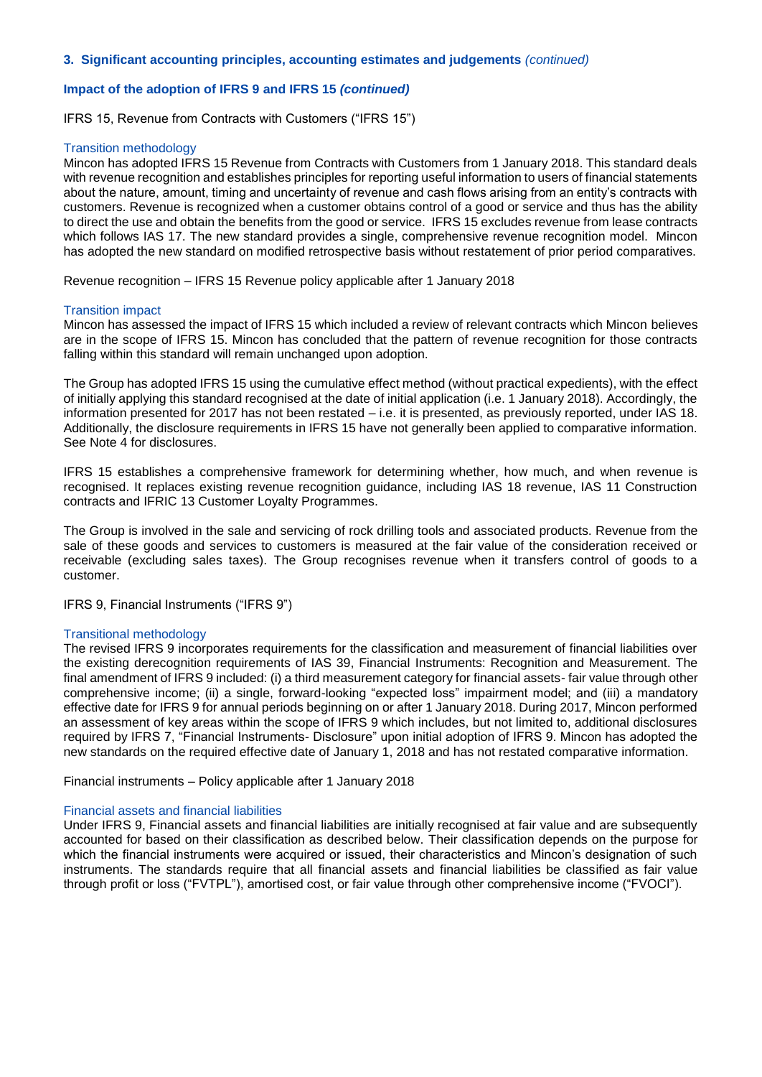## **Impact of the adoption of IFRS 9 and IFRS 15** *(continued)*

IFRS 15, Revenue from Contracts with Customers ("IFRS 15")

#### Transition methodology

Mincon has adopted IFRS 15 Revenue from Contracts with Customers from 1 January 2018. This standard deals with revenue recognition and establishes principles for reporting useful information to users of financial statements about the nature, amount, timing and uncertainty of revenue and cash flows arising from an entity's contracts with customers. Revenue is recognized when a customer obtains control of a good or service and thus has the ability to direct the use and obtain the benefits from the good or service. IFRS 15 excludes revenue from lease contracts which follows IAS 17. The new standard provides a single, comprehensive revenue recognition model. Mincon has adopted the new standard on modified retrospective basis without restatement of prior period comparatives.

Revenue recognition – IFRS 15 Revenue policy applicable after 1 January 2018

#### Transition impact

Mincon has assessed the impact of IFRS 15 which included a review of relevant contracts which Mincon believes are in the scope of IFRS 15. Mincon has concluded that the pattern of revenue recognition for those contracts falling within this standard will remain unchanged upon adoption.

The Group has adopted IFRS 15 using the cumulative effect method (without practical expedients), with the effect of initially applying this standard recognised at the date of initial application (i.e. 1 January 2018). Accordingly, the information presented for 2017 has not been restated – i.e. it is presented, as previously reported, under IAS 18. Additionally, the disclosure requirements in IFRS 15 have not generally been applied to comparative information. See Note 4 for disclosures.

IFRS 15 establishes a comprehensive framework for determining whether, how much, and when revenue is recognised. It replaces existing revenue recognition guidance, including IAS 18 revenue, IAS 11 Construction contracts and IFRIC 13 Customer Loyalty Programmes.

The Group is involved in the sale and servicing of rock drilling tools and associated products. Revenue from the sale of these goods and services to customers is measured at the fair value of the consideration received or receivable (excluding sales taxes). The Group recognises revenue when it transfers control of goods to a customer.

IFRS 9, Financial Instruments ("IFRS 9")

#### Transitional methodology

The revised IFRS 9 incorporates requirements for the classification and measurement of financial liabilities over the existing derecognition requirements of IAS 39, Financial Instruments: Recognition and Measurement. The final amendment of IFRS 9 included: (i) a third measurement category for financial assets- fair value through other comprehensive income; (ii) a single, forward-looking "expected loss" impairment model; and (iii) a mandatory effective date for IFRS 9 for annual periods beginning on or after 1 January 2018. During 2017, Mincon performed an assessment of key areas within the scope of IFRS 9 which includes, but not limited to, additional disclosures required by IFRS 7, "Financial Instruments- Disclosure" upon initial adoption of IFRS 9. Mincon has adopted the new standards on the required effective date of January 1, 2018 and has not restated comparative information.

Financial instruments – Policy applicable after 1 January 2018

#### Financial assets and financial liabilities

Under IFRS 9, Financial assets and financial liabilities are initially recognised at fair value and are subsequently accounted for based on their classification as described below. Their classification depends on the purpose for which the financial instruments were acquired or issued, their characteristics and Mincon's designation of such instruments. The standards require that all financial assets and financial liabilities be classified as fair value through profit or loss ("FVTPL"), amortised cost, or fair value through other comprehensive income ("FVOCI").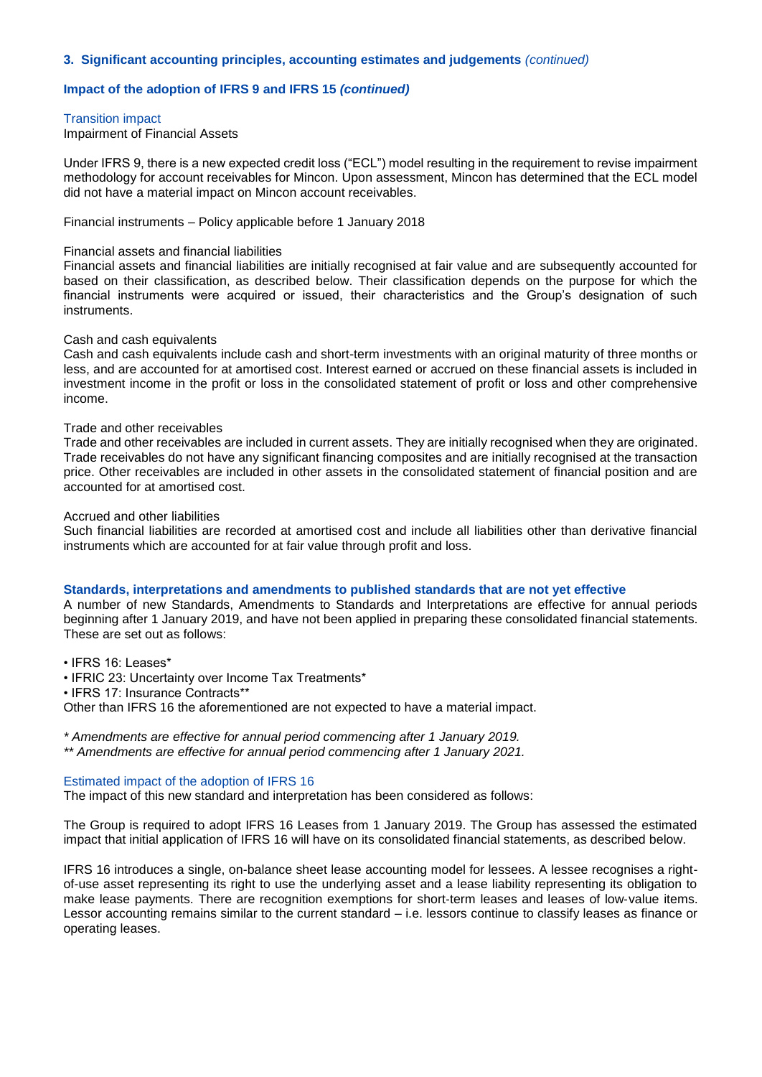#### **Impact of the adoption of IFRS 9 and IFRS 15** *(continued)*

#### Transition impact

Impairment of Financial Assets

Under IFRS 9, there is a new expected credit loss ("ECL") model resulting in the requirement to revise impairment methodology for account receivables for Mincon. Upon assessment, Mincon has determined that the ECL model did not have a material impact on Mincon account receivables.

Financial instruments – Policy applicable before 1 January 2018

#### Financial assets and financial liabilities

Financial assets and financial liabilities are initially recognised at fair value and are subsequently accounted for based on their classification, as described below. Their classification depends on the purpose for which the financial instruments were acquired or issued, their characteristics and the Group's designation of such instruments.

#### Cash and cash equivalents

Cash and cash equivalents include cash and short-term investments with an original maturity of three months or less, and are accounted for at amortised cost. Interest earned or accrued on these financial assets is included in investment income in the profit or loss in the consolidated statement of profit or loss and other comprehensive income.

#### Trade and other receivables

Trade and other receivables are included in current assets. They are initially recognised when they are originated. Trade receivables do not have any significant financing composites and are initially recognised at the transaction price. Other receivables are included in other assets in the consolidated statement of financial position and are accounted for at amortised cost.

#### Accrued and other liabilities

Such financial liabilities are recorded at amortised cost and include all liabilities other than derivative financial instruments which are accounted for at fair value through profit and loss.

#### **Standards, interpretations and amendments to published standards that are not yet effective**

A number of new Standards, Amendments to Standards and Interpretations are effective for annual periods beginning after 1 January 2019, and have not been applied in preparing these consolidated financial statements. These are set out as follows:

• IFRS 16: Leases\*

• IFRIC 23: Uncertainty over Income Tax Treatments\*

• IFRS 17: Insurance Contracts\*\*

Other than IFRS 16 the aforementioned are not expected to have a material impact.

*\* Amendments are effective for annual period commencing after 1 January 2019.*

*\*\* Amendments are effective for annual period commencing after 1 January 2021.*

#### Estimated impact of the adoption of IFRS 16

The impact of this new standard and interpretation has been considered as follows:

The Group is required to adopt IFRS 16 Leases from 1 January 2019. The Group has assessed the estimated impact that initial application of IFRS 16 will have on its consolidated financial statements, as described below.

IFRS 16 introduces a single, on-balance sheet lease accounting model for lessees. A lessee recognises a rightof-use asset representing its right to use the underlying asset and a lease liability representing its obligation to make lease payments. There are recognition exemptions for short-term leases and leases of low-value items. Lessor accounting remains similar to the current standard – i.e. lessors continue to classify leases as finance or operating leases.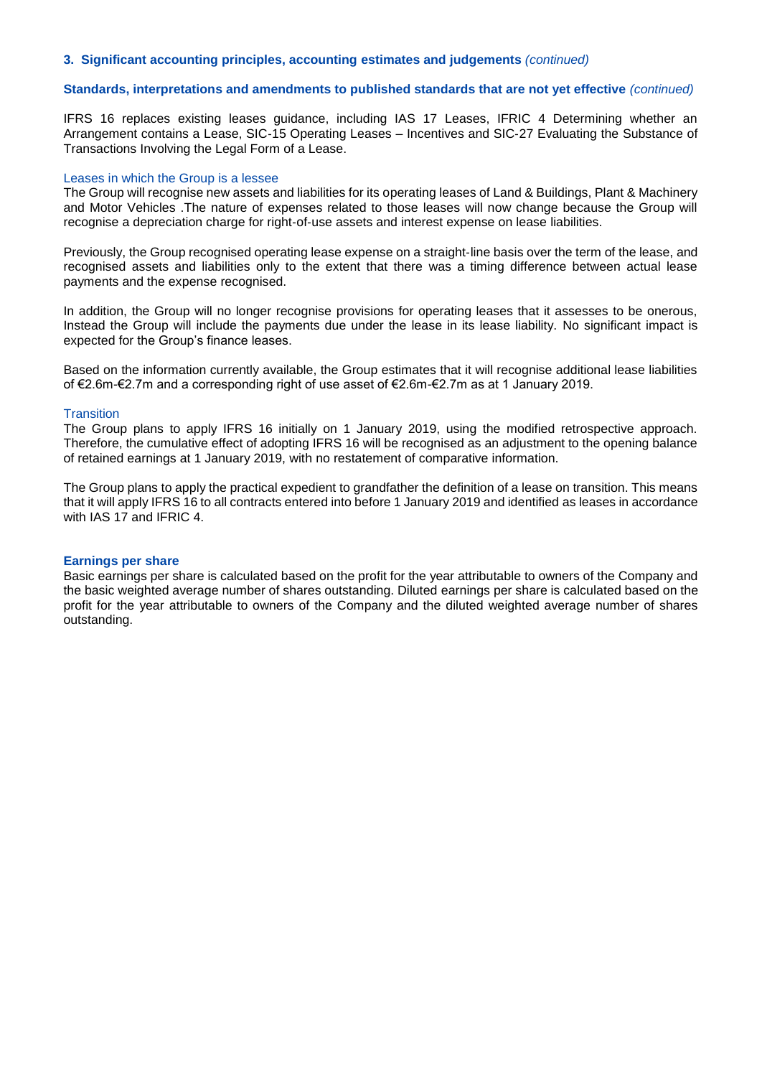#### **Standards, interpretations and amendments to published standards that are not yet effective** *(continued)*

IFRS 16 replaces existing leases guidance, including IAS 17 Leases, IFRIC 4 Determining whether an Arrangement contains a Lease, SIC‑15 Operating Leases – Incentives and SIC‑27 Evaluating the Substance of Transactions Involving the Legal Form of a Lease.

#### Leases in which the Group is a lessee

The Group will recognise new assets and liabilities for its operating leases of Land & Buildings, Plant & Machinery and Motor Vehicles .The nature of expenses related to those leases will now change because the Group will recognise a depreciation charge for right-of-use assets and interest expense on lease liabilities.

Previously, the Group recognised operating lease expense on a straight-line basis over the term of the lease, and recognised assets and liabilities only to the extent that there was a timing difference between actual lease payments and the expense recognised.

In addition, the Group will no longer recognise provisions for operating leases that it assesses to be onerous, Instead the Group will include the payments due under the lease in its lease liability. No significant impact is expected for the Group's finance leases.

Based on the information currently available, the Group estimates that it will recognise additional lease liabilities of €2.6m-€2.7m and a corresponding right of use asset of €2.6m-€2.7m as at 1 January 2019.

#### **Transition**

The Group plans to apply IFRS 16 initially on 1 January 2019, using the modified retrospective approach. Therefore, the cumulative effect of adopting IFRS 16 will be recognised as an adjustment to the opening balance of retained earnings at 1 January 2019, with no restatement of comparative information.

The Group plans to apply the practical expedient to grandfather the definition of a lease on transition. This means that it will apply IFRS 16 to all contracts entered into before 1 January 2019 and identified as leases in accordance with IAS 17 and IFRIC 4.

### **Earnings per share**

Basic earnings per share is calculated based on the profit for the year attributable to owners of the Company and the basic weighted average number of shares outstanding. Diluted earnings per share is calculated based on the profit for the year attributable to owners of the Company and the diluted weighted average number of shares outstanding.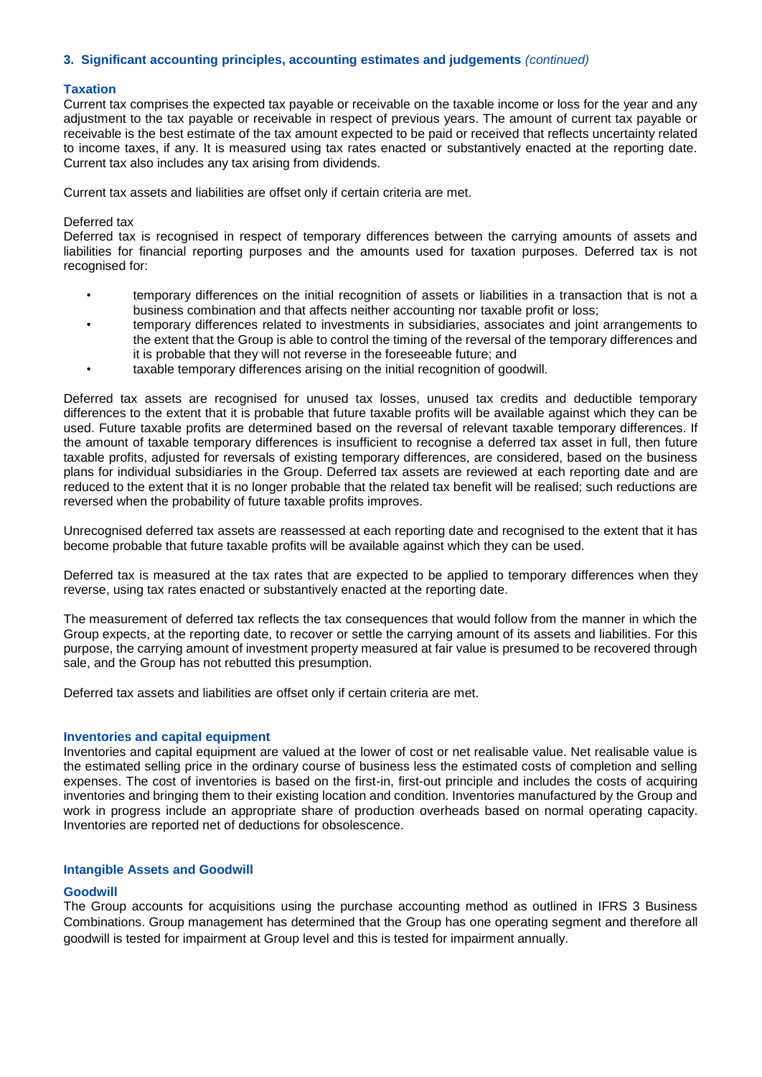#### **Taxation**

Current tax comprises the expected tax payable or receivable on the taxable income or loss for the year and any adjustment to the tax payable or receivable in respect of previous years. The amount of current tax payable or receivable is the best estimate of the tax amount expected to be paid or received that reflects uncertainty related to income taxes, if any. It is measured using tax rates enacted or substantively enacted at the reporting date. Current tax also includes any tax arising from dividends.

Current tax assets and liabilities are offset only if certain criteria are met.

#### Deferred tax

Deferred tax is recognised in respect of temporary differences between the carrying amounts of assets and liabilities for financial reporting purposes and the amounts used for taxation purposes. Deferred tax is not recognised for:

- temporary differences on the initial recognition of assets or liabilities in a transaction that is not a business combination and that affects neither accounting nor taxable profit or loss;
- temporary differences related to investments in subsidiaries, associates and joint arrangements to the extent that the Group is able to control the timing of the reversal of the temporary differences and it is probable that they will not reverse in the foreseeable future; and
- taxable temporary differences arising on the initial recognition of goodwill.

Deferred tax assets are recognised for unused tax losses, unused tax credits and deductible temporary differences to the extent that it is probable that future taxable profits will be available against which they can be used. Future taxable profits are determined based on the reversal of relevant taxable temporary differences. If the amount of taxable temporary differences is insufficient to recognise a deferred tax asset in full, then future taxable profits, adjusted for reversals of existing temporary differences, are considered, based on the business plans for individual subsidiaries in the Group. Deferred tax assets are reviewed at each reporting date and are reduced to the extent that it is no longer probable that the related tax benefit will be realised; such reductions are reversed when the probability of future taxable profits improves.

Unrecognised deferred tax assets are reassessed at each reporting date and recognised to the extent that it has become probable that future taxable profits will be available against which they can be used.

Deferred tax is measured at the tax rates that are expected to be applied to temporary differences when they reverse, using tax rates enacted or substantively enacted at the reporting date.

The measurement of deferred tax reflects the tax consequences that would follow from the manner in which the Group expects, at the reporting date, to recover or settle the carrying amount of its assets and liabilities. For this purpose, the carrying amount of investment property measured at fair value is presumed to be recovered through sale, and the Group has not rebutted this presumption.

Deferred tax assets and liabilities are offset only if certain criteria are met.

#### **Inventories and capital equipment**

Inventories and capital equipment are valued at the lower of cost or net realisable value. Net realisable value is the estimated selling price in the ordinary course of business less the estimated costs of completion and selling expenses. The cost of inventories is based on the first-in, first-out principle and includes the costs of acquiring inventories and bringing them to their existing location and condition. Inventories manufactured by the Group and work in progress include an appropriate share of production overheads based on normal operating capacity. Inventories are reported net of deductions for obsolescence.

#### **Intangible Assets and Goodwill**

#### **Goodwill**

The Group accounts for acquisitions using the purchase accounting method as outlined in IFRS 3 Business Combinations. Group management has determined that the Group has one operating segment and therefore all goodwill is tested for impairment at Group level and this is tested for impairment annually.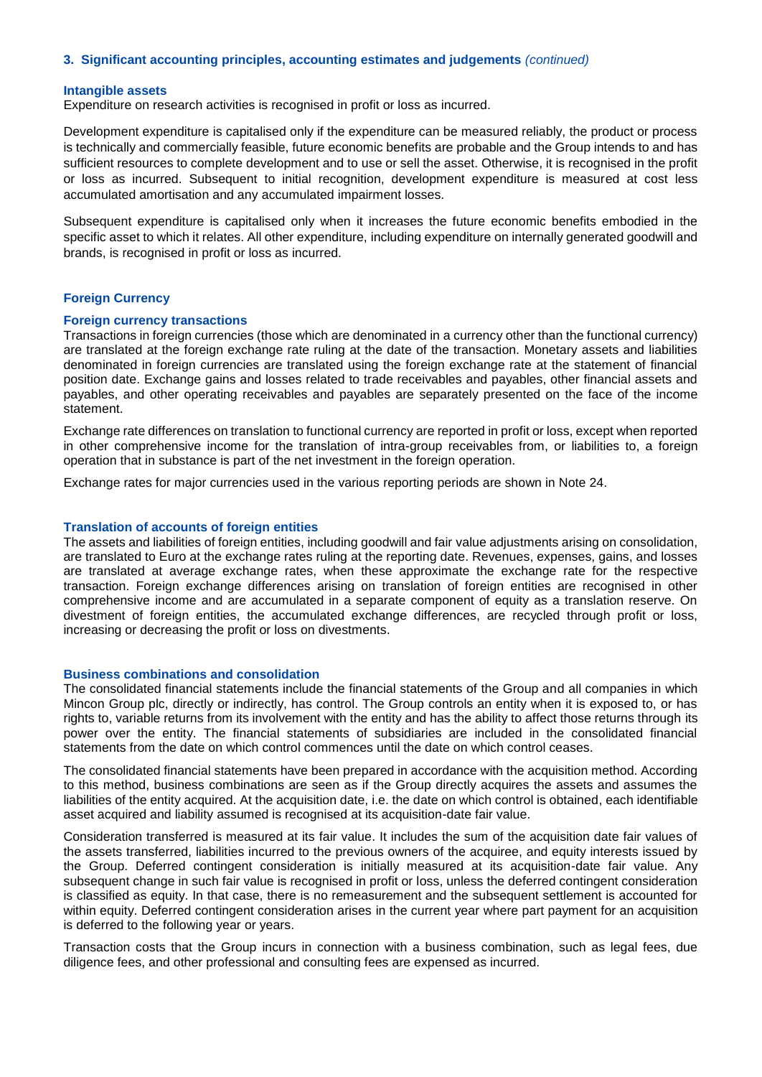#### **Intangible assets**

Expenditure on research activities is recognised in profit or loss as incurred.

Development expenditure is capitalised only if the expenditure can be measured reliably, the product or process is technically and commercially feasible, future economic benefits are probable and the Group intends to and has sufficient resources to complete development and to use or sell the asset. Otherwise, it is recognised in the profit or loss as incurred. Subsequent to initial recognition, development expenditure is measured at cost less accumulated amortisation and any accumulated impairment losses.

Subsequent expenditure is capitalised only when it increases the future economic benefits embodied in the specific asset to which it relates. All other expenditure, including expenditure on internally generated goodwill and brands, is recognised in profit or loss as incurred.

#### **Foreign Currency**

#### **Foreign currency transactions**

Transactions in foreign currencies (those which are denominated in a currency other than the functional currency) are translated at the foreign exchange rate ruling at the date of the transaction. Monetary assets and liabilities denominated in foreign currencies are translated using the foreign exchange rate at the statement of financial position date. Exchange gains and losses related to trade receivables and payables, other financial assets and payables, and other operating receivables and payables are separately presented on the face of the income statement.

Exchange rate differences on translation to functional currency are reported in profit or loss, except when reported in other comprehensive income for the translation of intra-group receivables from, or liabilities to, a foreign operation that in substance is part of the net investment in the foreign operation.

Exchange rates for major currencies used in the various reporting periods are shown in Note 24.

#### **Translation of accounts of foreign entities**

The assets and liabilities of foreign entities, including goodwill and fair value adjustments arising on consolidation, are translated to Euro at the exchange rates ruling at the reporting date. Revenues, expenses, gains, and losses are translated at average exchange rates, when these approximate the exchange rate for the respective transaction. Foreign exchange differences arising on translation of foreign entities are recognised in other comprehensive income and are accumulated in a separate component of equity as a translation reserve. On divestment of foreign entities, the accumulated exchange differences, are recycled through profit or loss, increasing or decreasing the profit or loss on divestments.

#### **Business combinations and consolidation**

The consolidated financial statements include the financial statements of the Group and all companies in which Mincon Group plc, directly or indirectly, has control. The Group controls an entity when it is exposed to, or has rights to, variable returns from its involvement with the entity and has the ability to affect those returns through its power over the entity. The financial statements of subsidiaries are included in the consolidated financial statements from the date on which control commences until the date on which control ceases.

The consolidated financial statements have been prepared in accordance with the acquisition method. According to this method, business combinations are seen as if the Group directly acquires the assets and assumes the liabilities of the entity acquired. At the acquisition date, i.e. the date on which control is obtained, each identifiable asset acquired and liability assumed is recognised at its acquisition-date fair value.

Consideration transferred is measured at its fair value. It includes the sum of the acquisition date fair values of the assets transferred, liabilities incurred to the previous owners of the acquiree, and equity interests issued by the Group. Deferred contingent consideration is initially measured at its acquisition-date fair value. Any subsequent change in such fair value is recognised in profit or loss, unless the deferred contingent consideration is classified as equity. In that case, there is no remeasurement and the subsequent settlement is accounted for within equity. Deferred contingent consideration arises in the current year where part payment for an acquisition is deferred to the following year or years.

Transaction costs that the Group incurs in connection with a business combination, such as legal fees, due diligence fees, and other professional and consulting fees are expensed as incurred.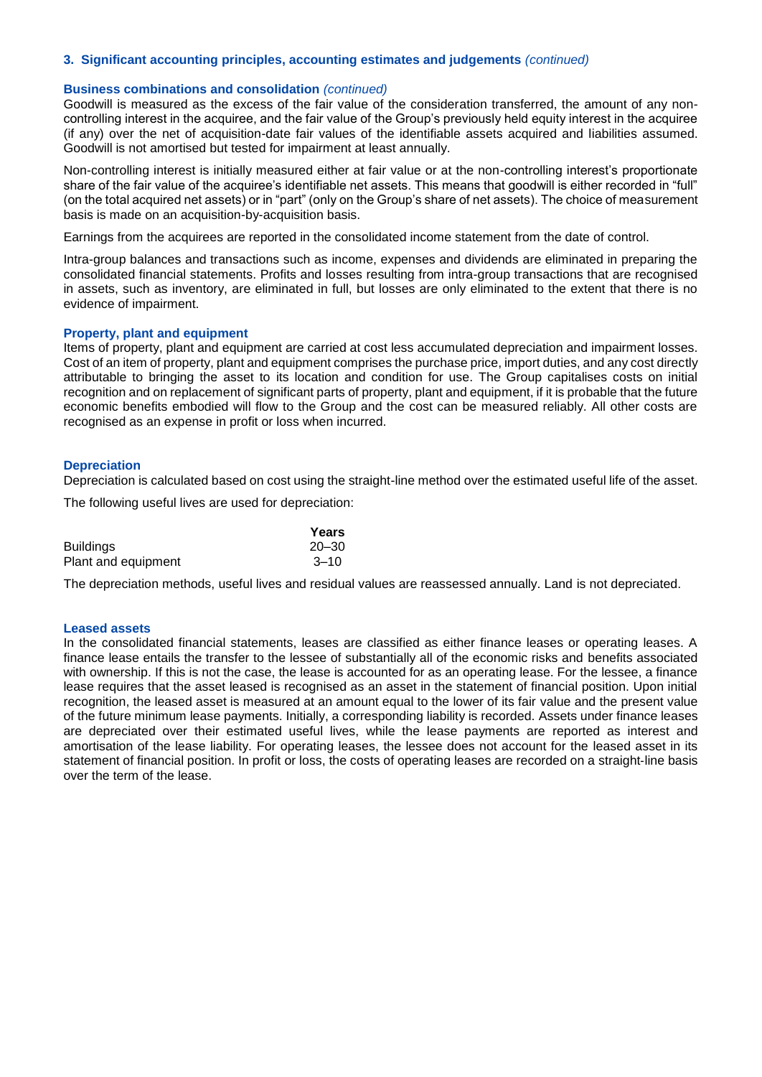#### **Business combinations and consolidation** *(continued)*

Goodwill is measured as the excess of the fair value of the consideration transferred, the amount of any noncontrolling interest in the acquiree, and the fair value of the Group's previously held equity interest in the acquiree (if any) over the net of acquisition-date fair values of the identifiable assets acquired and liabilities assumed. Goodwill is not amortised but tested for impairment at least annually.

Non-controlling interest is initially measured either at fair value or at the non-controlling interest's proportionate share of the fair value of the acquiree's identifiable net assets. This means that goodwill is either recorded in "full" (on the total acquired net assets) or in "part" (only on the Group's share of net assets). The choice of measurement basis is made on an acquisition-by-acquisition basis.

Earnings from the acquirees are reported in the consolidated income statement from the date of control.

Intra-group balances and transactions such as income, expenses and dividends are eliminated in preparing the consolidated financial statements. Profits and losses resulting from intra-group transactions that are recognised in assets, such as inventory, are eliminated in full, but losses are only eliminated to the extent that there is no evidence of impairment.

#### **Property, plant and equipment**

Items of property, plant and equipment are carried at cost less accumulated depreciation and impairment losses. Cost of an item of property, plant and equipment comprises the purchase price, import duties, and any cost directly attributable to bringing the asset to its location and condition for use. The Group capitalises costs on initial recognition and on replacement of significant parts of property, plant and equipment, if it is probable that the future economic benefits embodied will flow to the Group and the cost can be measured reliably. All other costs are recognised as an expense in profit or loss when incurred.

#### **Depreciation**

Depreciation is calculated based on cost using the straight-line method over the estimated useful life of the asset.

The following useful lives are used for depreciation:

|                     | Years     |
|---------------------|-----------|
| <b>Buildings</b>    | $20 - 30$ |
| Plant and equipment | $3 - 10$  |

The depreciation methods, useful lives and residual values are reassessed annually. Land is not depreciated.

#### **Leased assets**

In the consolidated financial statements, leases are classified as either finance leases or operating leases. A finance lease entails the transfer to the lessee of substantially all of the economic risks and benefits associated with ownership. If this is not the case, the lease is accounted for as an operating lease. For the lessee, a finance lease requires that the asset leased is recognised as an asset in the statement of financial position. Upon initial recognition, the leased asset is measured at an amount equal to the lower of its fair value and the present value of the future minimum lease payments. Initially, a corresponding liability is recorded. Assets under finance leases are depreciated over their estimated useful lives, while the lease payments are reported as interest and amortisation of the lease liability. For operating leases, the lessee does not account for the leased asset in its statement of financial position. In profit or loss, the costs of operating leases are recorded on a straight-line basis over the term of the lease.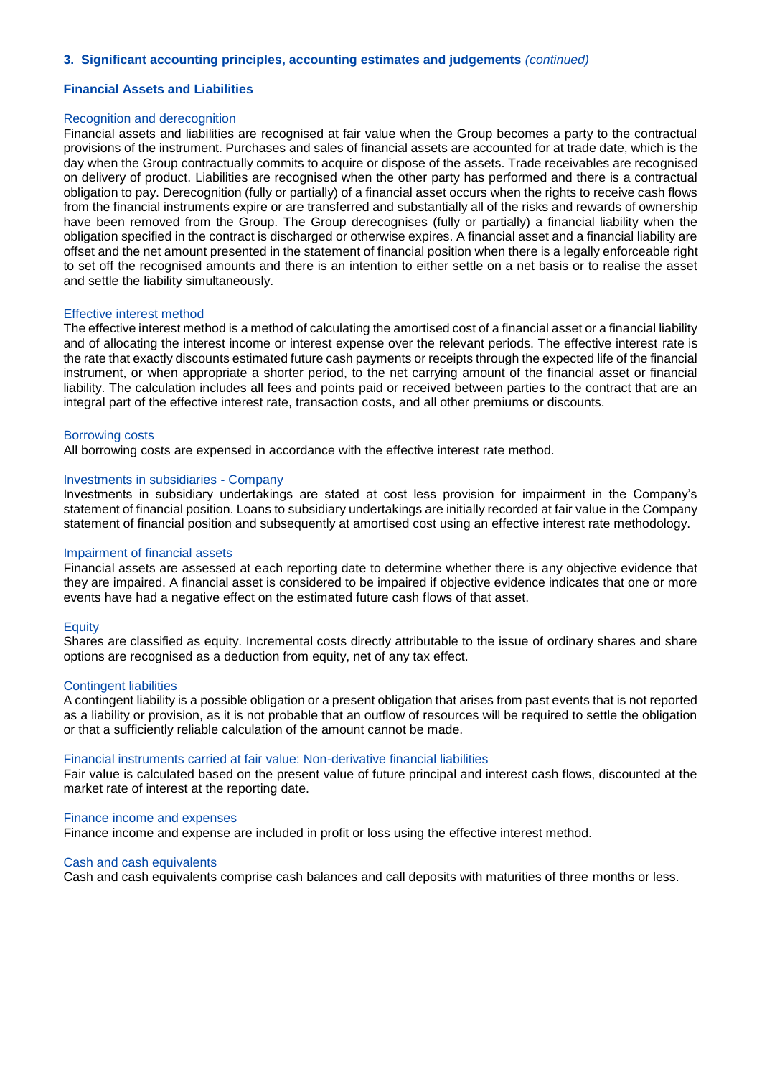#### **Financial Assets and Liabilities**

#### Recognition and derecognition

Financial assets and liabilities are recognised at fair value when the Group becomes a party to the contractual provisions of the instrument. Purchases and sales of financial assets are accounted for at trade date, which is the day when the Group contractually commits to acquire or dispose of the assets. Trade receivables are recognised on delivery of product. Liabilities are recognised when the other party has performed and there is a contractual obligation to pay. Derecognition (fully or partially) of a financial asset occurs when the rights to receive cash flows from the financial instruments expire or are transferred and substantially all of the risks and rewards of ownership have been removed from the Group. The Group derecognises (fully or partially) a financial liability when the obligation specified in the contract is discharged or otherwise expires. A financial asset and a financial liability are offset and the net amount presented in the statement of financial position when there is a legally enforceable right to set off the recognised amounts and there is an intention to either settle on a net basis or to realise the asset and settle the liability simultaneously.

#### Effective interest method

The effective interest method is a method of calculating the amortised cost of a financial asset or a financial liability and of allocating the interest income or interest expense over the relevant periods. The effective interest rate is the rate that exactly discounts estimated future cash payments or receipts through the expected life of the financial instrument, or when appropriate a shorter period, to the net carrying amount of the financial asset or financial liability. The calculation includes all fees and points paid or received between parties to the contract that are an integral part of the effective interest rate, transaction costs, and all other premiums or discounts.

#### Borrowing costs

All borrowing costs are expensed in accordance with the effective interest rate method.

#### Investments in subsidiaries - Company

Investments in subsidiary undertakings are stated at cost less provision for impairment in the Company's statement of financial position. Loans to subsidiary undertakings are initially recorded at fair value in the Company statement of financial position and subsequently at amortised cost using an effective interest rate methodology.

#### Impairment of financial assets

Financial assets are assessed at each reporting date to determine whether there is any objective evidence that they are impaired. A financial asset is considered to be impaired if objective evidence indicates that one or more events have had a negative effect on the estimated future cash flows of that asset.

#### **Equity**

Shares are classified as equity. Incremental costs directly attributable to the issue of ordinary shares and share options are recognised as a deduction from equity, net of any tax effect.

#### Contingent liabilities

A contingent liability is a possible obligation or a present obligation that arises from past events that is not reported as a liability or provision, as it is not probable that an outflow of resources will be required to settle the obligation or that a sufficiently reliable calculation of the amount cannot be made.

#### Financial instruments carried at fair value: Non-derivative financial liabilities

Fair value is calculated based on the present value of future principal and interest cash flows, discounted at the market rate of interest at the reporting date.

#### Finance income and expenses

Finance income and expense are included in profit or loss using the effective interest method.

#### Cash and cash equivalents

Cash and cash equivalents comprise cash balances and call deposits with maturities of three months or less.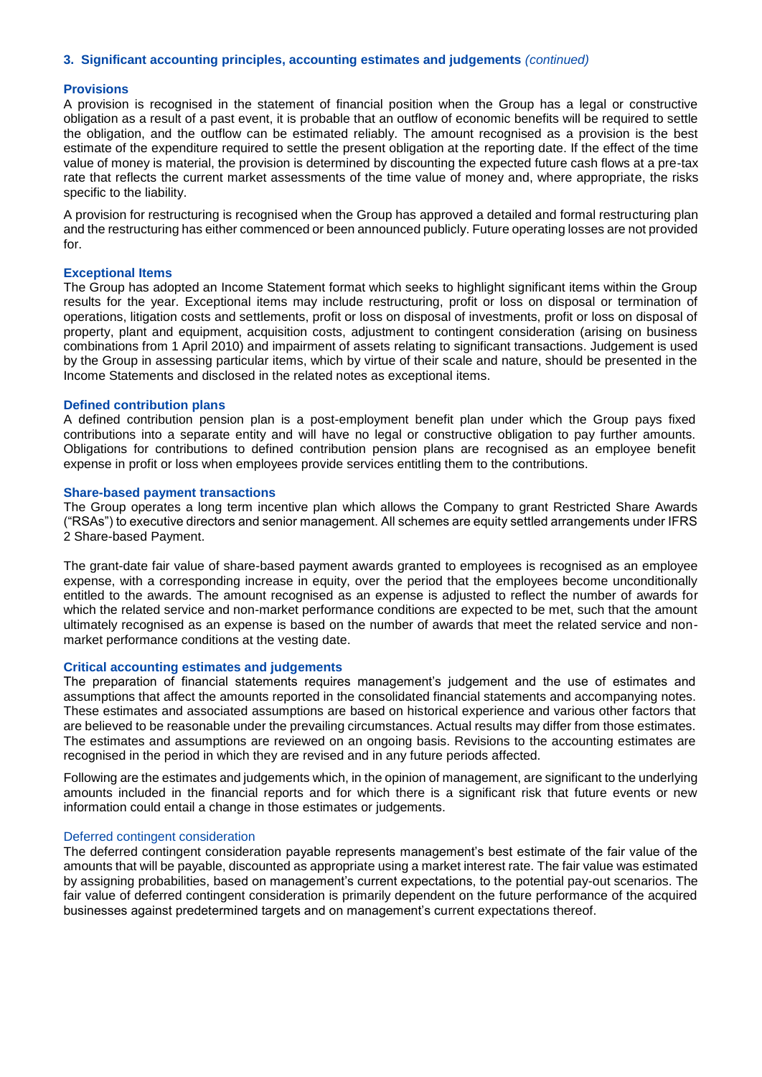#### **Provisions**

A provision is recognised in the statement of financial position when the Group has a legal or constructive obligation as a result of a past event, it is probable that an outflow of economic benefits will be required to settle the obligation, and the outflow can be estimated reliably. The amount recognised as a provision is the best estimate of the expenditure required to settle the present obligation at the reporting date. If the effect of the time value of money is material, the provision is determined by discounting the expected future cash flows at a pre-tax rate that reflects the current market assessments of the time value of money and, where appropriate, the risks specific to the liability.

A provision for restructuring is recognised when the Group has approved a detailed and formal restructuring plan and the restructuring has either commenced or been announced publicly. Future operating losses are not provided for.

#### **Exceptional Items**

The Group has adopted an Income Statement format which seeks to highlight significant items within the Group results for the year. Exceptional items may include restructuring, profit or loss on disposal or termination of operations, litigation costs and settlements, profit or loss on disposal of investments, profit or loss on disposal of property, plant and equipment, acquisition costs, adjustment to contingent consideration (arising on business combinations from 1 April 2010) and impairment of assets relating to significant transactions. Judgement is used by the Group in assessing particular items, which by virtue of their scale and nature, should be presented in the Income Statements and disclosed in the related notes as exceptional items.

#### **Defined contribution plans**

A defined contribution pension plan is a post-employment benefit plan under which the Group pays fixed contributions into a separate entity and will have no legal or constructive obligation to pay further amounts. Obligations for contributions to defined contribution pension plans are recognised as an employee benefit expense in profit or loss when employees provide services entitling them to the contributions.

#### **Share-based payment transactions**

The Group operates a long term incentive plan which allows the Company to grant Restricted Share Awards ("RSAs") to executive directors and senior management. All schemes are equity settled arrangements under IFRS 2 Share-based Payment.

The grant-date fair value of share-based payment awards granted to employees is recognised as an employee expense, with a corresponding increase in equity, over the period that the employees become unconditionally entitled to the awards. The amount recognised as an expense is adjusted to reflect the number of awards for which the related service and non-market performance conditions are expected to be met, such that the amount ultimately recognised as an expense is based on the number of awards that meet the related service and nonmarket performance conditions at the vesting date.

#### **Critical accounting estimates and judgements**

The preparation of financial statements requires management's judgement and the use of estimates and assumptions that affect the amounts reported in the consolidated financial statements and accompanying notes. These estimates and associated assumptions are based on historical experience and various other factors that are believed to be reasonable under the prevailing circumstances. Actual results may differ from those estimates. The estimates and assumptions are reviewed on an ongoing basis. Revisions to the accounting estimates are recognised in the period in which they are revised and in any future periods affected.

Following are the estimates and judgements which, in the opinion of management, are significant to the underlying amounts included in the financial reports and for which there is a significant risk that future events or new information could entail a change in those estimates or judgements.

#### Deferred contingent consideration

The deferred contingent consideration payable represents management's best estimate of the fair value of the amounts that will be payable, discounted as appropriate using a market interest rate. The fair value was estimated by assigning probabilities, based on management's current expectations, to the potential pay-out scenarios. The fair value of deferred contingent consideration is primarily dependent on the future performance of the acquired businesses against predetermined targets and on management's current expectations thereof.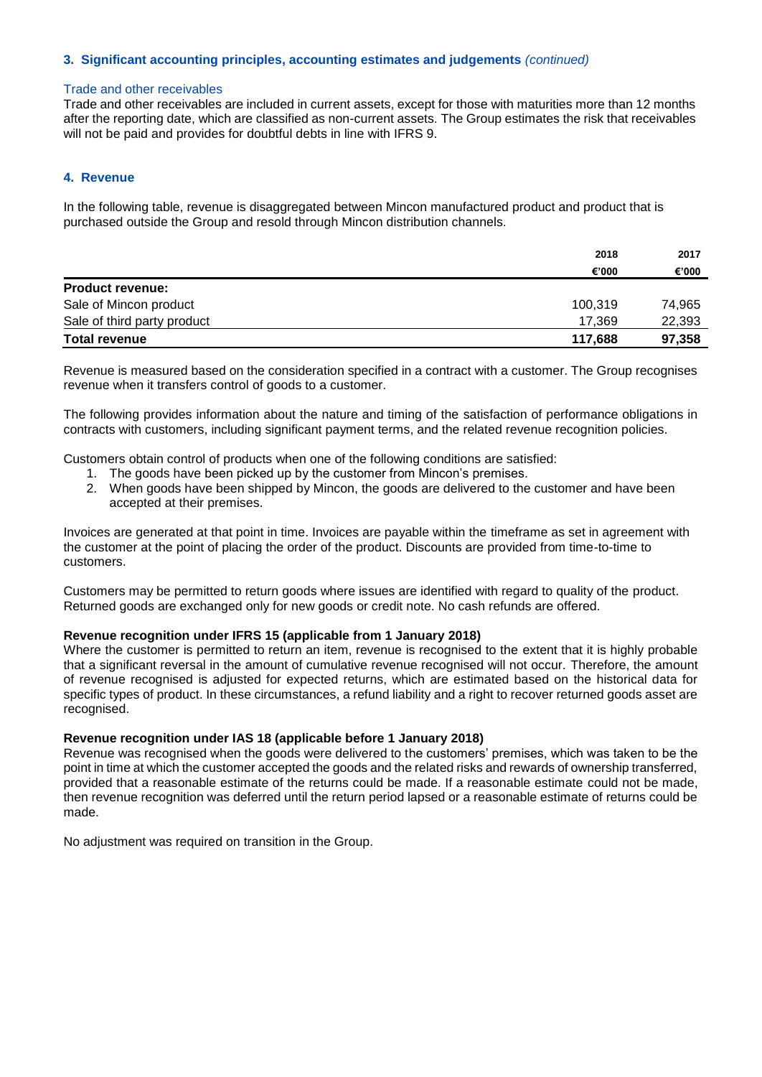#### Trade and other receivables

Trade and other receivables are included in current assets, except for those with maturities more than 12 months after the reporting date, which are classified as non-current assets. The Group estimates the risk that receivables will not be paid and provides for doubtful debts in line with IFRS 9.

## **4. Revenue**

In the following table, revenue is disaggregated between Mincon manufactured product and product that is purchased outside the Group and resold through Mincon distribution channels.

|                             | 2018    | 2017   |
|-----------------------------|---------|--------|
|                             | €'000   | €'000  |
| <b>Product revenue:</b>     |         |        |
| Sale of Mincon product      | 100,319 | 74,965 |
| Sale of third party product | 17.369  | 22,393 |
| <b>Total revenue</b>        | 117,688 | 97,358 |

Revenue is measured based on the consideration specified in a contract with a customer. The Group recognises revenue when it transfers control of goods to a customer.

The following provides information about the nature and timing of the satisfaction of performance obligations in contracts with customers, including significant payment terms, and the related revenue recognition policies.

Customers obtain control of products when one of the following conditions are satisfied:

- 1. The goods have been picked up by the customer from Mincon's premises.
- 2. When goods have been shipped by Mincon, the goods are delivered to the customer and have been accepted at their premises.

Invoices are generated at that point in time. Invoices are payable within the timeframe as set in agreement with the customer at the point of placing the order of the product. Discounts are provided from time-to-time to customers.

Customers may be permitted to return goods where issues are identified with regard to quality of the product. Returned goods are exchanged only for new goods or credit note. No cash refunds are offered.

#### **Revenue recognition under IFRS 15 (applicable from 1 January 2018)**

Where the customer is permitted to return an item, revenue is recognised to the extent that it is highly probable that a significant reversal in the amount of cumulative revenue recognised will not occur. Therefore, the amount of revenue recognised is adjusted for expected returns, which are estimated based on the historical data for specific types of product. In these circumstances, a refund liability and a right to recover returned goods asset are recognised.

## **Revenue recognition under IAS 18 (applicable before 1 January 2018)**

Revenue was recognised when the goods were delivered to the customers' premises, which was taken to be the point in time at which the customer accepted the goods and the related risks and rewards of ownership transferred, provided that a reasonable estimate of the returns could be made. If a reasonable estimate could not be made, then revenue recognition was deferred until the return period lapsed or a reasonable estimate of returns could be made.

No adjustment was required on transition in the Group.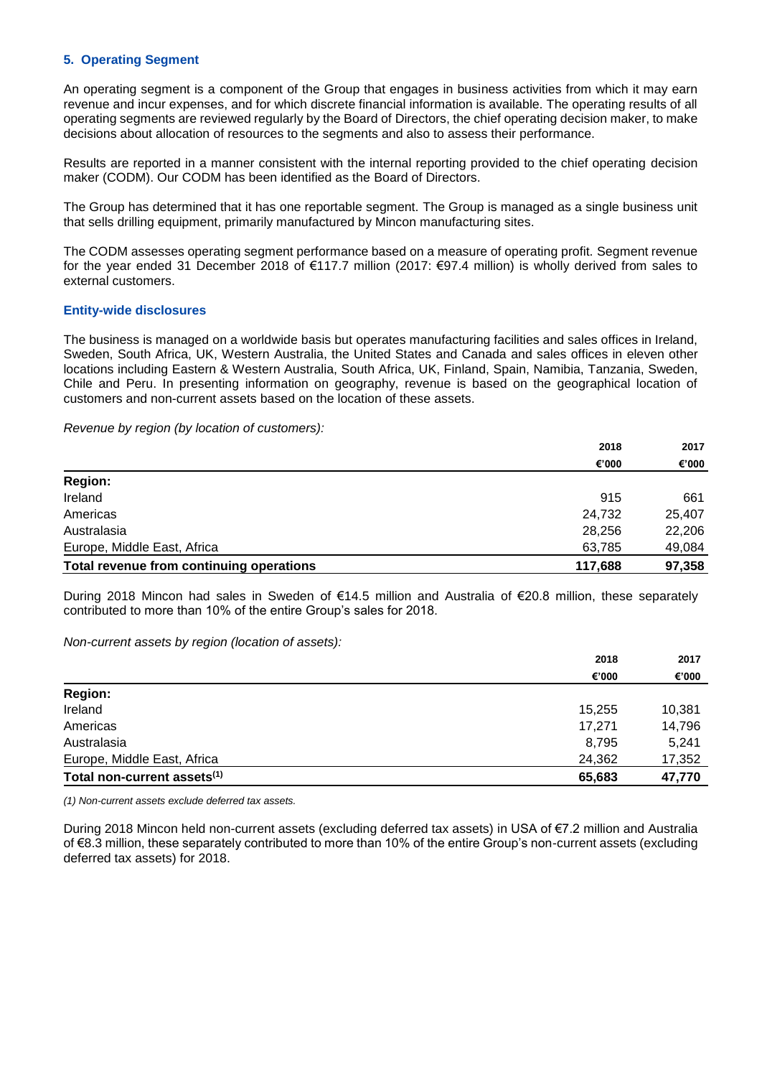### **5. Operating Segment**

An operating segment is a component of the Group that engages in business activities from which it may earn revenue and incur expenses, and for which discrete financial information is available. The operating results of all operating segments are reviewed regularly by the Board of Directors, the chief operating decision maker, to make decisions about allocation of resources to the segments and also to assess their performance.

Results are reported in a manner consistent with the internal reporting provided to the chief operating decision maker (CODM). Our CODM has been identified as the Board of Directors.

The Group has determined that it has one reportable segment. The Group is managed as a single business unit that sells drilling equipment, primarily manufactured by Mincon manufacturing sites.

The CODM assesses operating segment performance based on a measure of operating profit. Segment revenue for the year ended 31 December 2018 of €117.7 million (2017: €97.4 million) is wholly derived from sales to external customers.

#### **Entity-wide disclosures**

The business is managed on a worldwide basis but operates manufacturing facilities and sales offices in Ireland, Sweden, South Africa, UK, Western Australia, the United States and Canada and sales offices in eleven other locations including Eastern & Western Australia, South Africa, UK, Finland, Spain, Namibia, Tanzania, Sweden, Chile and Peru. In presenting information on geography, revenue is based on the geographical location of customers and non-current assets based on the location of these assets.

*Revenue by region (by location of customers):*

|                                          | 2018    | 2017   |
|------------------------------------------|---------|--------|
|                                          | €'000   | €'000  |
| <b>Region:</b>                           |         |        |
| Ireland                                  | 915     | 661    |
| Americas                                 | 24,732  | 25,407 |
| Australasia                              | 28,256  | 22,206 |
| Europe, Middle East, Africa              | 63,785  | 49,084 |
| Total revenue from continuing operations | 117,688 | 97,358 |

During 2018 Mincon had sales in Sweden of €14.5 million and Australia of €20.8 million, these separately contributed to more than 10% of the entire Group's sales for 2018.

*Non-current assets by region (location of assets):*

|                                         | 2018   | 2017   |
|-----------------------------------------|--------|--------|
|                                         | €'000  | €'000  |
| <b>Region:</b>                          |        |        |
| Ireland                                 | 15,255 | 10,381 |
| Americas                                | 17,271 | 14,796 |
| Australasia                             | 8.795  | 5.241  |
| Europe, Middle East, Africa             | 24,362 | 17,352 |
| Total non-current assets <sup>(1)</sup> | 65,683 | 47,770 |

*(1) Non-current assets exclude deferred tax assets.*

During 2018 Mincon held non-current assets (excluding deferred tax assets) in USA of €7.2 million and Australia of €8.3 million, these separately contributed to more than 10% of the entire Group's non-current assets (excluding deferred tax assets) for 2018.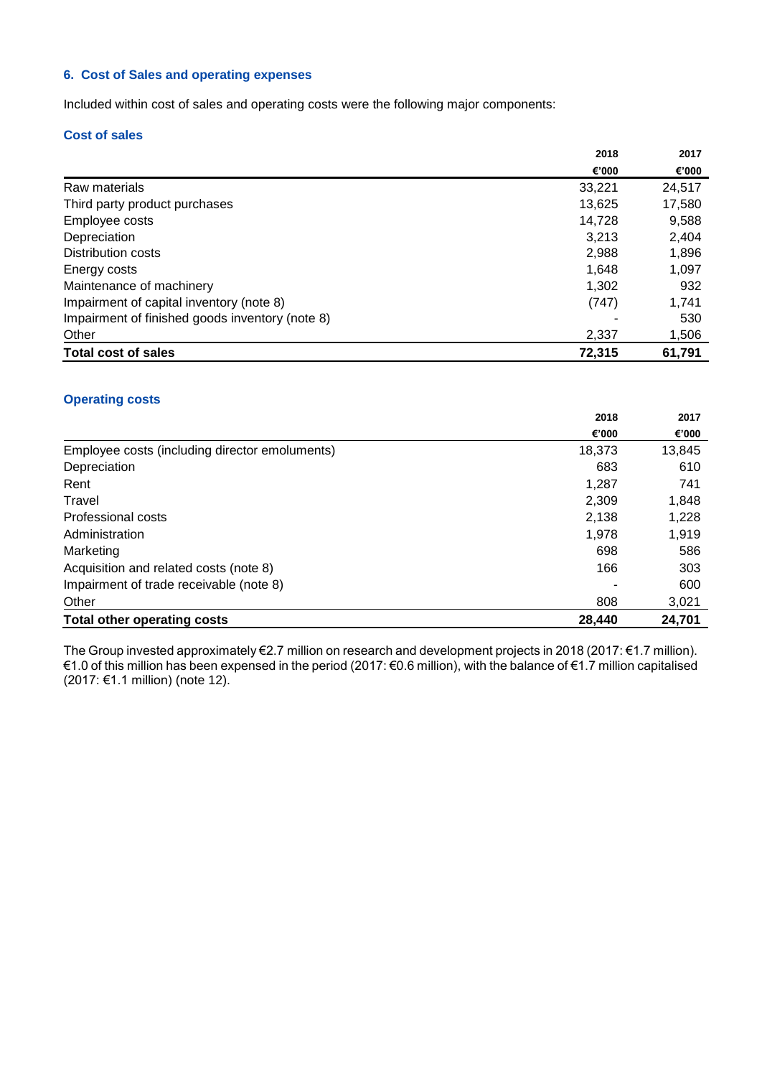## **6. Cost of Sales and operating expenses**

Included within cost of sales and operating costs were the following major components:

## **Cost of sales**

|                                                 | 2018   | 2017   |
|-------------------------------------------------|--------|--------|
|                                                 | €'000  | €'000  |
| Raw materials                                   | 33.221 | 24,517 |
| Third party product purchases                   | 13,625 | 17,580 |
| Employee costs                                  | 14.728 | 9,588  |
| Depreciation                                    | 3.213  | 2,404  |
| Distribution costs                              | 2,988  | 1,896  |
| Energy costs                                    | 1.648  | 1,097  |
| Maintenance of machinery                        | 1.302  | 932    |
| Impairment of capital inventory (note 8)        | (747)  | 1,741  |
| Impairment of finished goods inventory (note 8) |        | 530    |
| Other                                           | 2,337  | 1,506  |
| <b>Total cost of sales</b>                      | 72,315 | 61,791 |

## **Operating costs**

|                                                | 2018   | 2017   |
|------------------------------------------------|--------|--------|
|                                                | €'000  | €'000  |
| Employee costs (including director emoluments) | 18,373 | 13,845 |
| Depreciation                                   | 683    | 610    |
| Rent                                           | 1,287  | 741    |
| Travel                                         | 2,309  | 1,848  |
| Professional costs                             | 2,138  | 1,228  |
| Administration                                 | 1,978  | 1,919  |
| Marketing                                      | 698    | 586    |
| Acquisition and related costs (note 8)         | 166    | 303    |
| Impairment of trade receivable (note 8)        |        | 600    |
| Other                                          | 808    | 3,021  |
| <b>Total other operating costs</b>             | 28.440 | 24.701 |

The Group invested approximately €2.7 million on research and development projects in 2018 (2017: €1.7 million). €1.0 of this million has been expensed in the period (2017: €0.6 million), with the balance of €1.7 million capitalised (2017: €1.1 million) (note 12).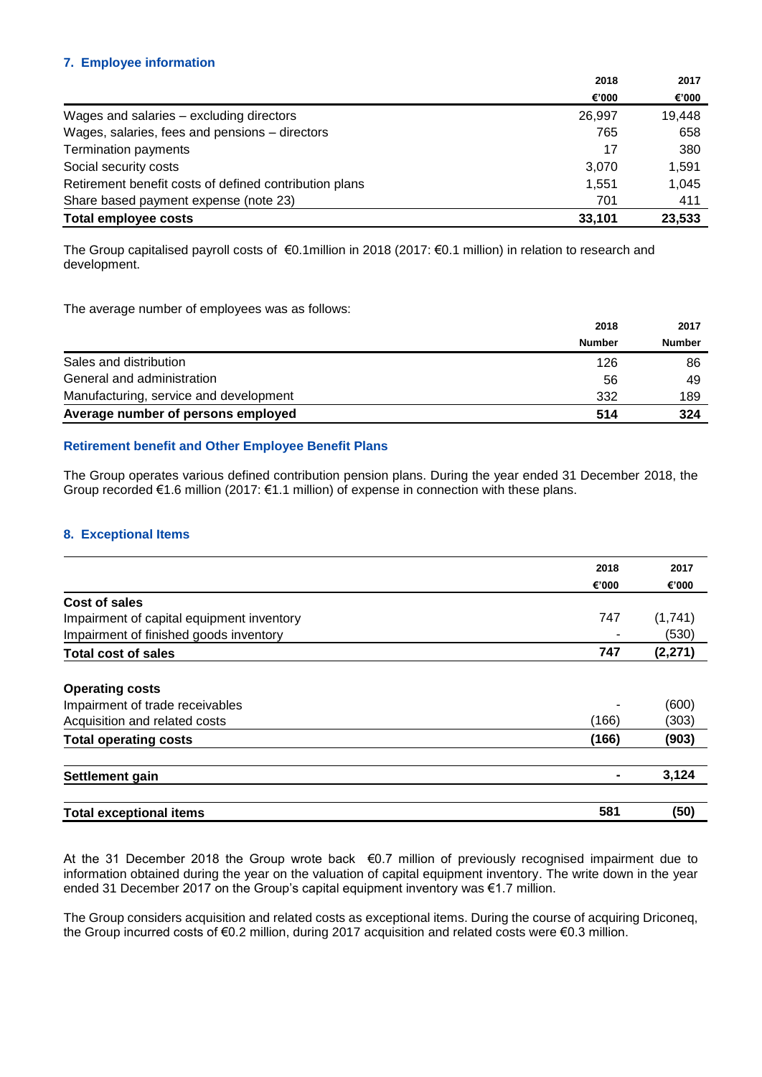## **7. Employee information**

|                                                        | 2018   | 2017   |
|--------------------------------------------------------|--------|--------|
|                                                        | €'000  | €'000  |
| Wages and salaries - excluding directors               | 26.997 | 19,448 |
| Wages, salaries, fees and pensions - directors         | 765    | 658    |
| Termination payments                                   | 17     | 380    |
| Social security costs                                  | 3.070  | 1,591  |
| Retirement benefit costs of defined contribution plans | 1.551  | 1,045  |
| Share based payment expense (note 23)                  | 701    | 411    |
| <b>Total employee costs</b>                            | 33,101 | 23,533 |

The Group capitalised payroll costs of €0.1million in 2018 (2017: €0.1 million) in relation to research and development.

The average number of employees was as follows:

|                                        | 2018          | 2017          |
|----------------------------------------|---------------|---------------|
|                                        | <b>Number</b> | <b>Number</b> |
| Sales and distribution                 | 126           | 86            |
| General and administration             | 56            | 49            |
| Manufacturing, service and development | 332           | 189           |
| Average number of persons employed     | 514           | 324           |

## **Retirement benefit and Other Employee Benefit Plans**

The Group operates various defined contribution pension plans. During the year ended 31 December 2018, the Group recorded €1.6 million (2017: €1.1 million) of expense in connection with these plans.

#### **8. Exceptional Items**

|                                           | 2018  | 2017     |
|-------------------------------------------|-------|----------|
|                                           | €'000 | €'000    |
| Cost of sales                             |       |          |
| Impairment of capital equipment inventory | 747   | (1,741)  |
| Impairment of finished goods inventory    |       | (530)    |
| <b>Total cost of sales</b>                | 747   | (2, 271) |
| <b>Operating costs</b>                    |       |          |
| Impairment of trade receivables           |       | (600)    |
| Acquisition and related costs             | (166) | (303)    |
| <b>Total operating costs</b>              | (166) | (903)    |
| Settlement gain                           |       | 3,124    |
| <b>Total exceptional items</b>            | 581   | (50)     |

At the 31 December 2018 the Group wrote back €0.7 million of previously recognised impairment due to information obtained during the year on the valuation of capital equipment inventory. The write down in the year ended 31 December 2017 on the Group's capital equipment inventory was €1.7 million.

The Group considers acquisition and related costs as exceptional items. During the course of acquiring Driconeq, the Group incurred costs of €0.2 million, during 2017 acquisition and related costs were €0.3 million.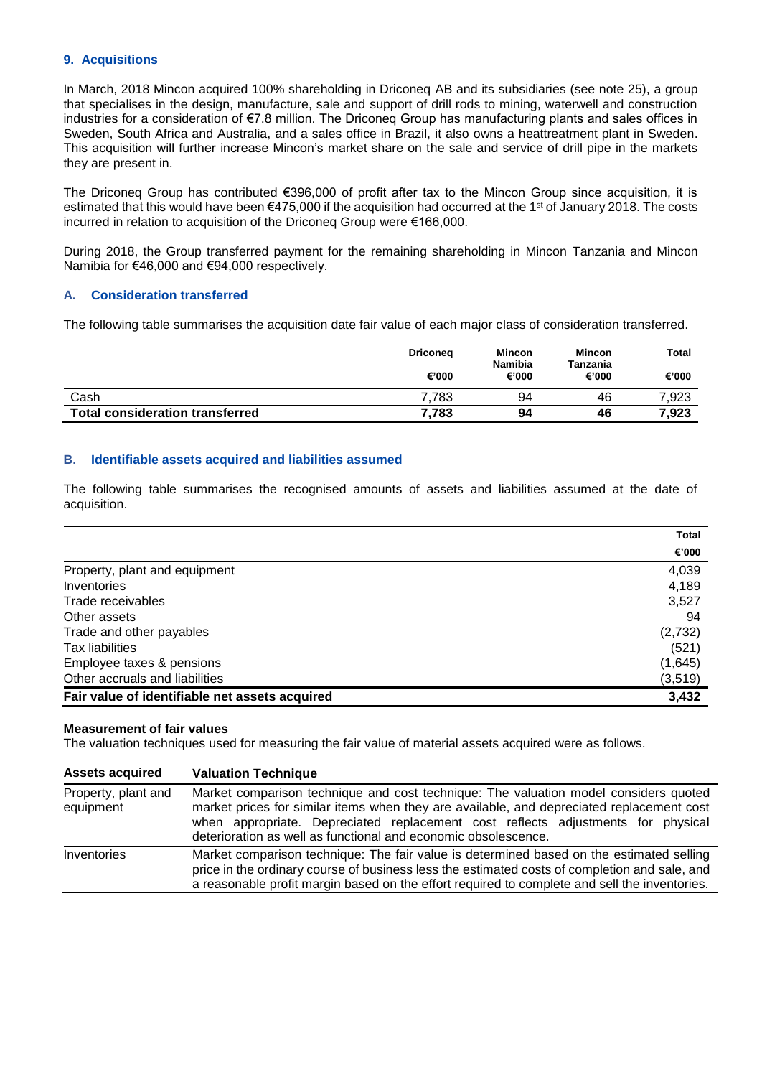## **9. Acquisitions**

In March, 2018 Mincon acquired 100% shareholding in Driconeq AB and its subsidiaries (see note 25), a group that specialises in the design, manufacture, sale and support of drill rods to mining, waterwell and construction industries for a consideration of €7.8 million. The Driconeq Group has manufacturing plants and sales offices in Sweden, South Africa and Australia, and a sales office in Brazil, it also owns a heattreatment plant in Sweden. This acquisition will further increase Mincon's market share on the sale and service of drill pipe in the markets they are present in.

The Driconeq Group has contributed €396,000 of profit after tax to the Mincon Group since acquisition, it is estimated that this would have been  $\epsilon$ 475,000 if the acquisition had occurred at the 1<sup>st</sup> of January 2018. The costs incurred in relation to acquisition of the Driconeq Group were €166,000.

During 2018, the Group transferred payment for the remaining shareholding in Mincon Tanzania and Mincon Namibia for €46,000 and €94,000 respectively.

### **A. Consideration transferred**

The following table summarises the acquisition date fair value of each major class of consideration transferred.

|                                        | <b>Driconeg</b> | Mincon<br><b>Namibia</b> | <b>Mincon</b><br>Tanzania | Total |
|----------------------------------------|-----------------|--------------------------|---------------------------|-------|
|                                        | €'000           | €'000                    | €'000                     | €'000 |
| Cash                                   | 7.783           | 94                       | 46                        | 7,923 |
| <b>Total consideration transferred</b> | 7.783           | 94                       | 46                        | 7,923 |

### **B. Identifiable assets acquired and liabilities assumed**

The following table summarises the recognised amounts of assets and liabilities assumed at the date of acquisition.

|                                                | Total   |
|------------------------------------------------|---------|
|                                                | €'000   |
| Property, plant and equipment                  | 4,039   |
| Inventories                                    | 4,189   |
| Trade receivables                              | 3,527   |
| Other assets                                   | 94      |
| Trade and other payables                       | (2,732) |
| Tax liabilities                                | (521)   |
| Employee taxes & pensions                      | (1,645) |
| Other accruals and liabilities                 | (3,519) |
| Fair value of identifiable net assets acquired | 3.432   |

#### **Measurement of fair values**

The valuation techniques used for measuring the fair value of material assets acquired were as follows.

| <b>Assets acquired</b>           | <b>Valuation Technique</b>                                                                                                                                                                                                                                                                                                              |
|----------------------------------|-----------------------------------------------------------------------------------------------------------------------------------------------------------------------------------------------------------------------------------------------------------------------------------------------------------------------------------------|
| Property, plant and<br>equipment | Market comparison technique and cost technique: The valuation model considers quoted<br>market prices for similar items when they are available, and depreciated replacement cost<br>when appropriate. Depreciated replacement cost reflects adjustments for physical<br>deterioration as well as functional and economic obsolescence. |
| Inventories                      | Market comparison technique: The fair value is determined based on the estimated selling<br>price in the ordinary course of business less the estimated costs of completion and sale, and<br>a reasonable profit margin based on the effort required to complete and sell the inventories.                                              |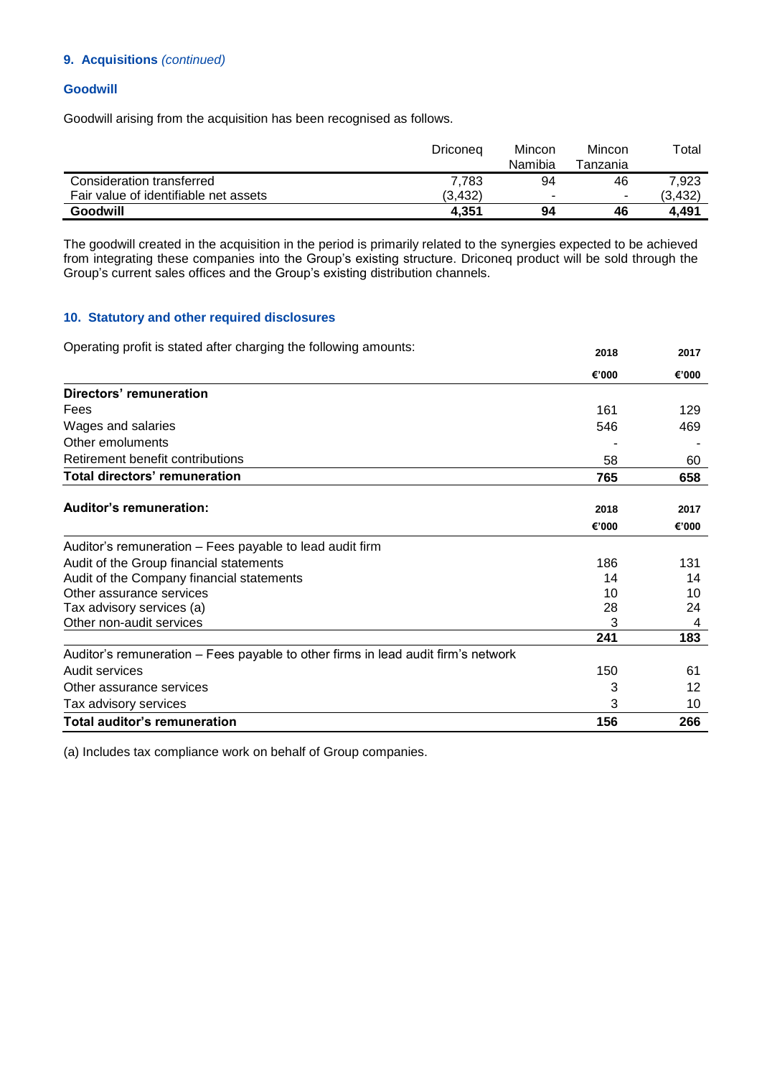## **9. Acquisitions** *(continued)*

## **Goodwill**

Goodwill arising from the acquisition has been recognised as follows.

|                                       | Driconeg | Mincon<br>Namibia | Mincon<br>Tanzania | Total   |
|---------------------------------------|----------|-------------------|--------------------|---------|
| Consideration transferred             | 7.783    | 94                | 46                 | 7.923   |
| Fair value of identifiable net assets | (3.432)  |                   | -                  | (3,432) |
| Goodwill                              | 4,351    | 94                | 46                 | 4.491   |

The goodwill created in the acquisition in the period is primarily related to the synergies expected to be achieved from integrating these companies into the Group's existing structure. Driconeq product will be sold through the Group's current sales offices and the Group's existing distribution channels.

## **10. Statutory and other required disclosures**

| Operating profit is stated after charging the following amounts:                  | 2018  | 2017  |
|-----------------------------------------------------------------------------------|-------|-------|
|                                                                                   | €'000 | €'000 |
| Directors' remuneration                                                           |       |       |
| Fees                                                                              | 161   | 129   |
| Wages and salaries                                                                | 546   | 469   |
| Other emoluments                                                                  |       |       |
| Retirement benefit contributions                                                  | 58    | 60    |
| <b>Total directors' remuneration</b>                                              | 765   | 658   |
| <b>Auditor's remuneration:</b>                                                    | 2018  | 2017  |
|                                                                                   | €'000 | €'000 |
| Auditor's remuneration – Fees payable to lead audit firm                          |       |       |
| Audit of the Group financial statements                                           | 186   | 131   |
| Audit of the Company financial statements                                         | 14    | 14    |
| Other assurance services                                                          | 10    | 10    |
| Tax advisory services (a)                                                         | 28    | 24    |
| Other non-audit services                                                          |       | 4     |
|                                                                                   | 241   | 183   |
| Auditor's remuneration – Fees payable to other firms in lead audit firm's network |       |       |
| Audit services                                                                    | 150   | 61    |
| Other assurance services                                                          | 3     | 12    |
| Tax advisory services                                                             | 3     | 10    |
| <b>Total auditor's remuneration</b>                                               | 156   | 266   |

(a) Includes tax compliance work on behalf of Group companies.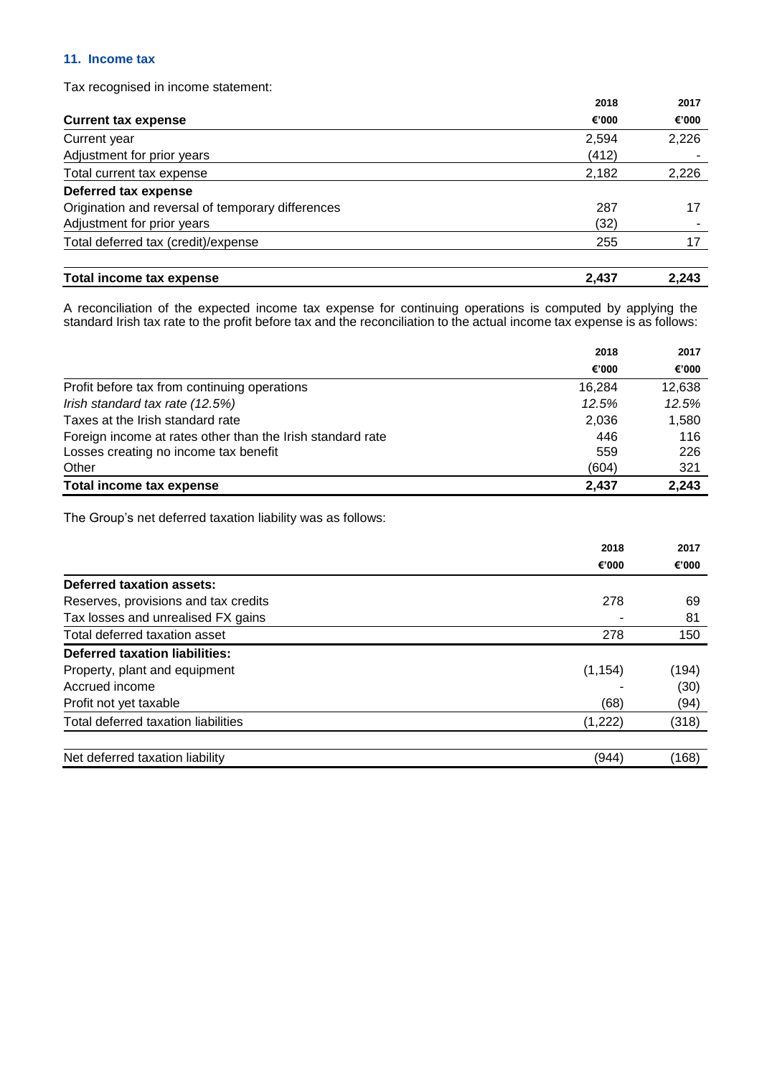## **11. Income tax**

Tax recognised in income statement:

|                                                   | 2018  | 2017  |
|---------------------------------------------------|-------|-------|
| <b>Current tax expense</b>                        | €'000 | €'000 |
| Current year                                      | 2,594 | 2,226 |
| Adjustment for prior years                        | (412) |       |
| Total current tax expense                         | 2,182 | 2,226 |
| Deferred tax expense                              |       |       |
| Origination and reversal of temporary differences | 287   | 17    |
| Adjustment for prior years                        | (32)  |       |
| Total deferred tax (credit)/expense               | 255   | 17    |
| Total income tax expense                          | 2,437 | 2.243 |

A reconciliation of the expected income tax expense for continuing operations is computed by applying the standard Irish tax rate to the profit before tax and the reconciliation to the actual income tax expense is as follows:

|                                                            | 2018   | 2017   |
|------------------------------------------------------------|--------|--------|
|                                                            | €'000  | €'000  |
| Profit before tax from continuing operations               | 16.284 | 12,638 |
| Irish standard tax rate (12.5%)                            | 12.5%  | 12.5%  |
| Taxes at the Irish standard rate                           | 2,036  | 1,580  |
| Foreign income at rates other than the Irish standard rate | 446    | 116    |
| Losses creating no income tax benefit                      | 559    | 226    |
| Other                                                      | (604)  | 321    |
| Total income tax expense                                   | 2,437  | 2,243  |

The Group's net deferred taxation liability was as follows:

|                                      | 2018<br>€'000 | 2017  |
|--------------------------------------|---------------|-------|
|                                      |               | €'000 |
| Deferred taxation assets:            |               |       |
| Reserves, provisions and tax credits | 278           | 69    |
| Tax losses and unrealised FX gains   |               | 81    |
| Total deferred taxation asset        | 278           | 150   |
| Deferred taxation liabilities:       |               |       |
| Property, plant and equipment        | (1, 154)      | (194) |
| Accrued income                       |               | (30)  |
| Profit not yet taxable               | (68)          | (94)  |
| Total deferred taxation liabilities  | (1,222)       | (318) |
|                                      |               |       |
| Net deferred taxation liability      | (944)         | (168) |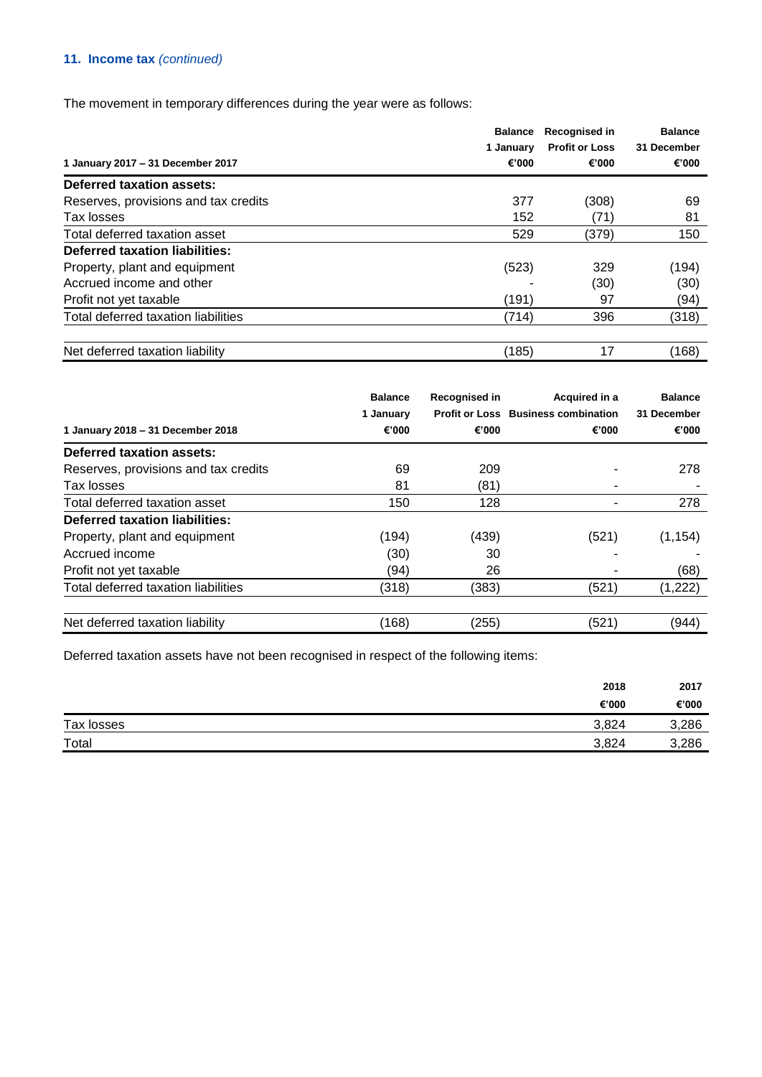## **11. Income tax** *(continued)*

The movement in temporary differences during the year were as follows:

|                                       | <b>Balance</b> | Recognised in         | <b>Balance</b> |
|---------------------------------------|----------------|-----------------------|----------------|
|                                       | 1 January      | <b>Profit or Loss</b> | 31 December    |
| 1 January 2017 - 31 December 2017     | €'000          | €'000                 | €'000          |
| Deferred taxation assets:             |                |                       |                |
| Reserves, provisions and tax credits  | 377            | (308)                 | 69             |
| Tax losses                            | 152            | (71)                  | 81             |
| Total deferred taxation asset         | 529            | (379)                 | 150            |
| <b>Deferred taxation liabilities:</b> |                |                       |                |
| Property, plant and equipment         | (523)          | 329                   | (194)          |
| Accrued income and other              |                | (30)                  | (30)           |
| Profit not yet taxable                | (191)          | 97                    | (94)           |
| Total deferred taxation liabilities   | (714)          | 396                   | (318)          |
| Net deferred taxation liability       | (185)          | 17                    | (168)          |

| 1 January 2018 - 31 December 2018     | <b>Balance</b><br>1 January<br>€'000 | Recognised in<br>€'000 | Acquired in a<br><b>Profit or Loss Business combination</b><br>€'000 | <b>Balance</b><br>31 December<br>€'000 |
|---------------------------------------|--------------------------------------|------------------------|----------------------------------------------------------------------|----------------------------------------|
| Deferred taxation assets:             |                                      |                        |                                                                      |                                        |
| Reserves, provisions and tax credits  | 69                                   | 209                    |                                                                      | 278                                    |
| Tax losses                            | 81                                   | (81)                   |                                                                      |                                        |
| Total deferred taxation asset         | 150                                  | 128                    |                                                                      | 278                                    |
| <b>Deferred taxation liabilities:</b> |                                      |                        |                                                                      |                                        |
| Property, plant and equipment         | (194)                                | (439)                  | (521)                                                                | (1, 154)                               |
| Accrued income                        | (30)                                 | 30                     |                                                                      |                                        |
| Profit not yet taxable                | (94)                                 | 26                     |                                                                      | (68)                                   |
| Total deferred taxation liabilities   | (318)                                | (383)                  | (521)                                                                | (1,222)                                |
| Net deferred taxation liability       | (168)                                | (255)                  | (521)                                                                | (944)                                  |

Deferred taxation assets have not been recognised in respect of the following items:

|            | 2018  | 2017  |
|------------|-------|-------|
|            | €'000 | €'000 |
| Tax losses | 3,824 | 3,286 |
| Total      | 3,824 | 3,286 |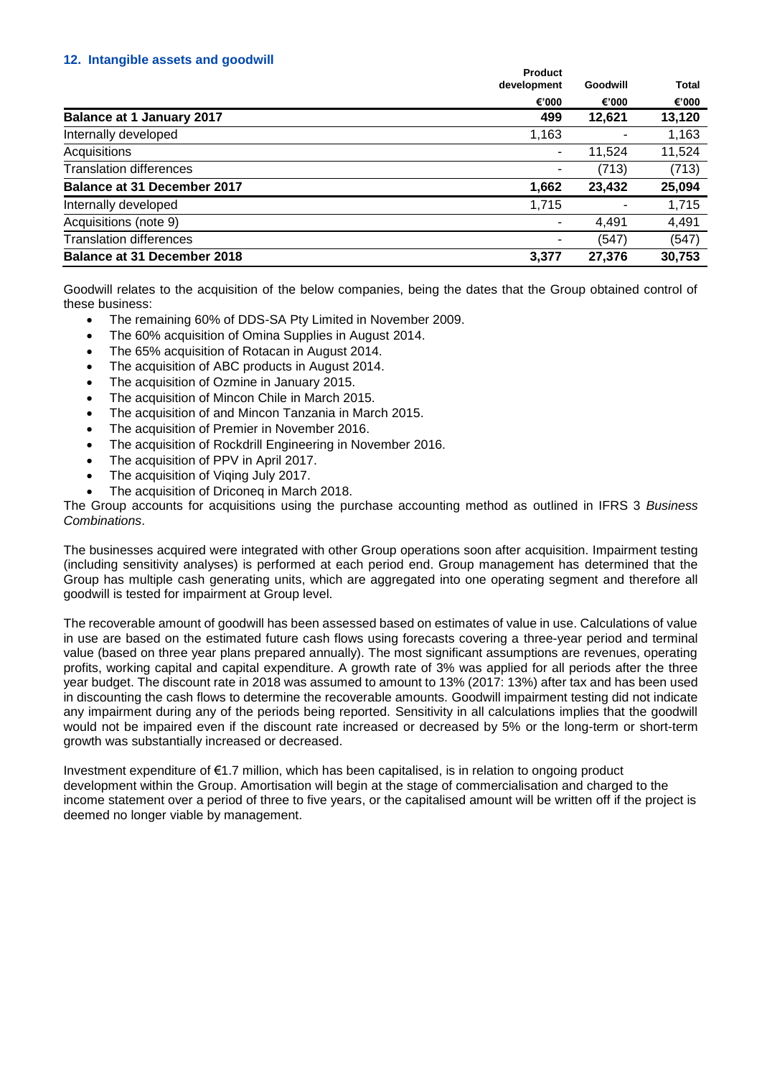### **12. Intangible assets and goodwill**

|                                    | <b>Product</b><br>development | Goodwill | Total  |
|------------------------------------|-------------------------------|----------|--------|
|                                    | €'000                         | €'000    | €'000  |
| <b>Balance at 1 January 2017</b>   | 499                           | 12,621   | 13,120 |
| Internally developed               | 1,163                         |          | 1,163  |
| Acquisitions                       | ٠                             | 11,524   | 11,524 |
| <b>Translation differences</b>     |                               | (713)    | (713)  |
| <b>Balance at 31 December 2017</b> | 1,662                         | 23,432   | 25,094 |
| Internally developed               | 1,715                         |          | 1,715  |
| Acquisitions (note 9)              | ۰                             | 4,491    | 4,491  |
| <b>Translation differences</b>     |                               | (547)    | (547)  |
| <b>Balance at 31 December 2018</b> | 3,377                         | 27,376   | 30,753 |

Goodwill relates to the acquisition of the below companies, being the dates that the Group obtained control of these business:

- The remaining 60% of DDS-SA Pty Limited in November 2009.
- The 60% acquisition of Omina Supplies in August 2014.
- The 65% acquisition of Rotacan in August 2014.
- The acquisition of ABC products in August 2014.
- The acquisition of Ozmine in January 2015.
- The acquisition of Mincon Chile in March 2015.
- The acquisition of and Mincon Tanzania in March 2015.
- The acquisition of Premier in November 2016.
- The acquisition of Rockdrill Engineering in November 2016.
- The acquisition of PPV in April 2017.
- The acquisition of Viging July 2017.
- The acquisition of Driconeq in March 2018.

The Group accounts for acquisitions using the purchase accounting method as outlined in IFRS 3 *Business Combinations*.

The businesses acquired were integrated with other Group operations soon after acquisition. Impairment testing (including sensitivity analyses) is performed at each period end. Group management has determined that the Group has multiple cash generating units, which are aggregated into one operating segment and therefore all goodwill is tested for impairment at Group level.

The recoverable amount of goodwill has been assessed based on estimates of value in use. Calculations of value in use are based on the estimated future cash flows using forecasts covering a three-year period and terminal value (based on three year plans prepared annually). The most significant assumptions are revenues, operating profits, working capital and capital expenditure. A growth rate of 3% was applied for all periods after the three year budget. The discount rate in 2018 was assumed to amount to 13% (2017: 13%) after tax and has been used in discounting the cash flows to determine the recoverable amounts. Goodwill impairment testing did not indicate any impairment during any of the periods being reported. Sensitivity in all calculations implies that the goodwill would not be impaired even if the discount rate increased or decreased by 5% or the long-term or short-term growth was substantially increased or decreased.

Investment expenditure of €1.7 million, which has been capitalised, is in relation to ongoing product development within the Group. Amortisation will begin at the stage of commercialisation and charged to the income statement over a period of three to five years, or the capitalised amount will be written off if the project is deemed no longer viable by management.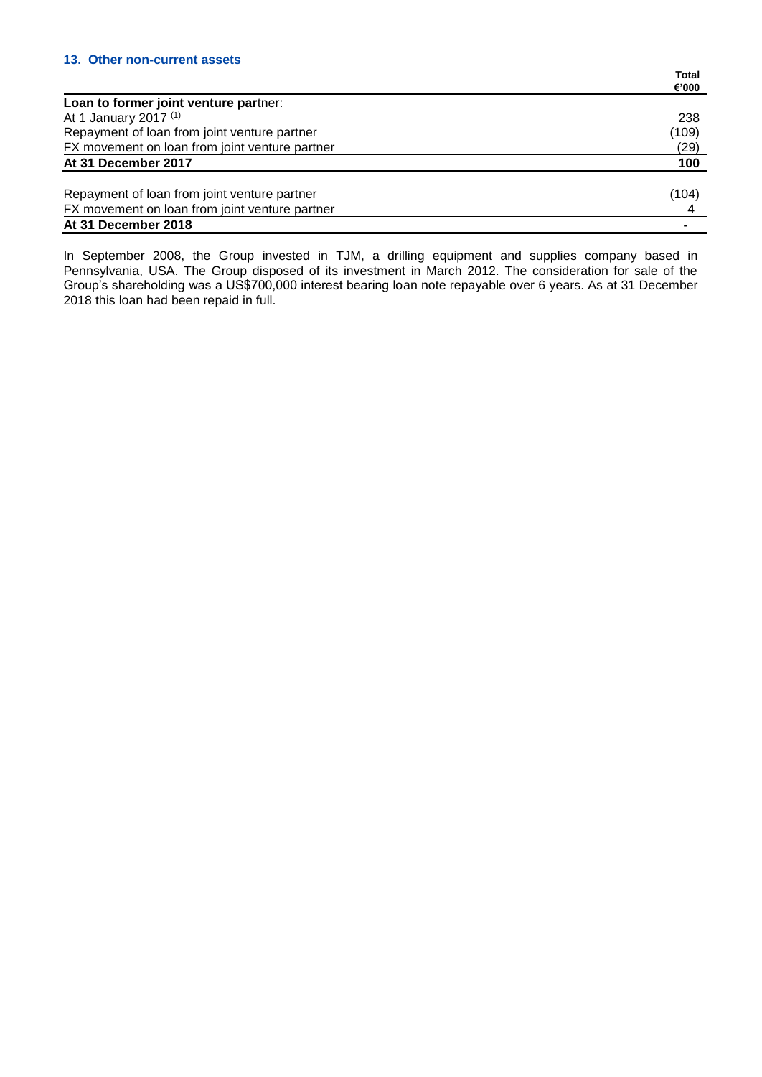|                                                | Total |
|------------------------------------------------|-------|
|                                                | €'000 |
| Loan to former joint venture partner:          |       |
| At 1 January 2017 (1)                          | 238   |
| Repayment of loan from joint venture partner   | (109) |
| FX movement on loan from joint venture partner | (29)  |
| At 31 December 2017                            | 100   |
| Repayment of loan from joint venture partner   | (104) |
| FX movement on loan from joint venture partner |       |
| At 31 December 2018                            |       |

In September 2008, the Group invested in TJM, a drilling equipment and supplies company based in Pennsylvania, USA. The Group disposed of its investment in March 2012. The consideration for sale of the Group's shareholding was a US\$700,000 interest bearing loan note repayable over 6 years. As at 31 December 2018 this loan had been repaid in full.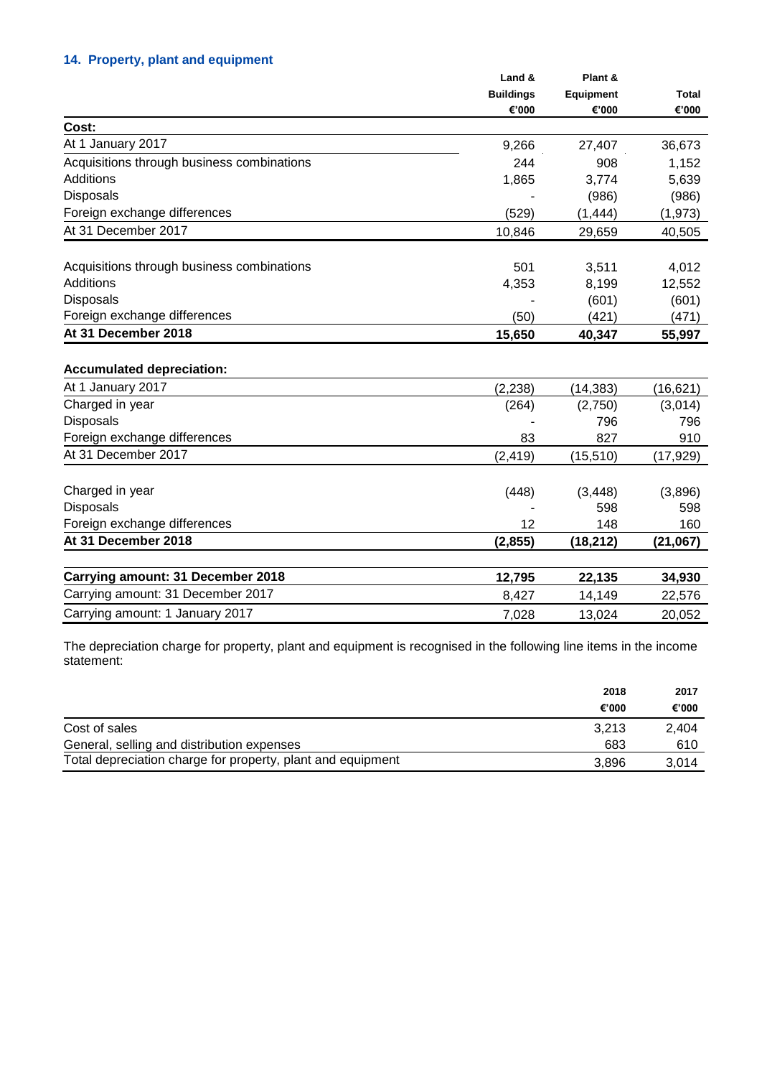## **14. Property, plant and equipment**

|                                            | Land &<br><b>Buildings</b> | Plant &<br><b>Equipment</b> | <b>Total</b> |
|--------------------------------------------|----------------------------|-----------------------------|--------------|
|                                            |                            |                             |              |
|                                            | €'000                      | €'000                       | €'000        |
| Cost:                                      |                            |                             |              |
| At 1 January 2017                          | 9,266                      | 27,407                      | 36,673       |
| Acquisitions through business combinations | 244                        | 908                         | 1,152        |
| <b>Additions</b>                           | 1,865                      | 3,774                       | 5,639        |
| <b>Disposals</b>                           |                            | (986)                       | (986)        |
| Foreign exchange differences               | (529)                      | (1, 444)                    | (1, 973)     |
| At 31 December 2017                        | 10,846                     | 29,659                      | 40,505       |
| Acquisitions through business combinations | 501                        | 3,511                       | 4,012        |
| <b>Additions</b>                           | 4,353                      | 8,199                       | 12,552       |
| <b>Disposals</b>                           |                            | (601)                       | (601)        |
| Foreign exchange differences               | (50)                       | (421)                       | (471)        |
| At 31 December 2018                        | 15,650                     | 40,347                      | 55,997       |
| <b>Accumulated depreciation:</b>           |                            |                             |              |
| At 1 January 2017                          | (2, 238)                   | (14, 383)                   | (16, 621)    |
| Charged in year                            | (264)                      | (2,750)                     | (3,014)      |
| Disposals                                  |                            | 796                         | 796          |
| Foreign exchange differences               | 83                         | 827                         | 910          |
| At 31 December 2017                        | (2, 419)                   | (15, 510)                   | (17,929)     |
| Charged in year                            | (448)                      | (3, 448)                    | (3,896)      |
| <b>Disposals</b>                           |                            | 598                         | 598          |
| Foreign exchange differences               | 12                         | 148                         | 160          |
| At 31 December 2018                        | (2, 855)                   | (18, 212)                   | (21,067)     |
| Carrying amount: 31 December 2018          | 12,795                     | 22,135                      | 34,930       |
| Carrying amount: 31 December 2017          | 8,427                      | 14,149                      | 22,576       |
| Carrying amount: 1 January 2017            | 7,028                      | 13,024                      | 20,052       |

The depreciation charge for property, plant and equipment is recognised in the following line items in the income statement:

|                                                             | 2018  | 2017  |
|-------------------------------------------------------------|-------|-------|
|                                                             | €'000 | €'000 |
| Cost of sales                                               | 3.213 | 2.404 |
| General, selling and distribution expenses                  | 683   | 610   |
| Total depreciation charge for property, plant and equipment | 3.896 | 3.014 |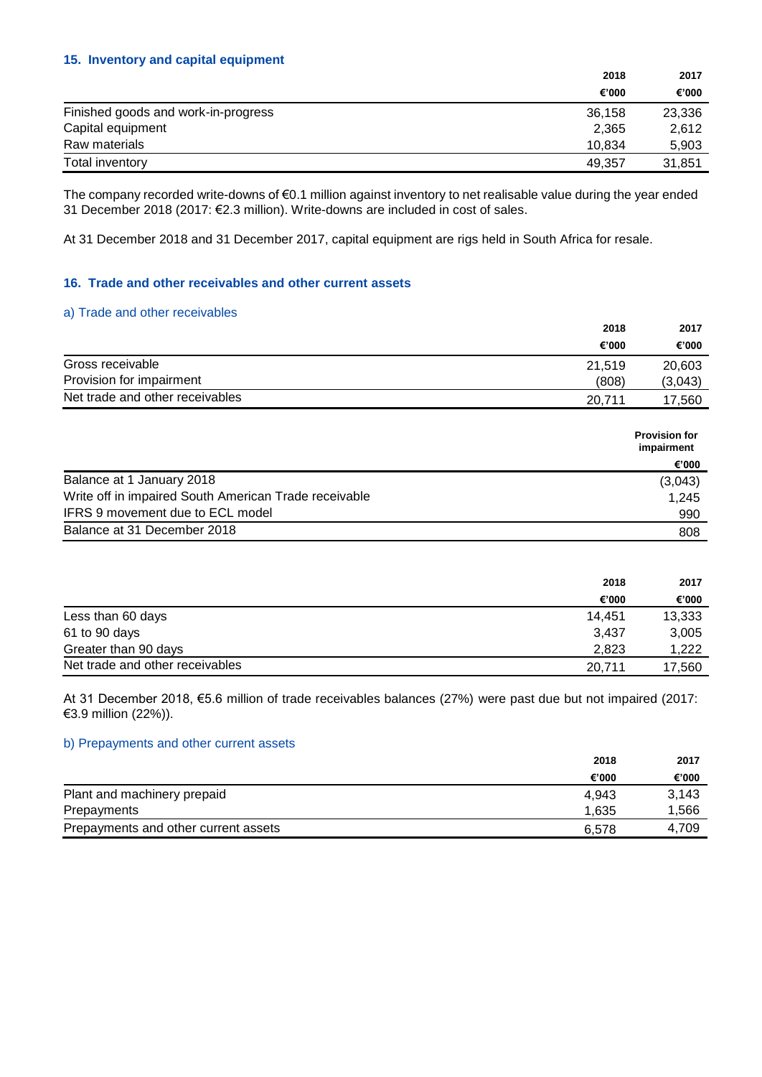## **15. Inventory and capital equipment**

|                                     | 2018   | 2017   |
|-------------------------------------|--------|--------|
|                                     | €'000  | €'000  |
| Finished goods and work-in-progress | 36,158 | 23,336 |
| Capital equipment                   | 2.365  | 2,612  |
| Raw materials                       | 10.834 | 5,903  |
| Total inventory                     | 49.357 | 31.851 |

The company recorded write-downs of €0.1 million against inventory to net realisable value during the year ended 31 December 2018 (2017: €2.3 million). Write-downs are included in cost of sales.

At 31 December 2018 and 31 December 2017, capital equipment are rigs held in South Africa for resale.

### **16. Trade and other receivables and other current assets**

#### a) Trade and other receivables

|                                 | 2018   |         |
|---------------------------------|--------|---------|
|                                 | €'000  | €'000   |
| Gross receivable                | 21.519 | 20,603  |
| Provision for impairment        | (808)  | (3,043) |
| Net trade and other receivables | 20.711 | 17.560  |

|                                                       | <b>Provision for</b><br>impairment |
|-------------------------------------------------------|------------------------------------|
|                                                       | €'000                              |
| Balance at 1 January 2018                             | (3,043)                            |
| Write off in impaired South American Trade receivable | 1.245                              |
| IFRS 9 movement due to ECL model                      | 990                                |
| Balance at 31 December 2018                           | 808                                |

|                                 | 2018   | 2017   |
|---------------------------------|--------|--------|
|                                 | €'000  | €'000  |
| Less than 60 days               | 14.451 | 13,333 |
| 61 to 90 days                   | 3,437  | 3,005  |
| Greater than 90 days            | 2.823  | 1,222  |
| Net trade and other receivables | 20.711 | 17,560 |

At 31 December 2018, €5.6 million of trade receivables balances (27%) were past due but not impaired (2017: €3.9 million (22%)).

## b) Prepayments and other current assets

|                                      | 2018  | 2017  |
|--------------------------------------|-------|-------|
|                                      | €'000 | €'000 |
| Plant and machinery prepaid          | 4.943 | 3.143 |
| Prepayments                          | 1.635 | 1,566 |
| Prepayments and other current assets | 6.578 | 4.709 |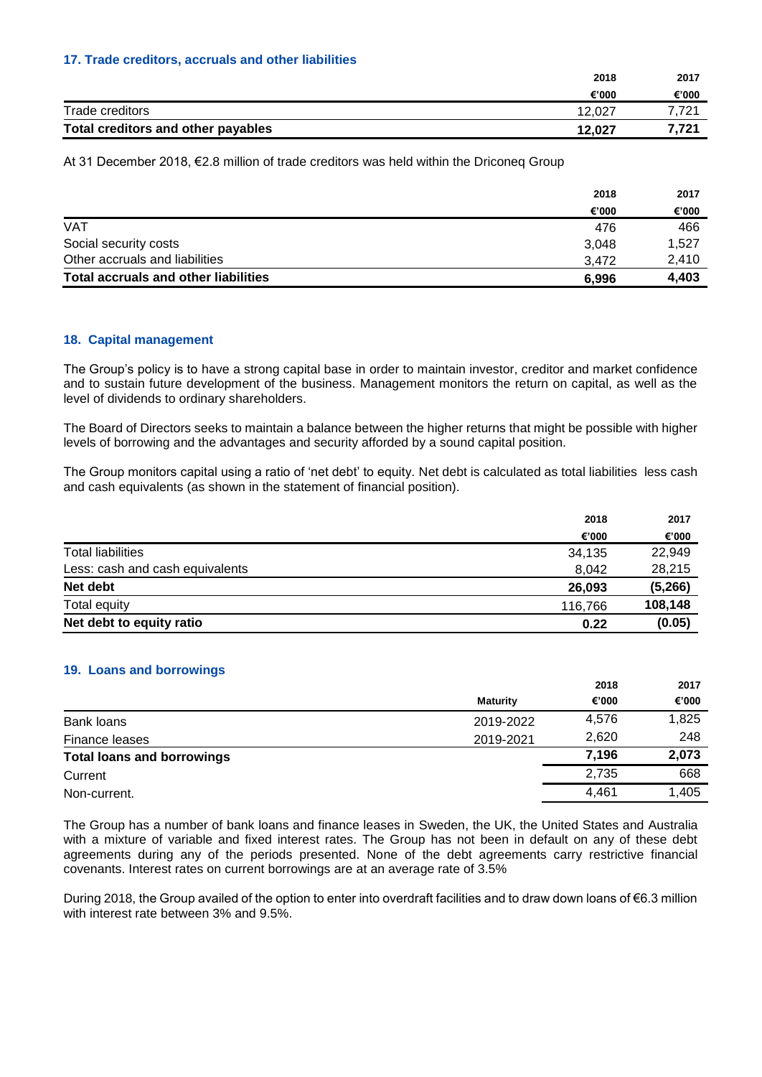### **17. Trade creditors, accruals and other liabilities**

|                                    | 2018   | 2017  |
|------------------------------------|--------|-------|
|                                    | €'000  | €'000 |
| Trade creditors                    | 12.027 | 721   |
| Total creditors and other payables | 12.027 | 7.721 |

At 31 December 2018, €2.8 million of trade creditors was held within the Driconeq Group

|                                             | 2018  | 2017  |
|---------------------------------------------|-------|-------|
|                                             | €'000 | €'000 |
| <b>VAT</b>                                  | 476   | 466   |
| Social security costs                       | 3.048 | 1,527 |
| Other accruals and liabilities              | 3.472 | 2,410 |
| <b>Total accruals and other liabilities</b> | 6.996 | 4,403 |

### **18. Capital management**

The Group's policy is to have a strong capital base in order to maintain investor, creditor and market confidence and to sustain future development of the business. Management monitors the return on capital, as well as the level of dividends to ordinary shareholders.

The Board of Directors seeks to maintain a balance between the higher returns that might be possible with higher levels of borrowing and the advantages and security afforded by a sound capital position.

The Group monitors capital using a ratio of 'net debt' to equity. Net debt is calculated as total liabilities less cash and cash equivalents (as shown in the statement of financial position).

|                                 | 2018    | 2017    |
|---------------------------------|---------|---------|
|                                 | €'000   | €'000   |
| <b>Total liabilities</b>        | 34,135  | 22,949  |
| Less: cash and cash equivalents | 8,042   | 28,215  |
| Net debt                        | 26,093  | (5,266) |
| Total equity                    | 116,766 | 108,148 |
| Net debt to equity ratio        | 0.22    | (0.05)  |

#### **19. Loans and borrowings**

|                                   |                 | 2018  | 2017  |
|-----------------------------------|-----------------|-------|-------|
|                                   | <b>Maturity</b> | €'000 | €'000 |
| Bank loans                        | 2019-2022       | 4,576 | 1,825 |
| Finance leases                    | 2019-2021       | 2,620 | 248   |
| <b>Total loans and borrowings</b> |                 | 7,196 | 2,073 |
| Current                           |                 | 2.735 | 668   |
| Non-current.                      |                 | 4.461 | 1,405 |

The Group has a number of bank loans and finance leases in Sweden, the UK, the United States and Australia with a mixture of variable and fixed interest rates. The Group has not been in default on any of these debt agreements during any of the periods presented. None of the debt agreements carry restrictive financial covenants. Interest rates on current borrowings are at an average rate of 3.5%

During 2018, the Group availed of the option to enter into overdraft facilities and to draw down loans of €6.3 million with interest rate between 3% and 9.5%.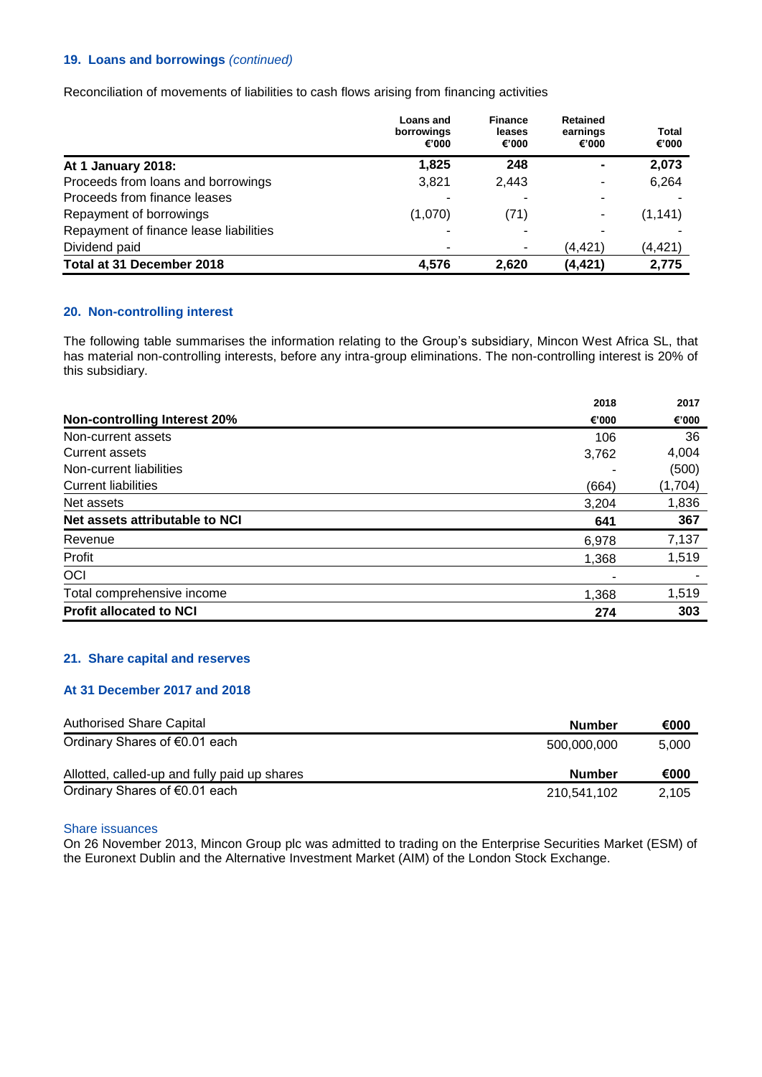## **19. Loans and borrowings** *(continued)*

Reconciliation of movements of liabilities to cash flows arising from financing activities

|                                        | Loans and<br>borrowings<br>€'000 | <b>Finance</b><br>leases<br>€'000 | <b>Retained</b><br>earnings<br>€'000 | Total<br>€'000 |
|----------------------------------------|----------------------------------|-----------------------------------|--------------------------------------|----------------|
| At 1 January 2018:                     | 1,825                            | 248                               | $\blacksquare$                       | 2,073          |
| Proceeds from loans and borrowings     | 3,821                            | 2.443                             | $\overline{\phantom{a}}$             | 6,264          |
| Proceeds from finance leases           |                                  |                                   | ۰                                    |                |
| Repayment of borrowings                | (1,070)                          | (71)                              | ٠                                    | (1, 141)       |
| Repayment of finance lease liabilities |                                  |                                   | ۰                                    |                |
| Dividend paid                          |                                  |                                   | (4,421)                              | (4, 421)       |
| Total at 31 December 2018              | 4,576                            | 2.620                             | (4, 421)                             | 2,775          |

#### **20. Non-controlling interest**

The following table summarises the information relating to the Group's subsidiary, Mincon West Africa SL, that has material non-controlling interests, before any intra-group eliminations. The non-controlling interest is 20% of this subsidiary.

|                                     | 2018  | 2017    |
|-------------------------------------|-------|---------|
| <b>Non-controlling Interest 20%</b> | €'000 | €'000   |
| Non-current assets                  | 106   | 36      |
| <b>Current assets</b>               | 3,762 | 4,004   |
| Non-current liabilities             |       | (500)   |
| <b>Current liabilities</b>          | (664) | (1,704) |
| Net assets                          | 3,204 | 1,836   |
| Net assets attributable to NCI      | 641   | 367     |
| Revenue                             | 6,978 | 7,137   |
| Profit                              | 1,368 | 1,519   |
| OCI                                 | -     |         |
| Total comprehensive income          | 1,368 | 1,519   |
| <b>Profit allocated to NCI</b>      | 274   | 303     |

## **21. Share capital and reserves**

#### **At 31 December 2017 and 2018**

| <b>Authorised Share Capital</b>              | <b>Number</b> | €000  |
|----------------------------------------------|---------------|-------|
| Ordinary Shares of €0.01 each                | 500.000.000   | 5,000 |
| Allotted, called-up and fully paid up shares | <b>Number</b> | €000  |
| Ordinary Shares of €0.01 each                | 210,541,102   | 2.105 |

#### Share issuances

On 26 November 2013, Mincon Group plc was admitted to trading on the Enterprise Securities Market (ESM) of the Euronext Dublin and the Alternative Investment Market (AIM) of the London Stock Exchange.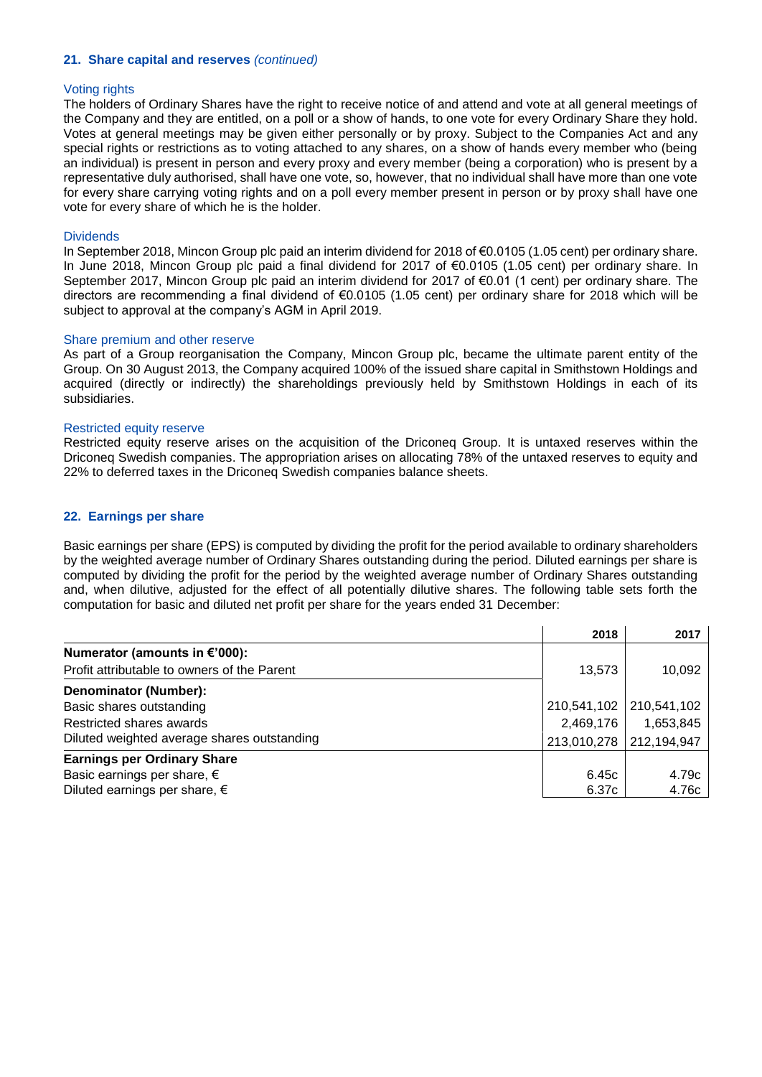#### **21. Share capital and reserves** *(continued)*

#### Voting rights

The holders of Ordinary Shares have the right to receive notice of and attend and vote at all general meetings of the Company and they are entitled, on a poll or a show of hands, to one vote for every Ordinary Share they hold. Votes at general meetings may be given either personally or by proxy. Subject to the Companies Act and any special rights or restrictions as to voting attached to any shares, on a show of hands every member who (being an individual) is present in person and every proxy and every member (being a corporation) who is present by a representative duly authorised, shall have one vote, so, however, that no individual shall have more than one vote for every share carrying voting rights and on a poll every member present in person or by proxy shall have one vote for every share of which he is the holder.

#### **Dividends**

In September 2018, Mincon Group plc paid an interim dividend for 2018 of €0.0105 (1.05 cent) per ordinary share. In June 2018, Mincon Group plc paid a final dividend for 2017 of €0.0105 (1.05 cent) per ordinary share. In September 2017, Mincon Group plc paid an interim dividend for 2017 of €0.01 (1 cent) per ordinary share. The directors are recommending a final dividend of €0.0105 (1.05 cent) per ordinary share for 2018 which will be subject to approval at the company's AGM in April 2019.

#### Share premium and other reserve

As part of a Group reorganisation the Company, Mincon Group plc, became the ultimate parent entity of the Group. On 30 August 2013, the Company acquired 100% of the issued share capital in Smithstown Holdings and acquired (directly or indirectly) the shareholdings previously held by Smithstown Holdings in each of its subsidiaries.

### Restricted equity reserve

Restricted equity reserve arises on the acquisition of the Driconeq Group. It is untaxed reserves within the Driconeq Swedish companies. The appropriation arises on allocating 78% of the untaxed reserves to equity and 22% to deferred taxes in the Driconeq Swedish companies balance sheets.

### **22. Earnings per share**

Basic earnings per share (EPS) is computed by dividing the profit for the period available to ordinary shareholders by the weighted average number of Ordinary Shares outstanding during the period. Diluted earnings per share is computed by dividing the profit for the period by the weighted average number of Ordinary Shares outstanding and, when dilutive, adjusted for the effect of all potentially dilutive shares. The following table sets forth the computation for basic and diluted net profit per share for the years ended 31 December:

|                                             | 2018        | 2017        |
|---------------------------------------------|-------------|-------------|
| Numerator (amounts in €'000):               |             |             |
| Profit attributable to owners of the Parent | 13,573      | 10,092      |
| <b>Denominator (Number):</b>                |             |             |
| Basic shares outstanding                    | 210,541,102 | 210,541,102 |
| Restricted shares awards                    | 2,469,176   | 1,653,845   |
| Diluted weighted average shares outstanding | 213,010,278 | 212,194,947 |
| <b>Earnings per Ordinary Share</b>          |             |             |
| Basic earnings per share, $\epsilon$        | 6.45c       | 4.79c       |
| Diluted earnings per share, $\epsilon$      | 6.37c       | 4.76c       |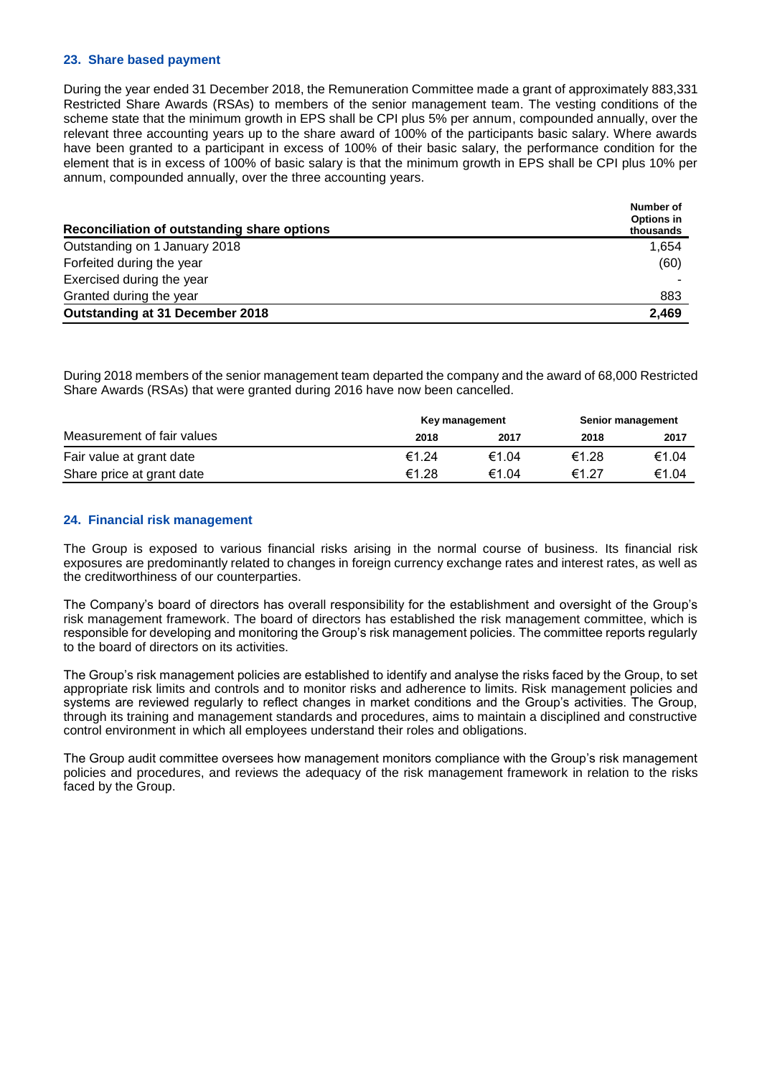#### **23. Share based payment**

During the year ended 31 December 2018, the Remuneration Committee made a grant of approximately 883,331 Restricted Share Awards (RSAs) to members of the senior management team. The vesting conditions of the scheme state that the minimum growth in EPS shall be CPI plus 5% per annum, compounded annually, over the relevant three accounting years up to the share award of 100% of the participants basic salary. Where awards have been granted to a participant in excess of 100% of their basic salary, the performance condition for the element that is in excess of 100% of basic salary is that the minimum growth in EPS shall be CPI plus 10% per annum, compounded annually, over the three accounting years.

| Reconciliation of outstanding share options | Number of<br><b>Options in</b><br>thousands |
|---------------------------------------------|---------------------------------------------|
| Outstanding on 1 January 2018               | 1,654                                       |
| Forfeited during the year                   | (60)                                        |
| Exercised during the year                   |                                             |
| Granted during the year                     | 883                                         |
| Outstanding at 31 December 2018             | 2.469                                       |

During 2018 members of the senior management team departed the company and the award of 68,000 Restricted Share Awards (RSAs) that were granted during 2016 have now been cancelled.

|                            | Key management |       | Senior management |       |
|----------------------------|----------------|-------|-------------------|-------|
| Measurement of fair values | 2018           | 2017  | 2018              | 2017  |
| Fair value at grant date   | €1.24          | €1.04 | €1.28             | €1.04 |
| Share price at grant date  | €1.28          | €1.04 | €1.27             | €1.04 |

### **24. Financial risk management**

The Group is exposed to various financial risks arising in the normal course of business. Its financial risk exposures are predominantly related to changes in foreign currency exchange rates and interest rates, as well as the creditworthiness of our counterparties.

The Company's board of directors has overall responsibility for the establishment and oversight of the Group's risk management framework. The board of directors has established the risk management committee, which is responsible for developing and monitoring the Group's risk management policies. The committee reports regularly to the board of directors on its activities.

The Group's risk management policies are established to identify and analyse the risks faced by the Group, to set appropriate risk limits and controls and to monitor risks and adherence to limits. Risk management policies and systems are reviewed regularly to reflect changes in market conditions and the Group's activities. The Group, through its training and management standards and procedures, aims to maintain a disciplined and constructive control environment in which all employees understand their roles and obligations.

The Group audit committee oversees how management monitors compliance with the Group's risk management policies and procedures, and reviews the adequacy of the risk management framework in relation to the risks faced by the Group.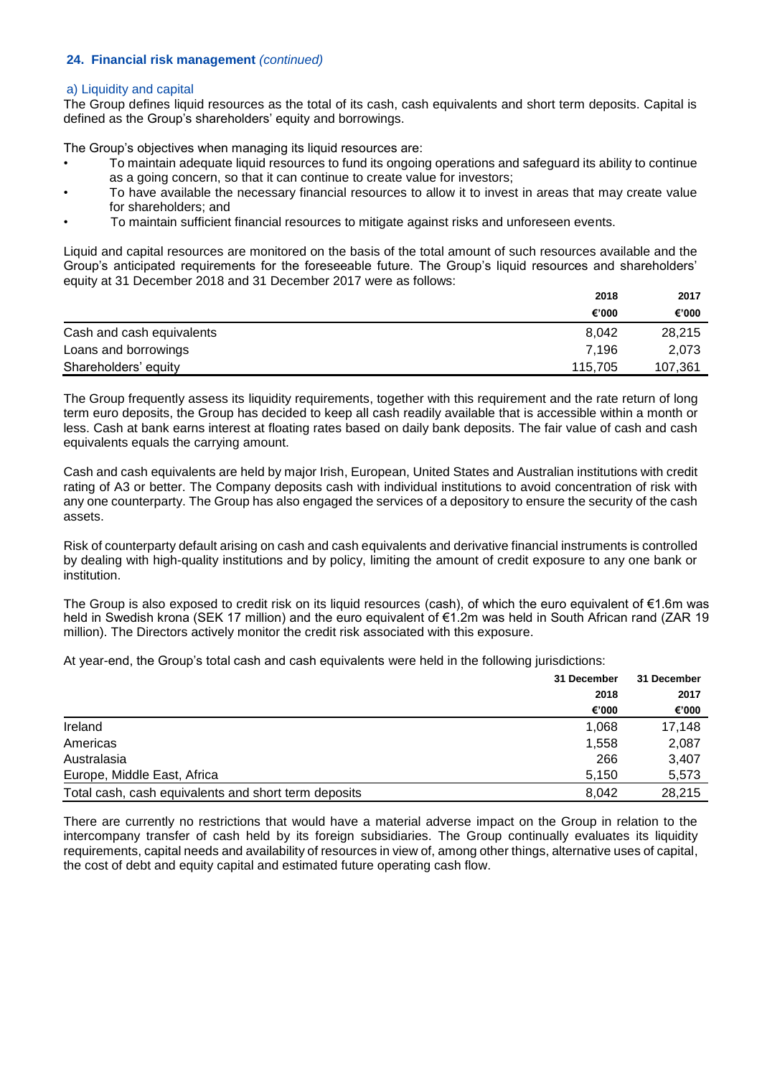#### a) Liquidity and capital

The Group defines liquid resources as the total of its cash, cash equivalents and short term deposits. Capital is defined as the Group's shareholders' equity and borrowings.

The Group's objectives when managing its liquid resources are:

- To maintain adequate liquid resources to fund its ongoing operations and safeguard its ability to continue as a going concern, so that it can continue to create value for investors;
- To have available the necessary financial resources to allow it to invest in areas that may create value for shareholders; and
- To maintain sufficient financial resources to mitigate against risks and unforeseen events.

Liquid and capital resources are monitored on the basis of the total amount of such resources available and the Group's anticipated requirements for the foreseeable future. The Group's liquid resources and shareholders' equity at 31 December 2018 and 31 December 2017 were as follows:

|                           | 2018    | 2017    |
|---------------------------|---------|---------|
|                           | €'000   | €'000   |
| Cash and cash equivalents | 8,042   | 28,215  |
| Loans and borrowings      | 7.196   | 2.073   |
| Shareholders' equity      | 115.705 | 107,361 |

The Group frequently assess its liquidity requirements, together with this requirement and the rate return of long term euro deposits, the Group has decided to keep all cash readily available that is accessible within a month or less. Cash at bank earns interest at floating rates based on daily bank deposits. The fair value of cash and cash equivalents equals the carrying amount.

Cash and cash equivalents are held by major Irish, European, United States and Australian institutions with credit rating of A3 or better. The Company deposits cash with individual institutions to avoid concentration of risk with any one counterparty. The Group has also engaged the services of a depository to ensure the security of the cash assets.

Risk of counterparty default arising on cash and cash equivalents and derivative financial instruments is controlled by dealing with high-quality institutions and by policy, limiting the amount of credit exposure to any one bank or institution.

The Group is also exposed to credit risk on its liquid resources (cash), of which the euro equivalent of €1.6m was held in Swedish krona (SEK 17 million) and the euro equivalent of €1.2m was held in South African rand (ZAR 19 million). The Directors actively monitor the credit risk associated with this exposure.

At year-end, the Group's total cash and cash equivalents were held in the following jurisdictions:

|                                                      | 31 December | 31 December |  |
|------------------------------------------------------|-------------|-------------|--|
|                                                      | 2018        | 2017        |  |
|                                                      | €'000       | €'000       |  |
| Ireland                                              | 1.068       | 17.148      |  |
| Americas                                             | 1.558       | 2,087       |  |
| Australasia                                          | 266         | 3.407       |  |
| Europe, Middle East, Africa                          | 5,150       | 5,573       |  |
| Total cash, cash equivalents and short term deposits | 8.042       | 28.215      |  |

There are currently no restrictions that would have a material adverse impact on the Group in relation to the intercompany transfer of cash held by its foreign subsidiaries. The Group continually evaluates its liquidity requirements, capital needs and availability of resources in view of, among other things, alternative uses of capital, the cost of debt and equity capital and estimated future operating cash flow.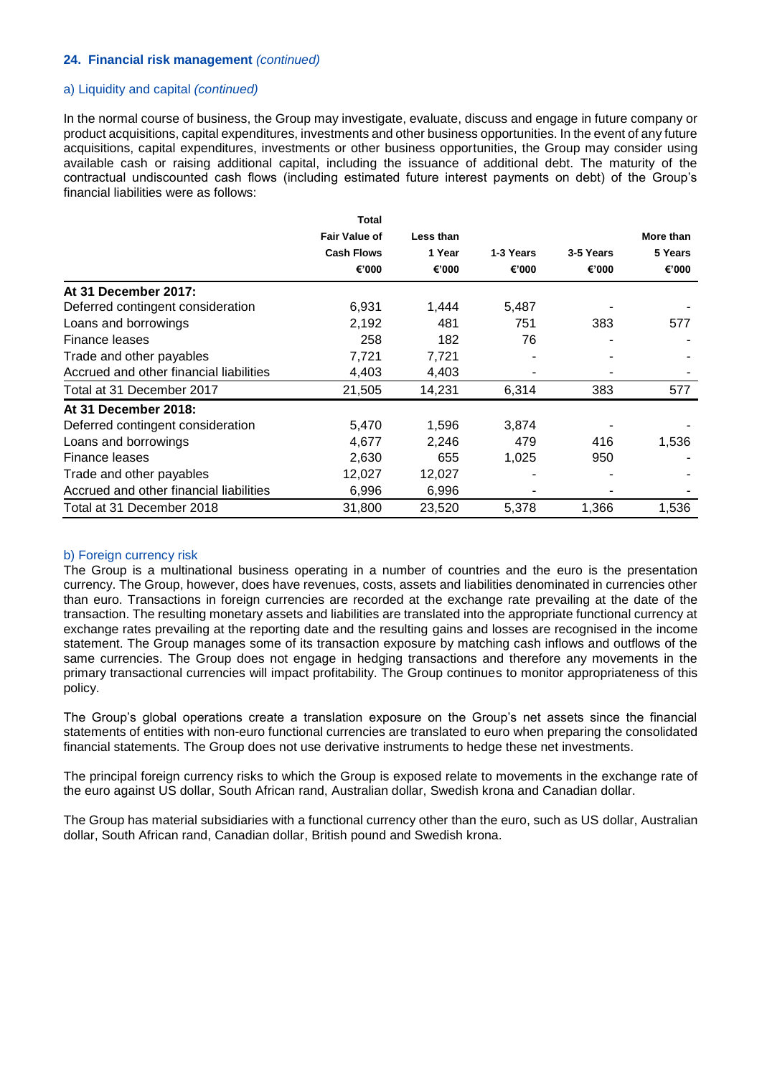#### a) Liquidity and capital *(continued)*

In the normal course of business, the Group may investigate, evaluate, discuss and engage in future company or product acquisitions, capital expenditures, investments and other business opportunities. In the event of any future acquisitions, capital expenditures, investments or other business opportunities, the Group may consider using available cash or raising additional capital, including the issuance of additional debt. The maturity of the contractual undiscounted cash flows (including estimated future interest payments on debt) of the Group's financial liabilities were as follows:

|                                         | <b>Total</b>         |           |           |           |           |
|-----------------------------------------|----------------------|-----------|-----------|-----------|-----------|
|                                         | <b>Fair Value of</b> | Less than |           |           | More than |
|                                         | <b>Cash Flows</b>    | 1 Year    | 1-3 Years | 3-5 Years | 5 Years   |
|                                         | €'000                | €'000     | €'000     | €'000     | €'000     |
| At 31 December 2017:                    |                      |           |           |           |           |
| Deferred contingent consideration       | 6,931                | 1,444     | 5,487     |           |           |
| Loans and borrowings                    | 2,192                | 481       | 751       | 383       | 577       |
| Finance leases                          | 258                  | 182       | 76        | -         |           |
| Trade and other payables                | 7.721                | 7,721     |           |           |           |
| Accrued and other financial liabilities | 4,403                | 4,403     |           |           |           |
| Total at 31 December 2017               | 21,505               | 14,231    | 6,314     | 383       | 577       |
| At 31 December 2018:                    |                      |           |           |           |           |
| Deferred contingent consideration       | 5,470                | 1,596     | 3,874     |           |           |
| Loans and borrowings                    | 4,677                | 2,246     | 479       | 416       | 1,536     |
| Finance leases                          | 2,630                | 655       | 1,025     | 950       |           |
| Trade and other payables                | 12,027               | 12,027    |           |           |           |
| Accrued and other financial liabilities | 6,996                | 6,996     |           |           |           |
| Total at 31 December 2018               | 31,800               | 23,520    | 5,378     | 1,366     | 1,536     |

#### b) Foreign currency risk

The Group is a multinational business operating in a number of countries and the euro is the presentation currency. The Group, however, does have revenues, costs, assets and liabilities denominated in currencies other than euro. Transactions in foreign currencies are recorded at the exchange rate prevailing at the date of the transaction. The resulting monetary assets and liabilities are translated into the appropriate functional currency at exchange rates prevailing at the reporting date and the resulting gains and losses are recognised in the income statement. The Group manages some of its transaction exposure by matching cash inflows and outflows of the same currencies. The Group does not engage in hedging transactions and therefore any movements in the primary transactional currencies will impact profitability. The Group continues to monitor appropriateness of this policy.

The Group's global operations create a translation exposure on the Group's net assets since the financial statements of entities with non-euro functional currencies are translated to euro when preparing the consolidated financial statements. The Group does not use derivative instruments to hedge these net investments.

The principal foreign currency risks to which the Group is exposed relate to movements in the exchange rate of the euro against US dollar, South African rand, Australian dollar, Swedish krona and Canadian dollar.

The Group has material subsidiaries with a functional currency other than the euro, such as US dollar, Australian dollar, South African rand, Canadian dollar, British pound and Swedish krona.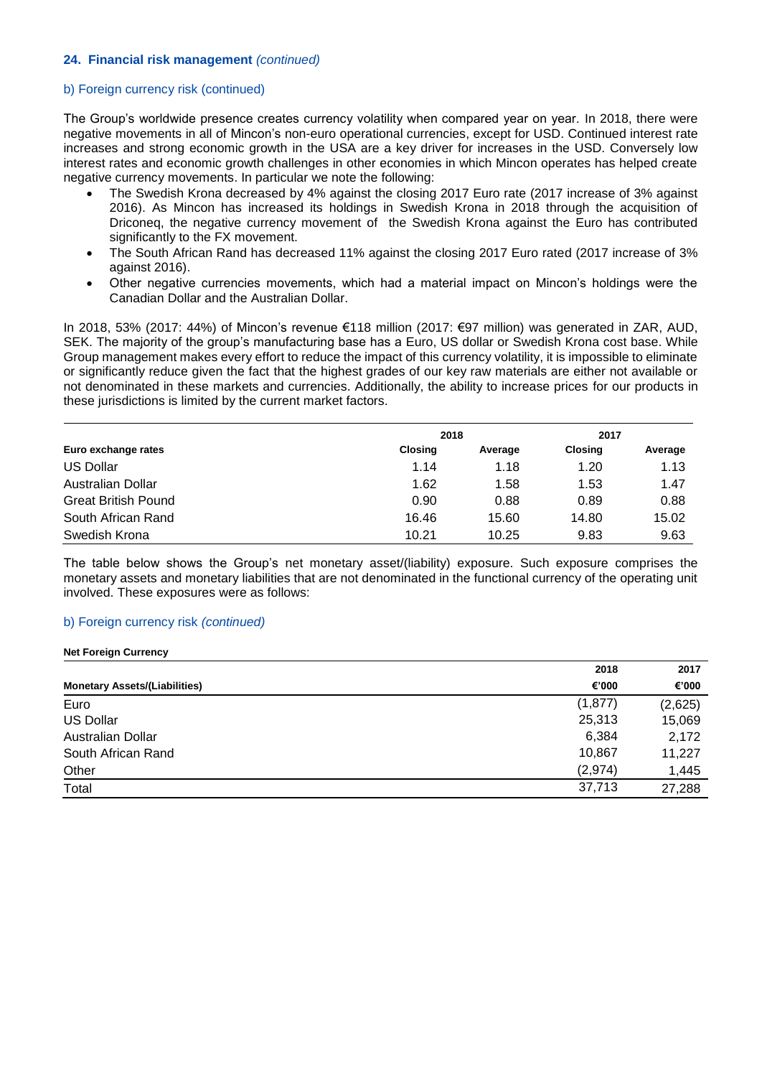#### b) Foreign currency risk (continued)

The Group's worldwide presence creates currency volatility when compared year on year. In 2018, there were negative movements in all of Mincon's non-euro operational currencies, except for USD. Continued interest rate increases and strong economic growth in the USA are a key driver for increases in the USD. Conversely low interest rates and economic growth challenges in other economies in which Mincon operates has helped create negative currency movements. In particular we note the following:

- The Swedish Krona decreased by 4% against the closing 2017 Euro rate (2017 increase of 3% against 2016). As Mincon has increased its holdings in Swedish Krona in 2018 through the acquisition of Driconeq, the negative currency movement of the Swedish Krona against the Euro has contributed significantly to the FX movement.
- The South African Rand has decreased 11% against the closing 2017 Euro rated (2017 increase of 3% against 2016).
- Other negative currencies movements, which had a material impact on Mincon's holdings were the Canadian Dollar and the Australian Dollar.

In 2018, 53% (2017: 44%) of Mincon's revenue €118 million (2017: €97 million) was generated in ZAR, AUD, SEK. The majority of the group's manufacturing base has a Euro, US dollar or Swedish Krona cost base. While Group management makes every effort to reduce the impact of this currency volatility, it is impossible to eliminate or significantly reduce given the fact that the highest grades of our key raw materials are either not available or not denominated in these markets and currencies. Additionally, the ability to increase prices for our products in these jurisdictions is limited by the current market factors.

| Euro exchange rates        | 2018           | 2017    |                |         |
|----------------------------|----------------|---------|----------------|---------|
|                            | <b>Closing</b> | Average | <b>Closing</b> | Average |
| <b>US Dollar</b>           | 1.14           | 1.18    | 1.20           | 1.13    |
| Australian Dollar          | 1.62           | 1.58    | 1.53           | 1.47    |
| <b>Great British Pound</b> | 0.90           | 0.88    | 0.89           | 0.88    |
| South African Rand         | 16.46          | 15.60   | 14.80          | 15.02   |
| Swedish Krona              | 10.21          | 10.25   | 9.83           | 9.63    |

The table below shows the Group's net monetary asset/(liability) exposure. Such exposure comprises the monetary assets and monetary liabilities that are not denominated in the functional currency of the operating unit involved. These exposures were as follows:

#### b) Foreign currency risk *(continued)*

#### **Net Foreign Currency**

|                                      | 2018     |         |
|--------------------------------------|----------|---------|
| <b>Monetary Assets/(Liabilities)</b> | €'000    | €'000   |
| Euro                                 | (1, 877) | (2,625) |
| <b>US Dollar</b>                     | 25,313   | 15,069  |
| Australian Dollar                    | 6,384    | 2,172   |
| South African Rand                   | 10,867   | 11,227  |
| Other                                | (2,974)  | 1,445   |
| Total                                | 37,713   | 27,288  |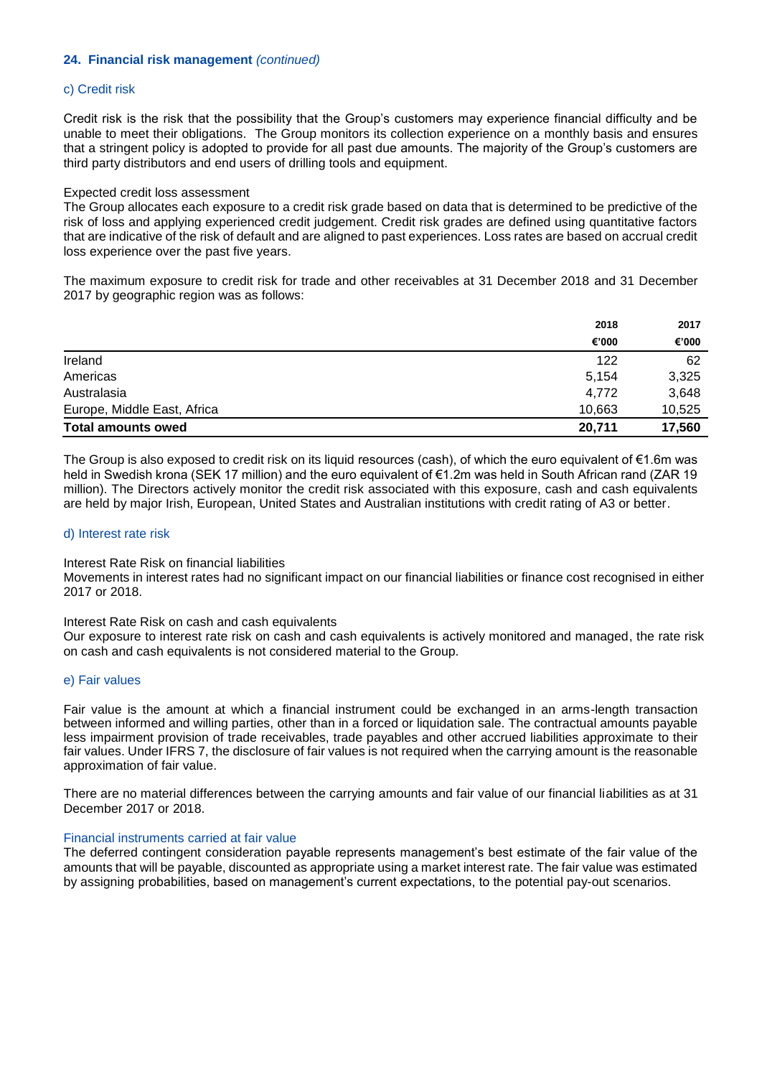#### c) Credit risk

Credit risk is the risk that the possibility that the Group's customers may experience financial difficulty and be unable to meet their obligations. The Group monitors its collection experience on a monthly basis and ensures that a stringent policy is adopted to provide for all past due amounts. The majority of the Group's customers are third party distributors and end users of drilling tools and equipment.

#### Expected credit loss assessment

The Group allocates each exposure to a credit risk grade based on data that is determined to be predictive of the risk of loss and applying experienced credit judgement. Credit risk grades are defined using quantitative factors that are indicative of the risk of default and are aligned to past experiences. Loss rates are based on accrual credit loss experience over the past five years.

The maximum exposure to credit risk for trade and other receivables at 31 December 2018 and 31 December 2017 by geographic region was as follows:

|                             | 2018   | 2017   |
|-----------------------------|--------|--------|
|                             | €'000  | €'000  |
| Ireland                     | 122    | 62     |
| Americas                    | 5.154  | 3,325  |
| Australasia                 | 4,772  | 3,648  |
| Europe, Middle East, Africa | 10,663 | 10,525 |
| <b>Total amounts owed</b>   | 20,711 | 17,560 |

The Group is also exposed to credit risk on its liquid resources (cash), of which the euro equivalent of €1.6m was held in Swedish krona (SEK 17 million) and the euro equivalent of €1.2m was held in South African rand (ZAR 19 million). The Directors actively monitor the credit risk associated with this exposure, cash and cash equivalents are held by major Irish, European, United States and Australian institutions with credit rating of A3 or better.

#### d) Interest rate risk

#### Interest Rate Risk on financial liabilities

Movements in interest rates had no significant impact on our financial liabilities or finance cost recognised in either 2017 or 2018.

#### Interest Rate Risk on cash and cash equivalents

Our exposure to interest rate risk on cash and cash equivalents is actively monitored and managed, the rate risk on cash and cash equivalents is not considered material to the Group.

#### e) Fair values

Fair value is the amount at which a financial instrument could be exchanged in an arms-length transaction between informed and willing parties, other than in a forced or liquidation sale. The contractual amounts payable less impairment provision of trade receivables, trade payables and other accrued liabilities approximate to their fair values. Under IFRS 7, the disclosure of fair values is not required when the carrying amount is the reasonable approximation of fair value.

There are no material differences between the carrying amounts and fair value of our financial liabilities as at 31 December 2017 or 2018.

#### Financial instruments carried at fair value

The deferred contingent consideration payable represents management's best estimate of the fair value of the amounts that will be payable, discounted as appropriate using a market interest rate. The fair value was estimated by assigning probabilities, based on management's current expectations, to the potential pay-out scenarios.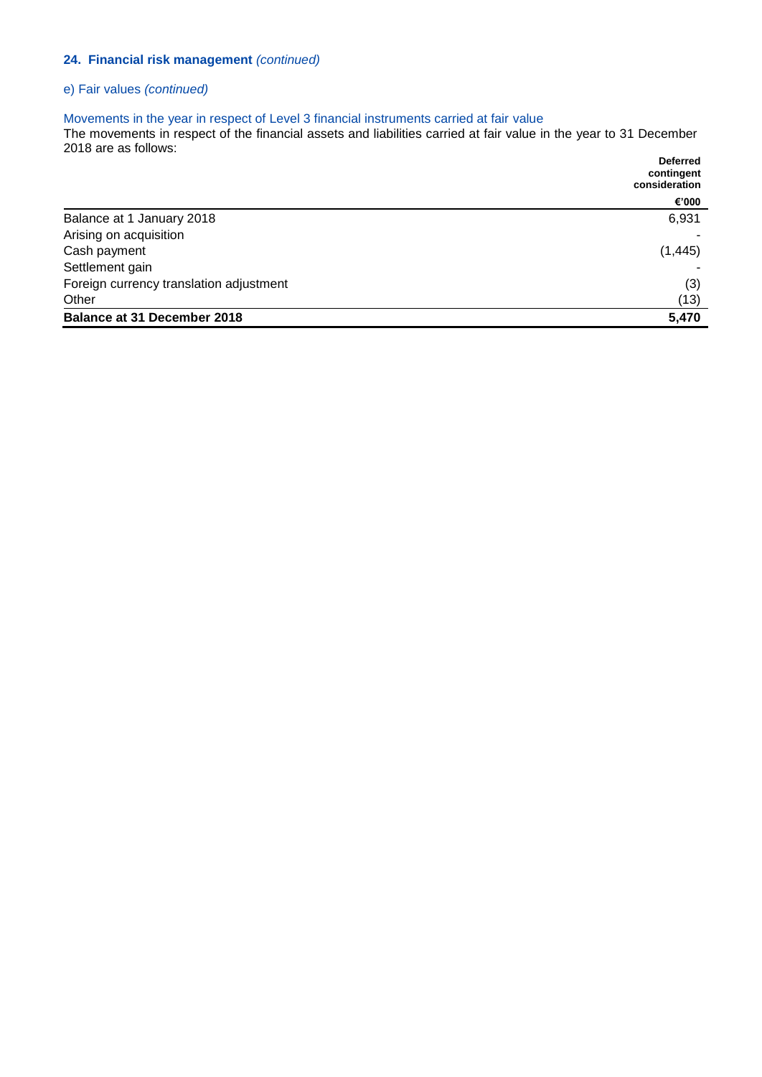## e) Fair values *(continued)*

#### Movements in the year in respect of Level 3 financial instruments carried at fair value

The movements in respect of the financial assets and liabilities carried at fair value in the year to 31 December 2018 are as follows: **Deferred** 

|                                         | <b>DEIEI I EU</b><br>contingent<br>consideration |
|-----------------------------------------|--------------------------------------------------|
|                                         | €'000                                            |
| Balance at 1 January 2018               | 6,931                                            |
| Arising on acquisition                  |                                                  |
| Cash payment                            | (1, 445)                                         |
| Settlement gain                         |                                                  |
| Foreign currency translation adjustment | (3)                                              |
| Other                                   | (13)                                             |
| <b>Balance at 31 December 2018</b>      | 5,470                                            |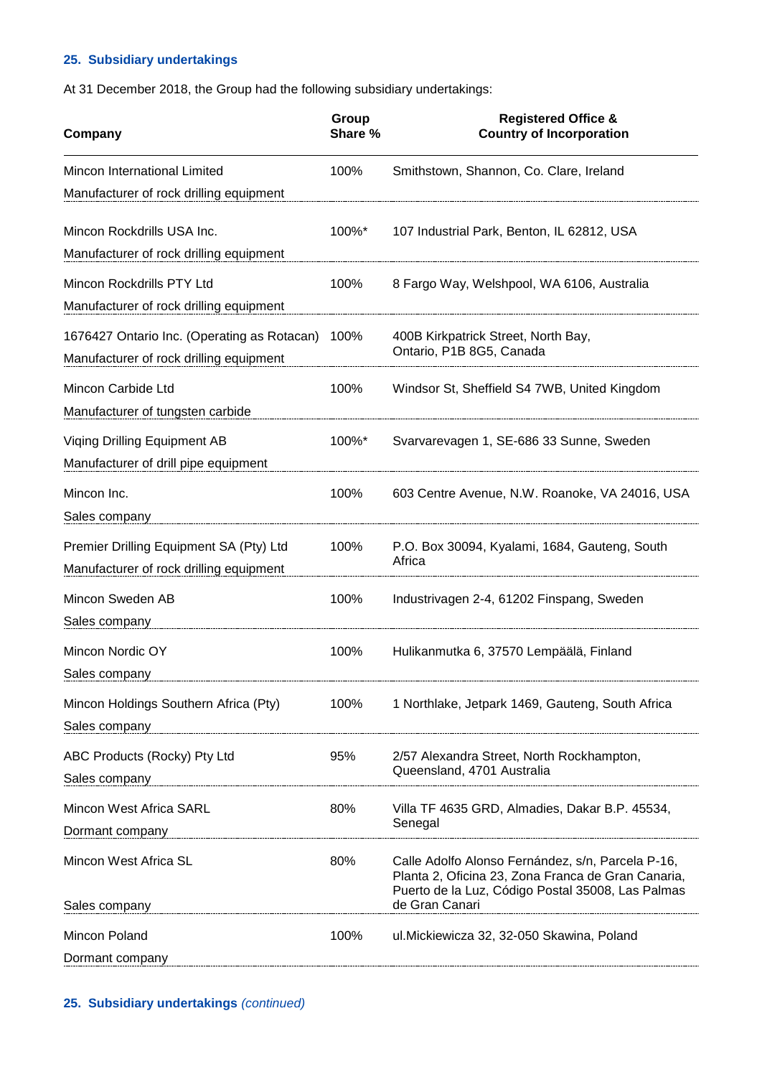## **25. Subsidiary undertakings**

At 31 December 2018, the Group had the following subsidiary undertakings:

| Company                                                                                | Group<br>Share % | <b>Registered Office &amp;</b><br><b>Country of Incorporation</b>                                                                                            |
|----------------------------------------------------------------------------------------|------------------|--------------------------------------------------------------------------------------------------------------------------------------------------------------|
| Mincon International Limited<br>Manufacturer of rock drilling equipment                | 100%             | Smithstown, Shannon, Co. Clare, Ireland                                                                                                                      |
| Mincon Rockdrills USA Inc.<br>Manufacturer of rock drilling equipment                  | $100\%$ *        | 107 Industrial Park, Benton, IL 62812, USA                                                                                                                   |
| Mincon Rockdrills PTY Ltd<br>Manufacturer of rock drilling equipment                   | 100%             | 8 Fargo Way, Welshpool, WA 6106, Australia                                                                                                                   |
| 1676427 Ontario Inc. (Operating as Rotacan)<br>Manufacturer of rock drilling equipment | 100%             | 400B Kirkpatrick Street, North Bay,<br>Ontario, P1B 8G5, Canada                                                                                              |
| Mincon Carbide Ltd<br>Manufacturer of tungsten carbide                                 | 100%             | Windsor St, Sheffield S4 7WB, United Kingdom                                                                                                                 |
| Viging Drilling Equipment AB<br>Manufacturer of drill pipe equipment                   | $100\%$ *        | Svarvarevagen 1, SE-686 33 Sunne, Sweden                                                                                                                     |
| Mincon Inc.<br>Sales company                                                           | 100%             | 603 Centre Avenue, N.W. Roanoke, VA 24016, USA                                                                                                               |
| Premier Drilling Equipment SA (Pty) Ltd<br>Manufacturer of rock drilling equipment     | 100%             | P.O. Box 30094, Kyalami, 1684, Gauteng, South<br>Africa                                                                                                      |
| Mincon Sweden AB<br>Sales company                                                      | 100%             | Industrivagen 2-4, 61202 Finspang, Sweden                                                                                                                    |
| Mincon Nordic OY<br>Sales company                                                      | 100%             | Hulikanmutka 6, 37570 Lempäälä, Finland                                                                                                                      |
| Mincon Holdings Southern Africa (Pty)<br>Sales company                                 | 100%             | 1 Northlake, Jetpark 1469, Gauteng, South Africa                                                                                                             |
| ABC Products (Rocky) Pty Ltd<br>Sales company                                          | 95%              | 2/57 Alexandra Street, North Rockhampton,<br>Queensland, 4701 Australia                                                                                      |
| Mincon West Africa SARL<br>Dormant company                                             | 80%              | Villa TF 4635 GRD, Almadies, Dakar B.P. 45534,<br>Senegal                                                                                                    |
| Mincon West Africa SL                                                                  | 80%              | Calle Adolfo Alonso Fernández, s/n, Parcela P-16,<br>Planta 2, Oficina 23, Zona Franca de Gran Canaria,<br>Puerto de la Luz, Código Postal 35008, Las Palmas |
| Sales company                                                                          |                  | de Gran Canari                                                                                                                                               |
| Mincon Poland<br>Dormant company                                                       | 100%             | ul. Mickiewicza 32, 32-050 Skawina, Poland                                                                                                                   |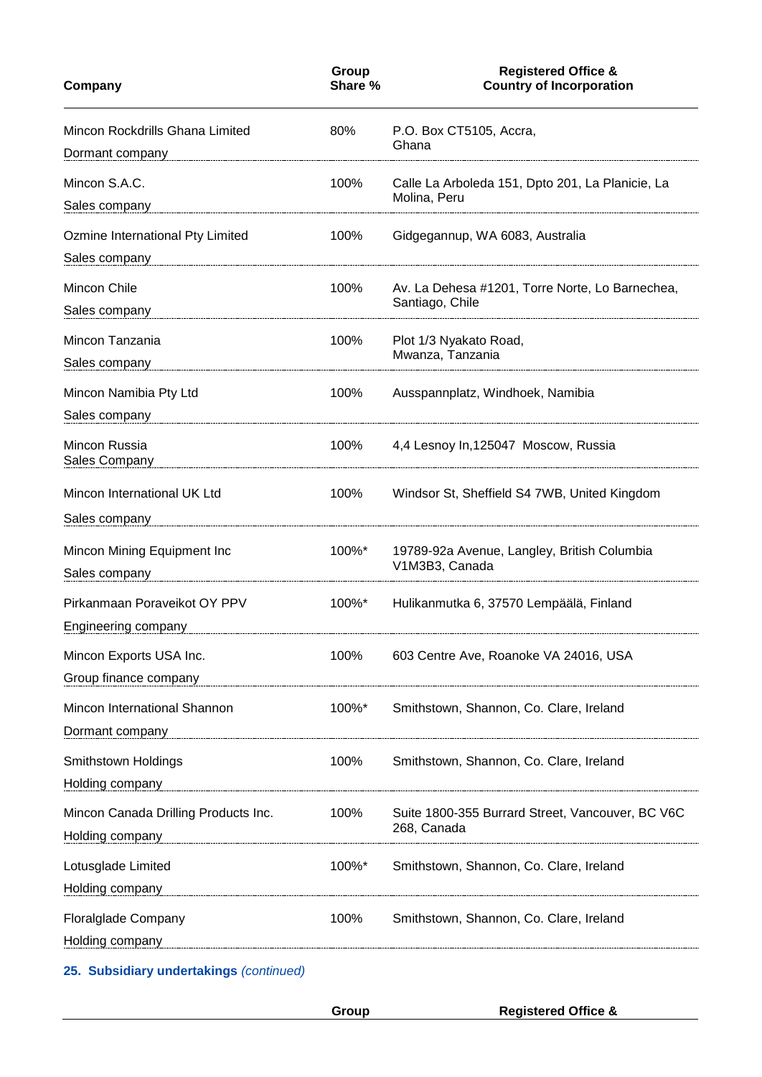| Group<br>Share %                                                                                                          | <b>Registered Office &amp;</b><br><b>Country of Incorporation</b>  |
|---------------------------------------------------------------------------------------------------------------------------|--------------------------------------------------------------------|
| 80%                                                                                                                       | P.O. Box CT5105, Accra,<br>Ghana                                   |
| 100%                                                                                                                      | Calle La Arboleda 151, Dpto 201, La Planicie, La<br>Molina, Peru   |
| 100%                                                                                                                      | Gidgegannup, WA 6083, Australia                                    |
| 100%                                                                                                                      | Av. La Dehesa #1201, Torre Norte, Lo Barnechea,<br>Santiago, Chile |
| 100%                                                                                                                      | Plot 1/3 Nyakato Road,<br>Mwanza, Tanzania                         |
| 100%                                                                                                                      | Ausspannplatz, Windhoek, Namibia                                   |
| 100%                                                                                                                      | 4,4 Lesnoy In, 125047 Moscow, Russia                               |
| 100%                                                                                                                      | Windsor St, Sheffield S4 7WB, United Kingdom                       |
| 100%*                                                                                                                     | 19789-92a Avenue, Langley, British Columbia<br>V1M3B3, Canada      |
| 100%*                                                                                                                     | Hulikanmutka 6, 37570 Lempäälä, Finland                            |
| 100%                                                                                                                      | 603 Centre Ave, Roanoke VA 24016, USA                              |
| 100%*<br>Dormant company<br>many managanana manana amin'ny fivondronan-kaominin'i Communication ao amin'ny faritr'i North | Smithstown, Shannon, Co. Clare, Ireland                            |
| 100%                                                                                                                      | Smithstown, Shannon, Co. Clare, Ireland                            |
| 100%                                                                                                                      | Suite 1800-355 Burrard Street, Vancouver, BC V6C<br>268, Canada    |
| 100%*<br>Holding company manual company and the state of the state of the state of the state of the state of the state o  | Smithstown, Shannon, Co. Clare, Ireland                            |
| 100%<br>Holding company manual company and the company of the company of the company of the company of the company of     | Smithstown, Shannon, Co. Clare, Ireland                            |
|                                                                                                                           |                                                                    |

**25. Subsidiary undertakings** *(continued)*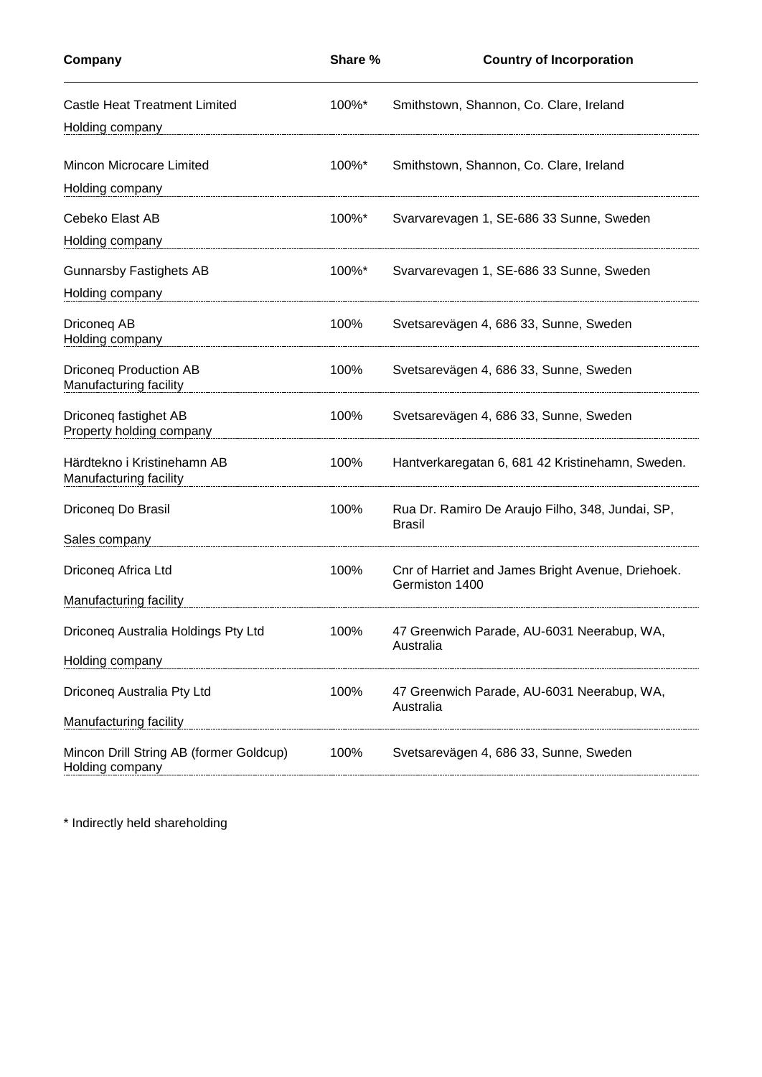| Company                                                    | Share %   | <b>Country of Incorporation</b>                                     |
|------------------------------------------------------------|-----------|---------------------------------------------------------------------|
| <b>Castle Heat Treatment Limited</b>                       | 100%*     | Smithstown, Shannon, Co. Clare, Ireland                             |
| Holding company                                            |           |                                                                     |
| Mincon Microcare Limited                                   | 100%*     | Smithstown, Shannon, Co. Clare, Ireland                             |
| Holding company                                            |           |                                                                     |
| Cebeko Elast AB                                            | 100%*     | Svarvarevagen 1, SE-686 33 Sunne, Sweden                            |
| Holding company                                            |           |                                                                     |
| <b>Gunnarsby Fastighets AB</b>                             | $100\%$ * | Svarvarevagen 1, SE-686 33 Sunne, Sweden                            |
| Holding company                                            |           |                                                                     |
| Driconeg AB<br>Holding company                             | 100%      | Svetsarevägen 4, 686 33, Sunne, Sweden                              |
| <b>Driconeg Production AB</b><br>Manufacturing facility    | 100%      | Svetsarevägen 4, 686 33, Sunne, Sweden                              |
| Driconeg fastighet AB<br>Property holding company          | 100%      | Svetsarevägen 4, 686 33, Sunne, Sweden                              |
| Härdtekno i Kristinehamn AB<br>Manufacturing facility      | 100%      | Hantverkaregatan 6, 681 42 Kristinehamn, Sweden.                    |
| Driconeg Do Brasil                                         | 100%      | Rua Dr. Ramiro De Araujo Filho, 348, Jundai, SP,<br><b>Brasil</b>   |
| Sales company                                              |           |                                                                     |
| Driconeq Africa Ltd                                        | 100%      | Cnr of Harriet and James Bright Avenue, Driehoek.<br>Germiston 1400 |
| Manufacturing facility                                     |           |                                                                     |
| Driconeq Australia Holdings Pty Ltd                        | 100%      | 47 Greenwich Parade, AU-6031 Neerabup, WA,<br>Australia             |
| Holding company                                            |           |                                                                     |
| Driconeq Australia Pty Ltd                                 | 100%      | 47 Greenwich Parade, AU-6031 Neerabup, WA,<br>Australia             |
| Manufacturing facility                                     |           |                                                                     |
| Mincon Drill String AB (former Goldcup)<br>Holding company | 100%      | Svetsarevägen 4, 686 33, Sunne, Sweden                              |

\* Indirectly held shareholding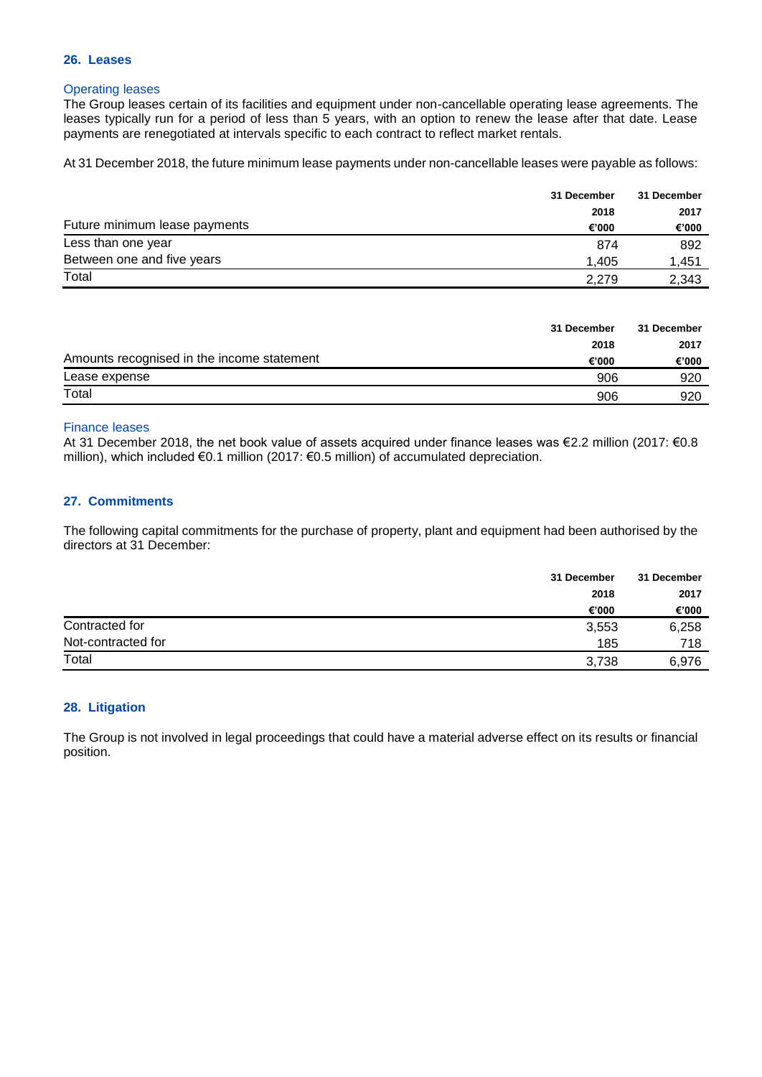#### **26. Leases**

## Operating leases

The Group leases certain of its facilities and equipment under non-cancellable operating lease agreements. The leases typically run for a period of less than 5 years, with an option to renew the lease after that date. Lease payments are renegotiated at intervals specific to each contract to reflect market rentals.

At 31 December 2018, the future minimum lease payments under non-cancellable leases were payable as follows:

|                               | 31 December | 31 December |
|-------------------------------|-------------|-------------|
|                               | 2018        | 2017        |
| Future minimum lease payments | €'000       | €'000       |
| Less than one year            | 874         | 892         |
| Between one and five years    | 1.405       | 1.451       |
| Total                         | 2.279       | 2.343       |

|                                            | 31 December | 31 December |
|--------------------------------------------|-------------|-------------|
|                                            | 2018        | 2017        |
| Amounts recognised in the income statement | €'000       | €'000       |
| Lease expense                              | 906         | 920         |
| Total                                      | 906         | 920         |

### Finance leases

At 31 December 2018, the net book value of assets acquired under finance leases was €2.2 million (2017: €0.8 million), which included €0.1 million (2017: €0.5 million) of accumulated depreciation.

## **27. Commitments**

The following capital commitments for the purchase of property, plant and equipment had been authorised by the directors at 31 December:

|                    | 31 December | 31 December |
|--------------------|-------------|-------------|
|                    | 2018        | 2017        |
|                    | €'000       | €'000       |
| Contracted for     | 3,553       | 6,258       |
| Not-contracted for | 185         | 718         |
| Total              | 3,738       | 6.976       |

## **28. Litigation**

The Group is not involved in legal proceedings that could have a material adverse effect on its results or financial position.